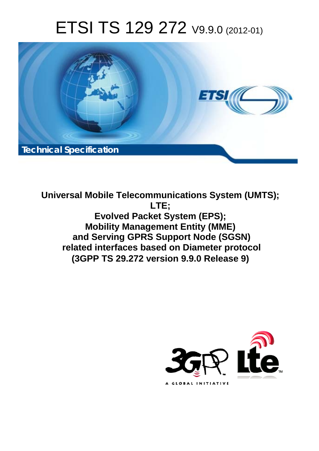# ETSI TS 129 272 V9.9.0 (2012-01)



**Universal Mobile Telecommunications System (UMTS); LTE; Evolved Packet System (EPS); Mobility Management Entity (MME) and Serving GPRS Support Node (SGSN) related interfaces based on Diameter protocol (3GPP TS 29.272 version 9.9.0 Release 9)** 

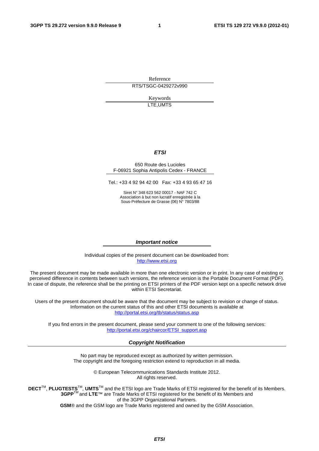Reference RTS/TSGC-0429272v990

> Keywords LTE,UMTS

### *ETSI*

#### 650 Route des Lucioles F-06921 Sophia Antipolis Cedex - FRANCE

Tel.: +33 4 92 94 42 00 Fax: +33 4 93 65 47 16

Siret N° 348 623 562 00017 - NAF 742 C Association à but non lucratif enregistrée à la Sous-Préfecture de Grasse (06) N° 7803/88

#### *Important notice*

Individual copies of the present document can be downloaded from: [http://www.etsi.org](http://www.etsi.org/)

The present document may be made available in more than one electronic version or in print. In any case of existing or perceived difference in contents between such versions, the reference version is the Portable Document Format (PDF). In case of dispute, the reference shall be the printing on ETSI printers of the PDF version kept on a specific network drive within ETSI Secretariat.

Users of the present document should be aware that the document may be subject to revision or change of status. Information on the current status of this and other ETSI documents is available at <http://portal.etsi.org/tb/status/status.asp>

If you find errors in the present document, please send your comment to one of the following services: [http://portal.etsi.org/chaircor/ETSI\\_support.asp](http://portal.etsi.org/chaircor/ETSI_support.asp)

#### *Copyright Notification*

No part may be reproduced except as authorized by written permission. The copyright and the foregoing restriction extend to reproduction in all media.

> © European Telecommunications Standards Institute 2012. All rights reserved.

DECT<sup>™</sup>, PLUGTESTS<sup>™</sup>, UMTS<sup>™</sup> and the ETSI logo are Trade Marks of ETSI registered for the benefit of its Members. **3GPP**TM and **LTE**™ are Trade Marks of ETSI registered for the benefit of its Members and of the 3GPP Organizational Partners.

**GSM**® and the GSM logo are Trade Marks registered and owned by the GSM Association.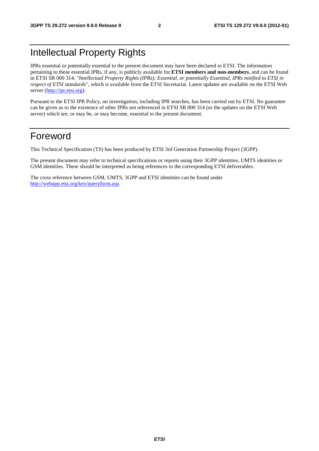## Intellectual Property Rights

IPRs essential or potentially essential to the present document may have been declared to ETSI. The information pertaining to these essential IPRs, if any, is publicly available for **ETSI members and non-members**, and can be found in ETSI SR 000 314: *"Intellectual Property Rights (IPRs); Essential, or potentially Essential, IPRs notified to ETSI in respect of ETSI standards"*, which is available from the ETSI Secretariat. Latest updates are available on the ETSI Web server [\(http://ipr.etsi.org\)](http://webapp.etsi.org/IPR/home.asp).

Pursuant to the ETSI IPR Policy, no investigation, including IPR searches, has been carried out by ETSI. No guarantee can be given as to the existence of other IPRs not referenced in ETSI SR 000 314 (or the updates on the ETSI Web server) which are, or may be, or may become, essential to the present document.

## Foreword

This Technical Specification (TS) has been produced by ETSI 3rd Generation Partnership Project (3GPP).

The present document may refer to technical specifications or reports using their 3GPP identities, UMTS identities or GSM identities. These should be interpreted as being references to the corresponding ETSI deliverables.

The cross reference between GSM, UMTS, 3GPP and ETSI identities can be found under [http://webapp.etsi.org/key/queryform.asp.](http://webapp.etsi.org/key/queryform.asp)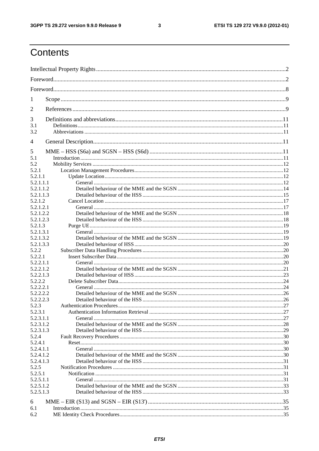## $\mathbf{3}$

## Contents

| 1                      |  |
|------------------------|--|
| 2                      |  |
| 3                      |  |
| 3.1<br>3.2             |  |
| $\overline{4}$         |  |
| 5                      |  |
| 5.1                    |  |
| 5.2                    |  |
| 5.2.1                  |  |
| 5.2.1.1                |  |
| 5.2.1.1.1              |  |
| 5.2.1.1.2              |  |
| 5.2.1.1.3              |  |
| 5.2.1.2                |  |
| 5.2.1.2.1              |  |
| 5.2.1.2.2              |  |
| 5.2.1.2.3              |  |
| 5.2.1.3                |  |
| 5.2.1.3.1              |  |
| 5.2.1.3.2              |  |
| 5.2.1.3.3              |  |
| 5.2.2                  |  |
| 5.2.2.1                |  |
| 5.2.2.1.1              |  |
| 5.2.2.1.2              |  |
| 5.2.2.1.3              |  |
| 5.2.2.2                |  |
| 5.2.2.2.1              |  |
| 5.2.2.2.2              |  |
| 5.2.2.2.3              |  |
| 5.2.3                  |  |
| 5.2.3.1                |  |
| 5.2.3.1.1              |  |
| 5.2.3.1.2              |  |
| 5.2.3.1.3              |  |
| 5.2.4                  |  |
| 5.2.4.1                |  |
| 5.2.4.1.1              |  |
| 5.2.4.1.2              |  |
| 5.2.4.1.3              |  |
| 5.2.5                  |  |
| 5.2.5.1                |  |
| 5.2.5.1.1              |  |
| 5.2.5.1.2<br>5.2.5.1.3 |  |
|                        |  |
| 6                      |  |
| 6.1                    |  |
| 6.2                    |  |
|                        |  |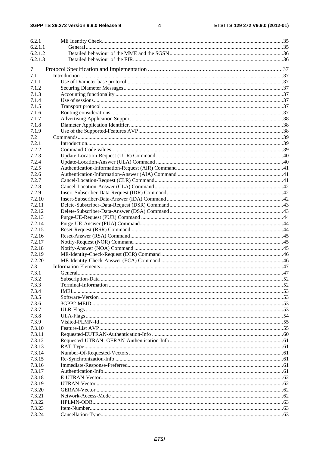#### $\overline{\mathbf{4}}$

| 6.2.1<br>6.2.1.1 |  |
|------------------|--|
| 6.2.1.2          |  |
| 6.2.1.3          |  |
|                  |  |
| 7                |  |
| 7.1              |  |
| 7.1.1            |  |
| 7.1.2            |  |
| 7.1.3            |  |
| 7.1.4            |  |
| 7.1.5            |  |
| 7.1.6            |  |
| 7.1.7            |  |
| 7.1.8            |  |
| 7.1.9            |  |
| 7.2              |  |
| 7.2.1            |  |
| 7.2.2            |  |
| 7.2.3            |  |
| 7.2.4            |  |
| 7.2.5            |  |
| 7.2.6            |  |
| 7.2.7            |  |
| 7.2.8            |  |
| 7.2.9            |  |
| 7.2.10           |  |
| 7.2.11           |  |
| 7.2.12           |  |
| 7.2.13           |  |
| 7.2.14           |  |
| 7.2.15           |  |
| 7.2.16           |  |
| 7.2.17           |  |
| 7.2.18<br>7.2.19 |  |
| 7.2.20           |  |
| 7.3              |  |
| 7.3.1            |  |
| 7.3.2            |  |
| 7.3.3            |  |
| 7.3.4            |  |
| 7.3.5            |  |
| 7.3.6            |  |
| 7.3.7            |  |
| 7.3.8            |  |
| 7.3.9            |  |
| 7.3.10           |  |
| 7.3.11           |  |
| 7.3.12           |  |
| 7.3.13           |  |
| 7.3.14           |  |
| 7.3.15           |  |
| 7.3.16           |  |
| 7.3.17           |  |
| 7.3.18           |  |
| 7.3.19           |  |
| 7.3.20           |  |
| 7.3.21           |  |
| 7.3.22           |  |
| 7.3.23           |  |
| 7.3.24           |  |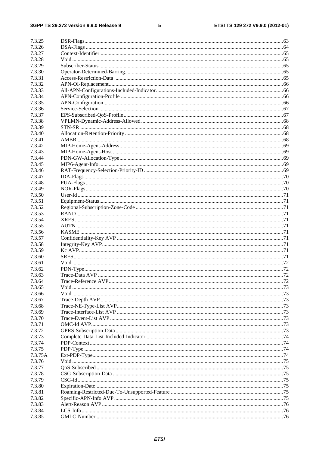### $5\phantom{a}$

| 7.3.25  |  |
|---------|--|
|         |  |
| 7.3.26  |  |
| 7.3.27  |  |
| 7.3.28  |  |
| 7.3.29  |  |
| 7.3.30  |  |
| 7.3.31  |  |
|         |  |
| 7.3.32  |  |
| 7.3.33  |  |
| 7.3.34  |  |
| 7.3.35  |  |
| 7.3.36  |  |
| 7.3.37  |  |
|         |  |
| 7.3.38  |  |
| 7.3.39  |  |
| 7.3.40  |  |
| 7.3.41  |  |
| 7.3.42  |  |
| 7.3.43  |  |
|         |  |
| 7.3.44  |  |
| 7.3.45  |  |
| 7.3.46  |  |
| 7.3.47  |  |
| 7.3.48  |  |
| 7.3.49  |  |
| 7.3.50  |  |
|         |  |
| 7.3.51  |  |
| 7.3.52  |  |
| 7.3.53  |  |
| 7.3.54  |  |
| 7.3.55  |  |
| 7.3.56  |  |
|         |  |
| 7.3.57  |  |
| 7.3.58  |  |
| 7.3.59  |  |
| 7.3.60  |  |
| 7.3.61  |  |
| 7.3.62  |  |
| 7.3.63  |  |
|         |  |
| 7.3.64  |  |
| 7.3.65  |  |
| 7.3.66  |  |
| 7.3.67  |  |
| 7.3.68  |  |
| 7.3.69  |  |
| 7.3.70  |  |
|         |  |
| 7.3.71  |  |
| 7.3.72  |  |
| 7.3.73  |  |
| 7.3.74  |  |
| 7.3.75  |  |
| 7.3.75A |  |
| 7.3.76  |  |
|         |  |
| 7.3.77  |  |
| 7.3.78  |  |
| 7.3.79  |  |
| 7.3.80  |  |
| 7.3.81  |  |
| 7.3.82  |  |
|         |  |
| 7.3.83  |  |
| 7.3.84  |  |
| 7.3.85  |  |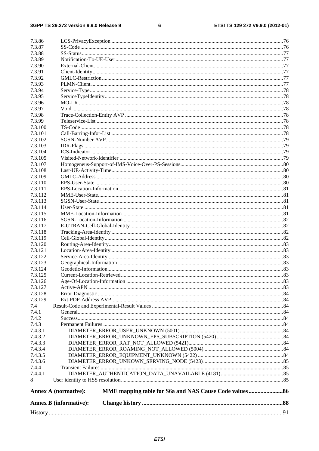#### $\bf 6$

| 7.3.86             |                               |  |
|--------------------|-------------------------------|--|
| 7.3.87             |                               |  |
| 7.3.88             |                               |  |
| 7.3.89             |                               |  |
| 7.3.90             |                               |  |
| 7.3.91             |                               |  |
| 7.3.92             |                               |  |
| 7.3.93             |                               |  |
| 7.3.94             |                               |  |
| 7.3.95             |                               |  |
| 7.3.96             |                               |  |
| 7.3.97             |                               |  |
| 7.3.98             |                               |  |
| 7.3.99             |                               |  |
| 7.3.100            |                               |  |
| 7.3.101            |                               |  |
| 7.3.102            |                               |  |
| 7.3.103            |                               |  |
| 7.3.104            |                               |  |
| 7.3.105            |                               |  |
| 7.3.107            |                               |  |
| 7.3.108            |                               |  |
| 7.3.109            |                               |  |
| 7.3.110            |                               |  |
| 7.3.111            |                               |  |
| 7.3.112            |                               |  |
| 7.3.113            |                               |  |
| 7.3.114            |                               |  |
| 7.3.115            |                               |  |
| 7.3.116            |                               |  |
| 7.3.117            |                               |  |
| 7.3.118            |                               |  |
| 7.3.119            |                               |  |
| 7.3.120            |                               |  |
| 7.3.121            |                               |  |
| 7.3.122            |                               |  |
| 7.3.123            |                               |  |
| 7.3.124            |                               |  |
| 7.3.125            | Current-Location-Retrieved    |  |
| 7.3.126<br>7.3.127 |                               |  |
|                    |                               |  |
| 7.3.128<br>7.3.129 |                               |  |
| 7.4                |                               |  |
| 7.4.1              |                               |  |
| 7.4.2              |                               |  |
| 7.4.3              |                               |  |
| 7.4.3.1            |                               |  |
| 7.4.3.2            |                               |  |
| 7.4.3.3            |                               |  |
| 7.4.3.4            |                               |  |
| 7.4.3.5            |                               |  |
| 7.4.3.6            |                               |  |
| 7.4.4              |                               |  |
| 7.4.4.1            |                               |  |
| 8                  |                               |  |
|                    | <b>Annex A (normative):</b>   |  |
|                    | <b>Annex B</b> (informative): |  |
|                    |                               |  |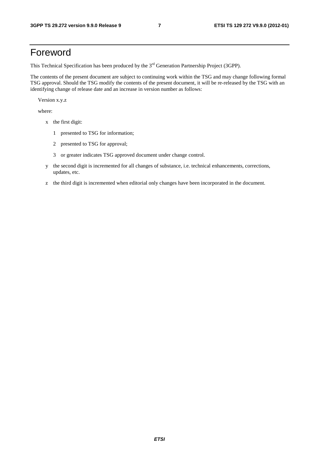## Foreword

This Technical Specification has been produced by the 3<sup>rd</sup> Generation Partnership Project (3GPP).

The contents of the present document are subject to continuing work within the TSG and may change following formal TSG approval. Should the TSG modify the contents of the present document, it will be re-released by the TSG with an identifying change of release date and an increase in version number as follows:

Version x.y.z

where:

- x the first digit:
	- 1 presented to TSG for information;
	- 2 presented to TSG for approval;
	- 3 or greater indicates TSG approved document under change control.
- y the second digit is incremented for all changes of substance, i.e. technical enhancements, corrections, updates, etc.
- z the third digit is incremented when editorial only changes have been incorporated in the document.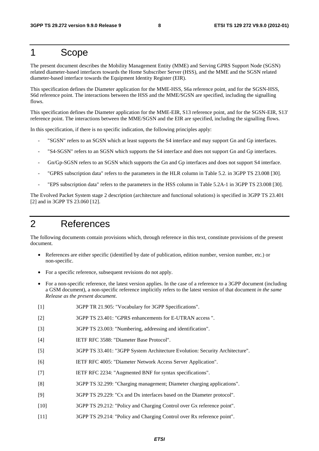## 1 Scope

The present document describes the Mobility Management Entity (MME) and Serving GPRS Support Node (SGSN) related diameter-based interfaces towards the Home Subscriber Server (HSS), and the MME and the SGSN related diameter-based interface towards the Equipment Identity Register (EIR).

This specification defines the Diameter application for the MME-HSS, S6a reference point, and for the SGSN-HSS, S6d reference point. The interactions between the HSS and the MME/SGSN are specified, including the signalling flows.

This specification defines the Diameter application for the MME-EIR, S13 reference point, and for the SGSN-EIR, S13' reference point. The interactions between the MME/SGSN and the EIR are specified, including the signalling flows.

In this specification, if there is no specific indication, the following principles apply:

- "SGSN" refers to an SGSN which at least supports the S4 interface and may support Gn and Gp interfaces.
- "S4-SGSN" refers to an SGSN which supports the S4 interface and does not support Gn and Gp interfaces.
- Gn/Gp-SGSN refers to an SGSN which supports the Gn and Gp interfaces and does not support S4 interface.
- "GPRS subscription data" refers to the parameters in the HLR column in Table 5.2. in 3GPP TS 23.008 [30].
- "EPS subscription data" refers to the parameters in the HSS column in Table 5.2A-1 in 3GPP TS 23.008 [30].

The Evolved Packet System stage 2 description (architecture and functional solutions) is specified in 3GPP TS 23.401 [2] and in 3GPP TS 23.060 [12].

## 2 References

The following documents contain provisions which, through reference in this text, constitute provisions of the present document.

- References are either specific (identified by date of publication, edition number, version number, etc.) or non-specific.
- For a specific reference, subsequent revisions do not apply.
- For a non-specific reference, the latest version applies. In the case of a reference to a 3GPP document (including a GSM document), a non-specific reference implicitly refers to the latest version of that document *in the same Release as the present document*.
- [1] 3GPP TR 21.905: "Vocabulary for 3GPP Specifications".
- [2] 3GPP TS 23.401: "GPRS enhancements for E-UTRAN access ".
- [3] 3GPP TS 23.003: "Numbering, addressing and identification".
- [4] IETF RFC 3588: "Diameter Base Protocol".
- [5] 3GPP TS 33.401: "3GPP System Architecture Evolution: Security Architecture".
- [6] IETF RFC 4005: "Diameter Network Access Server Application".
- [7] IETF RFC 2234: "Augmented BNF for syntax specifications".
- [8] 3GPP TS 32.299: "Charging management; Diameter charging applications".
- [9] 3GPP TS 29.229: "Cx and Dx interfaces based on the Diameter protocol".
- [10] 3GPP TS 29.212: "Policy and Charging Control over Gx reference point".
- [11] 3GPP TS 29.214: "Policy and Charging Control over Rx reference point".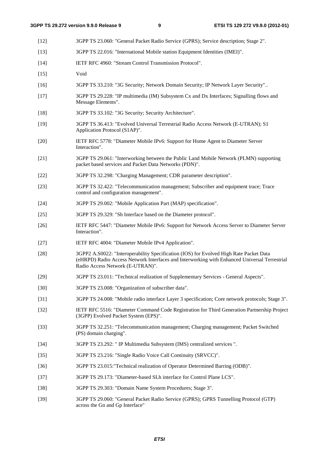- [12] 3GPP TS 23.060: "General Packet Radio Service (GPRS); Service description; Stage 2". [13] 3GPP TS 22.016: "International Mobile station Equipment Identities (IMEI)". [14] IETF RFC 4960: "Stream Control Transmission Protocol". [15] Void [16] 3GPP TS 33.210: "3G Security; Network Domain Security; IP Network Layer Security".. [17] 3GPP TS 29.228: "IP multimedia (IM) Subsystem Cx and Dx Interfaces; Signalling flows and Message Elements". [18] 3GPP TS 33.102: "3G Security; Security Architecture". [19] 3GPP TS 36.413: "Evolved Universal Terrestrial Radio Access Network (E-UTRAN); S1 Application Protocol (S1AP)". [20] IETF RFC 5778: "Diameter Mobile IPv6: Support for Home Agent to Diameter Server Interaction". [21] 3GPP TS 29.061: "Interworking between the Public Land Mobile Network (PLMN) supporting packet based services and Packet Data Networks (PDN)". [22] 3GPP TS 32.298: "Charging Management; CDR parameter description". [23] 3GPP TS 32.422: "Telecommunication management; Subscriber and equipment trace; Trace control and configuration management". [24] 3GPP TS 29.002: "Mobile Application Part (MAP) specification". [25] 3GPP TS 29.329: "Sh Interface based on the Diameter protocol". [26] IETF RFC 5447: "Diameter Mobile IPv6: Support for Network Access Server to Diameter Server Interaction". [27] IETF RFC 4004: "Diameter Mobile IPv4 Application". [28] 3GPP2 A.S0022: "Interoperability Specification (IOS) for Evolved High Rate Packet Data (eHRPD) Radio Access Network Interfaces and Interworking with Enhanced Universal Terrestrial Radio Access Network (E-UTRAN)". [29] 3GPP TS 23.011: "Technical realization of Supplementary Services - General Aspects". [30] 3GPP TS 23.008: "Organization of subscriber data". [31] 3GPP TS 24.008: "Mobile radio interface Layer 3 specification; Core network protocols; Stage 3". [32] IETF RFC 5516: "Diameter Command Code Registration for Third Generation Partnership Project (3GPP) Evolved Packet System (EPS)". [33] 3GPP TS 32.251: "Telecommunication management; Charging management; Packet Switched (PS) domain charging". [34] 3GPP TS 23.292: " IP Multimedia Subsystem (IMS) centralized services ". [35] 3GPP TS 23.216: "Single Radio Voice Call Continuity (SRVCC)". [36] 3GPP TS 23.015:"Technical realization of Operator Determined Barring (ODB)". [37] 3GPP TS 29.173: "Diameter-based SLh interface for Control Plane LCS". [38] 3GPP TS 29.303: "Domain Name System Procedures; Stage 3".
	- [39] 3GPP TS 29.060: "General Packet Radio Service (GPRS); GPRS Tunnelling Protocol (GTP) across the Gn and Gp Interface"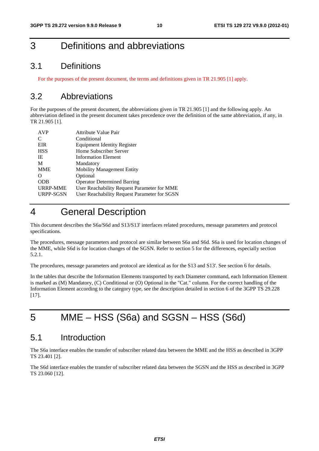## 3 Definitions and abbreviations

## 3.1 Definitions

For the purposes of the present document, the terms and definitions given in TR 21.905 [1] apply.

## 3.2 Abbreviations

For the purposes of the present document, the abbreviations given in TR 21.905 [1] and the following apply. An abbreviation defined in the present document takes precedence over the definition of the same abbreviation, if any, in TR 21.905 [1].

| <b>AVP</b>       | <b>Attribute Value Pair</b>                  |
|------------------|----------------------------------------------|
| C                | Conditional                                  |
| EIR              | Equipment Identity Register                  |
| <b>HSS</b>       | Home Subscriber Server                       |
| IE               | <b>Information Element</b>                   |
| M                | Mandatory                                    |
| <b>MME</b>       | <b>Mobility Management Entity</b>            |
| $\left( \right)$ | Optional                                     |
| <b>ODB</b>       | <b>Operator Determined Barring</b>           |
| <b>URRP-MME</b>  | User Reachability Request Parameter for MME  |
| URPP-SGSN        | User Reachability Request Parameter for SGSN |

## 4 General Description

This document describes the S6a/S6d and S13/S13' interfaces related procedures, message parameters and protocol specifications.

The procedures, message parameters and protocol are similar between S6a and S6d. S6a is used for location changes of the MME, while S6d is for location changes of the SGSN. Refer to section 5 for the differences, especially section 5.2.1.

The procedures, message parameters and protocol are identical as for the S13 and S13'. See section 6 for details.

In the tables that describe the Information Elements transported by each Diameter command, each Information Element is marked as (M) Mandatory, (C) Conditional or (O) Optional in the "Cat." column. For the correct handling of the Information Element according to the category type, see the description detailed in section 6 of the 3GPP TS 29.228 [17].

## 5 MME – HSS (S6a) and SGSN – HSS (S6d)

## 5.1 Introduction

The S6a interface enables the transfer of subscriber related data between the MME and the HSS as described in 3GPP TS 23.401 [2].

The S6d interface enables the transfer of subscriber related data between the SGSN and the HSS as described in 3GPP TS 23.060 [12].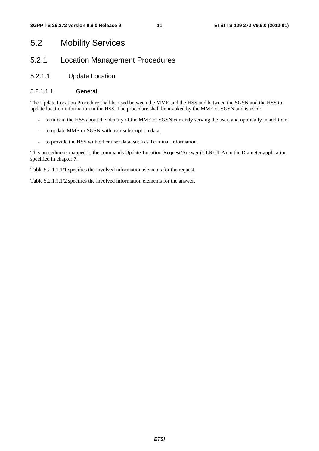## 5.2 Mobility Services

## 5.2.1 Location Management Procedures

## 5.2.1.1 Update Location

## 5.2.1.1.1 General

The Update Location Procedure shall be used between the MME and the HSS and between the SGSN and the HSS to update location information in the HSS. The procedure shall be invoked by the MME or SGSN and is used:

- to inform the HSS about the identity of the MME or SGSN currently serving the user, and optionally in addition;
- to update MME or SGSN with user subscription data;
- to provide the HSS with other user data, such as Terminal Information.

This procedure is mapped to the commands Update-Location-Request/Answer (ULR/ULA) in the Diameter application specified in chapter 7.

Table 5.2.1.1.1/1 specifies the involved information elements for the request.

Table 5.2.1.1.1/2 specifies the involved information elements for the answer.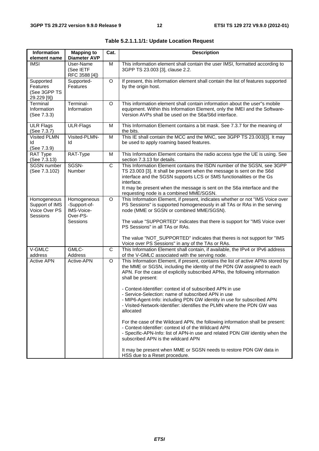| Information                                                 | <b>Mapping to</b>                                                 | Cat.         | <b>Description</b>                                                                                                                                                                                                                                                                                                                                                                                                                                                                                                                                                                                                                                                                                                                                                         |
|-------------------------------------------------------------|-------------------------------------------------------------------|--------------|----------------------------------------------------------------------------------------------------------------------------------------------------------------------------------------------------------------------------------------------------------------------------------------------------------------------------------------------------------------------------------------------------------------------------------------------------------------------------------------------------------------------------------------------------------------------------------------------------------------------------------------------------------------------------------------------------------------------------------------------------------------------------|
| element name                                                | <b>Diameter AVP</b>                                               |              |                                                                                                                                                                                                                                                                                                                                                                                                                                                                                                                                                                                                                                                                                                                                                                            |
| <b>IMSI</b>                                                 | User-Name<br>(See IETF<br>RFC 3588 [4])                           | M            | This information element shall contain the user IMSI, formatted according to<br>3GPP TS 23.003 [3], clause 2.2.                                                                                                                                                                                                                                                                                                                                                                                                                                                                                                                                                                                                                                                            |
| Supported<br><b>Features</b><br>(See 3GPP TS<br>29.229 [9]) | Supported-<br>Features                                            | O            | If present, this information element shall contain the list of features supported<br>by the origin host.                                                                                                                                                                                                                                                                                                                                                                                                                                                                                                                                                                                                                                                                   |
| Terminal<br>Information<br>(See 7.3.3)                      | Terminal-<br>Information                                          | O            | This information element shall contain information about the user"s mobile<br>equipment. Within this Information Element, only the IMEI and the Software-<br>Version AVPs shall be used on the S6a/S6d interface.                                                                                                                                                                                                                                                                                                                                                                                                                                                                                                                                                          |
| <b>ULR Flags</b><br>(See 7.3.7)                             | ULR-Flags                                                         | M            | This Information Element contains a bit mask. See 7.3.7 for the meaning of<br>the bits.                                                                                                                                                                                                                                                                                                                                                                                                                                                                                                                                                                                                                                                                                    |
| <b>Visited PLMN</b><br>ld<br>(See 7.3.9)                    | Visited-PLMN-<br>ld                                               | M            | This IE shall contain the MCC and the MNC, see 3GPP TS 23.003[3]. It may<br>be used to apply roaming based features.                                                                                                                                                                                                                                                                                                                                                                                                                                                                                                                                                                                                                                                       |
| RAT Type<br>(See 7.3.13)                                    | RAT-Type                                                          | M            | This Information Element contains the radio access type the UE is using. See<br>section 7.3.13 for details.                                                                                                                                                                                                                                                                                                                                                                                                                                                                                                                                                                                                                                                                |
| SGSN number<br>(See 7.3.102)                                | SGSN-<br>Number                                                   | $\mathsf{C}$ | This Information Element contains the ISDN number of the SGSN, see 3GPP<br>TS 23.003 [3]. It shall be present when the message is sent on the S6d<br>interface and the SGSN supports LCS or SMS functionalities or the Gs<br>interface.<br>It may be present when the message is sent on the S6a interface and the<br>requesting node is a combined MME/SGSN.                                                                                                                                                                                                                                                                                                                                                                                                              |
| Homogeneous<br>Support of IMS<br>Voice Over PS<br>Sessions  | Homogeneous<br>-Support-of-<br>IMS-Voice-<br>Over-PS-<br>Sessions | O            | This Information Element, if present, indicates whether or not "IMS Voice over<br>PS Sessions" is supported homogeneously in all TAs or RAs in the serving<br>node (MME or SGSN or combined MME/SGSN).<br>The value "SUPPORTED" indicates that there is support for "IMS Voice over<br>PS Sessions" in all TAs or RAs.<br>The value "NOT_SUPPORTED" indicates that theres is not support for "IMS<br>Voice over PS Sessions" in any of the TAs or RAs.                                                                                                                                                                                                                                                                                                                     |
| V-GMLC<br>address                                           | GMLC-<br>Address                                                  | $\mathsf{C}$ | This Information Element shall contain, if available, the IPv4 or IPv6 address<br>of the V-GMLC associated with the serving node.                                                                                                                                                                                                                                                                                                                                                                                                                                                                                                                                                                                                                                          |
| <b>Active APN</b>                                           | Active-APN                                                        | $\circ$      | This Information Element, if present, contains the list of active APNs stored by<br>the MME or SGSN, including the identity of the PDN GW assigned to each<br>APN. For the case of explicitly subscribed APNs, the following information<br>shall be present:<br>- Context-Identifier: context id of subscribed APN in use<br>- Service-Selection: name of subscribed APN in use<br>- MIP6-Agent-Info: including PDN GW identity in use for subscribed APN<br>- Visited-Network-Identifier: identifies the PLMN where the PDN GW was<br>allocated<br>For the case of the Wildcard APN, the following information shall be present:<br>- Context-Identifier: context id of the Wildcard APN<br>- Specific-APN-Info: list of APN-in use and related PDN GW identity when the |
|                                                             |                                                                   |              | subscribed APN is the wildcard APN<br>It may be present when MME or SGSN needs to restore PDN GW data in<br>HSS due to a Reset procedure.                                                                                                                                                                                                                                                                                                                                                                                                                                                                                                                                                                                                                                  |

**Table 5.2.1.1.1/1: Update Location Request**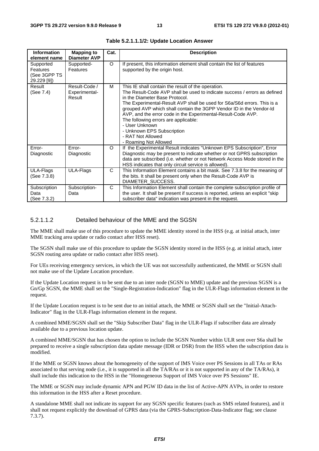| <b>Information</b><br>element name                   | <b>Mapping to</b><br><b>Diameter AVP</b> | Cat. | <b>Description</b>                                                                                                                                                                                                                                                                                                                                                                                                                                                                                                        |
|------------------------------------------------------|------------------------------------------|------|---------------------------------------------------------------------------------------------------------------------------------------------------------------------------------------------------------------------------------------------------------------------------------------------------------------------------------------------------------------------------------------------------------------------------------------------------------------------------------------------------------------------------|
| Supported<br>Features<br>(See 3GPP TS<br>29.229 [9]) | Supported-<br>Features                   | O    | If present, this information element shall contain the list of features<br>supported by the origin host.                                                                                                                                                                                                                                                                                                                                                                                                                  |
| Result<br>(See 7.4)                                  | Result-Code /<br>Experimental-<br>Result | м    | This IE shall contain the result of the operation.<br>The Result-Code AVP shall be used to indicate success / errors as defined<br>in the Diameter Base Protocol.<br>The Experimental-Result AVP shall be used for S6a/S6d errors. This is a<br>grouped AVP which shall contain the 3GPP Vendor ID in the Vendor-Id<br>AVP, and the error code in the Experimental-Result-Code AVP.<br>The following errors are applicable:<br>- User Unknown<br>- Unknown EPS Subscription<br>- RAT Not Allowed<br>- Roaming Not Allowed |
| Error-<br>Diagnostic                                 | Error-<br>Diagnostic                     | O    | If the Experimental Result indicates "Unknown EPS Subscription", Error<br>Diagnostic may be present to indicate whether or not GPRS subscription<br>data are subscribed (i.e. whether or not Network Access Mode stored in the<br>HSS indicates that only circuit service is allowed).                                                                                                                                                                                                                                    |
| ULA-Flags<br>(See 7.3.8)                             | ULA-Flags                                | C    | This Information Element contains a bit mask. See 7.3.8 for the meaning of<br>the bits. It shall be present only when the Result-Code AVP is<br>DIAMETER_SUCCESS.                                                                                                                                                                                                                                                                                                                                                         |
| Subscription<br>Data<br>(See 7.3.2)                  | Subscription-<br>Data                    | C    | This Information Element shall contain the complete subscription profile of<br>the user. It shall be present if success is reported, unless an explicit "skip"<br>subscriber data" indication was present in the request.                                                                                                                                                                                                                                                                                                 |

**Table 5.2.1.1.1/2: Update Location Answer** 

### 5.2.1.1.2 Detailed behaviour of the MME and the SGSN

The MME shall make use of this procedure to update the MME identity stored in the HSS (e.g. at initial attach, inter MME tracking area update or radio contact after HSS reset).

The SGSN shall make use of this procedure to update the SGSN identity stored in the HSS (e.g. at initial attach, inter SGSN routing area update or radio contact after HSS reset).

For UEs receiving emergency services, in which the UE was not successfully authenticated, the MME or SGSN shall not make use of the Update Location procedure.

If the Update Location request is to be sent due to an inter node (SGSN to MME) update and the previous SGSN is a Gn/Gp SGSN, the MME shall set the "Single-Registration-Indication" flag in the ULR-Flags information element in the request.

If the Update Location request is to be sent due to an initial attach, the MME or SGSN shall set the "Initial-Attach-Indicator" flag in the ULR-Flags information element in the request.

A combined MME/SGSN shall set the "Skip Subscriber Data" flag in the ULR-Flags if subscriber data are already available due to a previous location update.

A combined MME/SGSN that has chosen the option to include the SGSN Number within ULR sent over S6a shall be prepared to receive a single subscription data update message (IDR or DSR) from the HSS when the subscription data is modified.

If the MME or SGSN knows about the homogeneity of the support of IMS Voice over PS Sessions in all TAs or RAs associated to that serving node (i.e., it is supported in all the TA/RAs or it is not supported in any of the TA/RAs), it shall include this indication to the HSS in the "Homogeneous Support of IMS Voice over PS Sessions" IE.

The MME or SGSN may include dynamic APN and PGW ID data in the list of Active-APN AVPs, in order to restore this information in the HSS after a Reset procedure.

A standalone MME shall not indicate its support for any SGSN specific features (such as SMS related features), and it shall not request explicitly the download of GPRS data (via the GPRS-Subscription-Data-Indicator flag; see clause 7.3.7).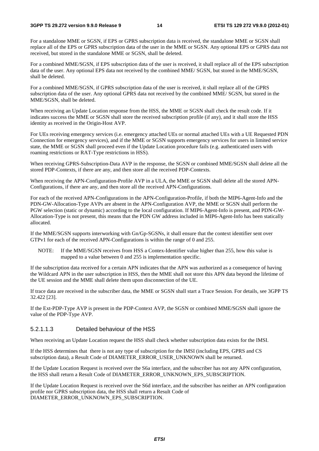#### **3GPP TS 29.272 version 9.9.0 Release 9 14 ETSI TS 129 272 V9.9.0 (2012-01)**

For a standalone MME or SGSN, if EPS or GPRS subscription data is received, the standalone MME or SGSN shall replace all of the EPS or GPRS subscription data of the user in the MME or SGSN. Any optional EPS or GPRS data not received, but stored in the standalone MME or SGSN, shall be deleted.

For a combined MME/SGSN, if EPS subscription data of the user is received, it shall replace all of the EPS subscription data of the user. Any optional EPS data not received by the combined MME/ SGSN, but stored in the MME/SGSN, shall be deleted.

For a combined MME/SGSN, if GPRS subscription data of the user is received, it shall replace all of the GPRS subscription data of the user. Any optional GPRS data not received by the combined MME/ SGSN, but stored in the MME/SGSN, shall be deleted.

When receiving an Update Location response from the HSS, the MME or SGSN shall check the result code. If it indicates success the MME or SGSN shall store the received subscription profile (if any), and it shall store the HSS identity as received in the Origin-Host AVP.

For UEs receiving emergency services (i.e. emergency attached UEs or normal attached UEs with a UE Requested PDN Connection for emergency services), and if the MME or SGSN supports emergency services for users in limited service state, the MME or SGSN shall proceed even if the Update Location procedure fails (e.g. authenticated users with roaming restrictions or RAT-Type restrictions in HSS).

When receiving GPRS-Subscription-Data AVP in the response, the SGSN or combined MME/SGSN shall delete all the stored PDP-Contexts, if there are any, and then store all the received PDP-Contexts.

When receiving the APN-Configuration-Profile AVP in a ULA, the MME or SGSN shall delete all the stored APN-Configurations, if there are any, and then store all the received APN-Configurations.

For each of the received APN-Configurations in the APN-Configuration-Profile, if both the MIP6-Agent-Info and the PDN-GW-Allocation-Type AVPs are absent in the APN-Configuration AVP, the MME or SGSN shall perform the PGW selection (static or dynamic) according to the local configuration. If MIP6-Agent-Info is present, and PDN-GW-Allocation-Type is not present, this means that the PDN GW address included in MIP6-Agent-Info has been statically allocated.

If the MME/SGSN supports interworking with Gn/Gp-SGSNs, it shall ensure that the context identifier sent over GTPv1 for each of the received APN-Configurations is within the range of 0 and 255.

NOTE: If the MME/SGSN receives from HSS a Contex-Identifier value higher than 255, how this value is mapped to a value between 0 and 255 is implementation specific.

If the subscription data received for a certain APN indicates that the APN was authorized as a consequence of having the Wildcard APN in the user subscription in HSS, then the MME shall not store this APN data beyond the lifetime of the UE session and the MME shall delete them upon disconnection of the UE.

If trace data are received in the subscriber data, the MME or SGSN shall start a Trace Session. For details, see 3GPP TS 32.422 [23].

If the Ext-PDP-Type AVP is present in the PDP-Context AVP, the SGSN or combined MME/SGSN shall ignore the value of the PDP-Type AVP.

## 5.2.1.1.3 Detailed behaviour of the HSS

When receiving an Update Location request the HSS shall check whether subscription data exists for the IMSI.

If the HSS determines that there is not any type of subscription for the IMSI (including EPS, GPRS and CS subscription data), a Result Code of DIAMETER\_ERROR\_USER\_UNKNOWN shall be returned.

If the Update Location Request is received over the S6a interface, and the subscriber has not any APN configuration, the HSS shall return a Result Code of DIAMETER\_ERROR\_UNKNOWN\_EPS\_SUBSCRIPTION.

If the Update Location Request is received over the S6d interface, and the subscriber has neither an APN configuration profile nor GPRS subscription data, the HSS shall return a Result Code of DIAMETER\_ERROR\_UNKNOWN\_EPS\_SUBSCRIPTION.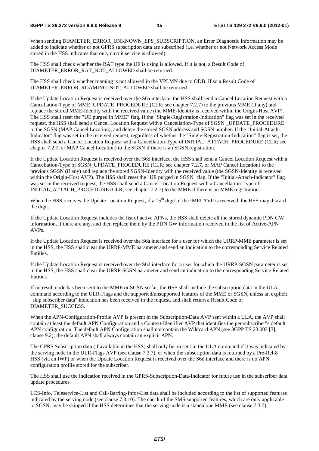#### **3GPP TS 29.272 version 9.9.0 Release 9 15 ETSI TS 129 272 V9.9.0 (2012-01)**

When sending DIAMETER\_ERROR\_UNKNOWN\_EPS\_SUBSCRIPTION, an Error Diagnostic information may be added to indicate whether or not GPRS subscription data are subscribed (i.e. whether or not Network Access Mode stored in the HSS indicates that only circuit service is allowed).

The HSS shall check whether the RAT type the UE is using is allowed. If it is not, a Result Code of DIAMETER\_ERROR\_RAT\_NOT\_ALLOWED shall be returned.

The HSS shall check whether roaming is not allowed in the VPLMN due to ODB. If so a Result Code of DIAMETER\_ERROR\_ROAMING\_NOT\_ALLOWED shall be returned.

If the Update Location Request is received over the S6a interface, the HSS shall send a Cancel Location Request with a Cancellation-Type of MME\_UPDATE\_PROCEDURE (CLR; see chapter 7.2.7) to the previous MME (if any) and replace the stored MME-Identity with the received value (the MME-Identity is received within the Origin-Host AVP). The HSS shall reset the "UE purged in MME" flag. If the "Single-Registration-Indication" flag was set in the received request, the HSS shall send a Cancel Location Request with a Cancellation-Type of SGSN \_UPDATE\_PROCEDURE to the SGSN (MAP Cancel Location), and delete the stored SGSN address and SGSN number. If the "Initial-Attach-Indicator" flag was set in the received request, regardless of whether the "Single-Registration-Indication" flag is set, the HSS shall send a Cancel Location Request with a Cancellation-Type of INITIAL\_ATTACH\_PROCEDURE (CLR; see chapter 7.2.7, or MAP Cancel Location) to the SGSN if there is an SGSN registration.

If the Update Location Request is received over the S6d interface, the HSS shall send a Cancel Location Request with a Cancellation-Type of SGSN\_UPDATE\_PROCEDURE (CLR; see chapter 7.2.7, or MAP Cancel Location) to the previous SGSN (if any) and replace the stored SGSN-Identity with the received value (the SGSN-Identity is received within the Origin-Host AVP). The HSS shall reset the "UE purged in SGSN" flag. If the "Initial-Attach-Indicator" flag was set in the received request, the HSS shall send a Cancel Location Request with a Cancellation-Type of INITIAL\_ATTACH\_PROCEDURE (CLR; see chapter 7.2.7) to the MME if there is an MME registration.

When the HSS receives the Update Location Request, if a 15<sup>th</sup> digit of the IMEI AVP is received, the HSS may discard the digit.

If the Update Location Request includes the list of active APNs, the HSS shall delete all the stored dynamic PDN GW information, if there are any, and then replace them by the PDN GW information received in the list of Active-APN AVPs.

If the Update Location Request is received over the S6a interface for a user for which the URRP-MME parameter is set in the HSS, the HSS shall clear the URRP-MME parameter and send an indication to the corresponding Service Related Entities.

If the Update Location Request is received over the S6d interface for a user for which the URRP-SGSN parameter is set in the HSS, the HSS shall clear the URRP-SGSN parameter and send an indication to the corresponding Service Related Entities.

If no result code has been sent to the MME or SGSN so far, the HSS shall include the subscription data in the ULA command according to the ULR-Flags and the supported/unsupported features of the MME or SGSN, unless an explicit "skip subscriber data" indication has been received in the request, and shall return a Result Code of DIAMETER\_SUCCESS.

When the APN-Configuration-Profile AVP is present in the Subscription-Data AVP sent within a ULA, the AVP shall contain at least the default APN Configuration and a Context-Identifier AVP that identifies the per subscriber"s default APN configuration. The default APN Configuration shall not contain the Wildcard APN (see 3GPP TS 23.003 [3], clause 9.2); the default APN shall always contain an explicit APN.

The GPRS Subscription data (if available in the HSS) shall only be present in the ULA command if it was indicated by the serving node in the ULR-Flags AVP (see clause 7.3.7), or when the subscription data is returned by a Pre-Rel-8 HSS (via an IWF) or when the Update Location Request is received over the S6d interface and there is no APN configuration profile stored for the subscriber.

The HSS shall use the indication received in the GPRS-Subscription-Data-Indicator for future use in the subscriber data update procedures.

LCS-Info, Teleservice-List and Call-Barring-Infor-List data shall be included according to the list of supported features indicated by the serving node (see clause 7.3.10). The check of the SMS supported features, which are only applicable to SGSN, may be skipped if the HSS determines that the serving node is a standalone MME (see clause 7.3.7).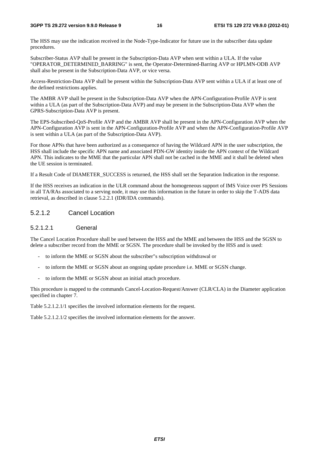The HSS may use the indication received in the Node-Type-Indicator for future use in the subscriber data update procedures.

Subscriber-Status AVP shall be present in the Subscription-Data AVP when sent within a ULA. If the value "OPERATOR\_DETERMINED\_BARRING" is sent, the Operator-Determined-Barring AVP or HPLMN-ODB AVP shall also be present in the Subscription-Data AVP, or vice versa.

Access-Restriction-Data AVP shall be present within the Subscription-Data AVP sent within a ULA if at least one of the defined restrictions applies.

The AMBR AVP shall be present in the Subscription-Data AVP when the APN-Configuration-Profile AVP is sent within a ULA (as part of the Subscription-Data AVP) and may be present in the Subscription-Data AVP when the GPRS-Subscription-Data AVP is present.

The EPS-Subscribed-QoS-Profile AVP and the AMBR AVP shall be present in the APN-Configuration AVP when the APN-Configuration AVP is sent in the APN-Configuration-Profile AVP and when the APN-Configuration-Profile AVP is sent within a ULA (as part of the Subscription-Data AVP).

For those APNs that have been authorized as a consequence of having the Wildcard APN in the user subscription, the HSS shall include the specific APN name and associated PDN-GW identity inside the APN context of the Wildcard APN. This indicates to the MME that the particular APN shall not be cached in the MME and it shall be deleted when the UE session is terminated.

If a Result Code of DIAMETER\_SUCCESS is returned, the HSS shall set the Separation Indication in the response.

If the HSS receives an indication in the ULR command about the homogeneous support of IMS Voice over PS Sessions in all TA/RAs associated to a serving node, it may use this information in the future in order to skip the T-ADS data retrieval, as described in clause 5.2.2.1 (IDR/IDA commands).

## 5.2.1.2 Cancel Location

## 5.2.1.2.1 General

The Cancel Location Procedure shall be used between the HSS and the MME and between the HSS and the SGSN to delete a subscriber record from the MME or SGSN. The procedure shall be invoked by the HSS and is used:

- to inform the MME or SGSN about the subscriber"s subscription withdrawal or
- to inform the MME or SGSN about an ongoing update procedure i.e. MME or SGSN change.
- to inform the MME or SGSN about an initial attach procedure.

This procedure is mapped to the commands Cancel-Location-Request/Answer (CLR/CLA) in the Diameter application specified in chapter 7.

Table 5.2.1.2.1/1 specifies the involved information elements for the request.

Table 5.2.1.2.1/2 specifies the involved information elements for the answer.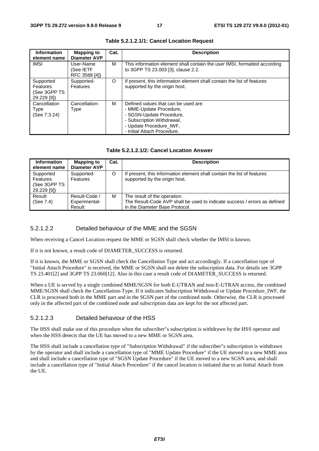| <b>Information</b><br>element name                          | <b>Mapping to</b><br><b>Diameter AVP</b> | Cat. | <b>Description</b>                                                                                                                                                                  |
|-------------------------------------------------------------|------------------------------------------|------|-------------------------------------------------------------------------------------------------------------------------------------------------------------------------------------|
| <b>IMSI</b>                                                 | User-Name<br>(See IETF<br>RFC 3588 [4])  | м    | This information element shall contain the user IMSI, formatted according<br>to 3GPP TS 23.003 [3], clause 2.2.                                                                     |
| Supported<br><b>Features</b><br>(See 3GPP TS<br>29.229 [9]) | Supported-<br>Features                   | O    | If present, this information element shall contain the list of features<br>supported by the origin host.                                                                            |
| Cancellation<br><b>Type</b><br>(See 7.3.24)                 | Cancellation-<br>Type                    | м    | Defined values that can be used are:<br>- MME-Update Procedure,<br>- SGSN-Update Procedure,<br>- Subscription Withdrawal,<br>- Update Procedure_IWF,<br>- Initial Attach Procedure. |

#### **Table 5.2.1.2.1/1: Cancel Location Request**

#### **Table 5.2.1.2.1/2: Cancel Location Answer**

| <b>Information</b><br>element name                   | <b>Mapping to</b><br><b>Diameter AVP</b> | Cat. | <b>Description</b>                                                                                                                          |
|------------------------------------------------------|------------------------------------------|------|---------------------------------------------------------------------------------------------------------------------------------------------|
| Supported<br>Features<br>(See 3GPP TS<br>29.229 [9]) | Supported-<br>Features                   | O    | If present, this information element shall contain the list of features<br>supported by the origin host.                                    |
| Result<br>(See 7.4)                                  | Result-Code /<br>Experimental-<br>Result | M    | The result of the operation.<br>The Result-Code AVP shall be used to indicate success / errors as defined<br>in the Diameter Base Protocol. |

## 5.2.1.2.2 Detailed behaviour of the MME and the SGSN

When receiving a Cancel Location request the MME or SGSN shall check whether the IMSI is known.

If it is not known, a result code of DIAMETER\_SUCCESS is returned.

If it is known, the MME or SGSN shall check the Cancellation Type and act accordingly. If a cancellation type of "Initial Attach Procedure" is received, the MME or SGSN shall not delete the subscription data. For details see 3GPP TS 23.401[2] and 3GPP TS 23.060[12]. Also in this case a result code of DIAMETER\_SUCCESS is returned.

When a UE is served by a single combined MME/SGSN for both E-UTRAN and non-E-UTRAN access, the combined MME/SGSN shall check the Cancellation-Type. If it indicates Subscription Withdrawal or Update Procedure IWF, the CLR is processed both in the MME part and in the SGSN part of the combined node. Otherwise, the CLR is processed only in the affected part of the combined node and subscription data are kept for the not affected part.

## 5.2.1.2.3 Detailed behaviour of the HSS

The HSS shall make use of this procedure when the subscriber"s subscription is withdrawn by the HSS operator and when the HSS detects that the UE has moved to a new MME or SGSN area.

The HSS shall include a cancellation type of "Subscription Withdrawal" if the subscriber"s subscription is withdrawn by the operator and shall include a cancellation type of "MME Update Procedure" if the UE moved to a new MME area and shall include a cancellation type of "SGSN Update Procedure" if the UE moved to a new SGSN area, and shall include a cancellation type of "Initial Attach Procedure" if the cancel location is initiated due to an Initial Attach from the UE.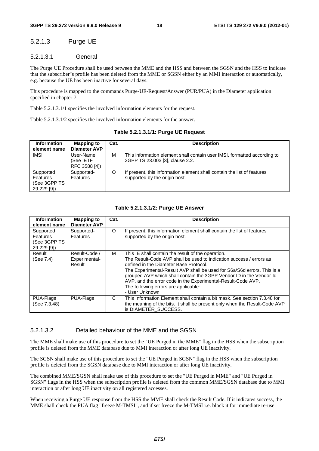## 5.2.1.3 Purge UE

## 5.2.1.3.1 General

The Purge UE Procedure shall be used between the MME and the HSS and between the SGSN and the HSS to indicate that the subscriber"s profile has been deleted from the MME or SGSN either by an MMI interaction or automatically, e.g. because the UE has been inactive for several days.

This procedure is mapped to the commands Purge-UE-Request/Answer (PUR/PUA) in the Diameter application specified in chapter 7.

Table 5.2.1.3.1/1 specifies the involved information elements for the request.

Table 5.2.1.3.1/2 specifies the involved information elements for the answer.

**Table 5.2.1.3.1/1: Purge UE Request** 

| <b>Information</b><br>element name                   | <b>Mapping to</b><br><b>Diameter AVP</b> | Cat. | <b>Description</b>                                                                                          |
|------------------------------------------------------|------------------------------------------|------|-------------------------------------------------------------------------------------------------------------|
| <b>IMSI</b>                                          | User-Name<br>(See IETF<br>RFC 3588 [4])  | M    | This information element shall contain user IMSI, formatted according to<br>3GPP TS 23.003 [3], clause 2.2. |
| Supported<br>Features<br>(See 3GPP TS<br>29.229 [9]) | Supported-<br>Features                   | O    | If present, this information element shall contain the list of features<br>supported by the origin host.    |

#### **Table 5.2.1.3.1/2: Purge UE Answer**

| <b>Information</b><br>element name                          | <b>Mapping to</b><br>Diameter AVP        | Cat. | <b>Description</b>                                                                                                                                                                                                                                                                                                                                                                                                                              |
|-------------------------------------------------------------|------------------------------------------|------|-------------------------------------------------------------------------------------------------------------------------------------------------------------------------------------------------------------------------------------------------------------------------------------------------------------------------------------------------------------------------------------------------------------------------------------------------|
| Supported<br><b>Features</b><br>(See 3GPP TS<br>29.229 [9]) | Supported-<br>Features                   | O    | If present, this information element shall contain the list of features<br>supported by the origin host.                                                                                                                                                                                                                                                                                                                                        |
| Result<br>(See 7.4)                                         | Result-Code /<br>Experimental-<br>Result | м    | This IE shall contain the result of the operation.<br>The Result-Code AVP shall be used to indication success / errors as<br>defined in the Diameter Base Protocol.<br>The Experimental-Result AVP shall be used for S6a/S6d errors. This is a<br>grouped AVP which shall contain the 3GPP Vendor ID in the Vendor-Id<br>AVP, and the error code in the Experimental-Result-Code AVP.<br>The following errors are applicable:<br>- User Unknown |
| PUA-Flags<br>(See 7.3.48)                                   | PUA-Flags                                | C    | This Information Element shall contain a bit mask. See section 7.3.48 for<br>the meaning of the bits. It shall be present only when the Result-Code AVP<br>is DIAMETER_SUCCESS.                                                                                                                                                                                                                                                                 |

#### 5.2.1.3.2 Detailed behaviour of the MME and the SGSN

The MME shall make use of this procedure to set the "UE Purged in the MME" flag in the HSS when the subscription profile is deleted from the MME database due to MMI interaction or after long UE inactivity.

The SGSN shall make use of this procedure to set the "UE Purged in SGSN" flag in the HSS when the subscription profile is deleted from the SGSN database due to MMI interaction or after long UE inactivity.

The combined MME/SGSN shall make use of this procedure to set the "UE Purged in MME" and "UE Purged in SGSN" flags in the HSS when the subscription profile is deleted from the common MME/SGSN database due to MMI interaction or after long UE inactivity on all registered accesses.

When receiving a Purge UE response from the HSS the MME shall check the Result Code. If it indicates success, the MME shall check the PUA flag "freeze M-TMSI", and if set freeze the M-TMSI i.e. block it for immediate re-use.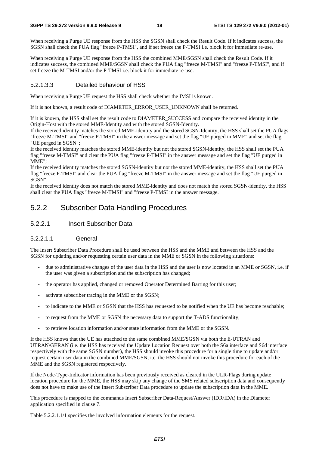#### **3GPP TS 29.272 version 9.9.0 Release 9 19 ETSI TS 129 272 V9.9.0 (2012-01)**

When receiving a Purge UE response from the HSS the SGSN shall check the Result Code. If it indicates success, the SGSN shall check the PUA flag "freeze P-TMSI", and if set freeze the P-TMSI i.e. block it for immediate re-use.

When receiving a Purge UE response from the HSS the combined MME/SGSN shall check the Result Code. If it indicates success, the combined MME/SGSN shall check the PUA flag "freeze M-TMSI" and "freeze P-TMSI", and if set freeze the M-TMSI and/or the P-TMSI i.e. block it for immediate re-use.

### 5.2.1.3.3 Detailed behaviour of HSS

When receiving a Purge UE request the HSS shall check whether the IMSI is known.

If it is not known, a result code of DIAMETER\_ERROR\_USER\_UNKNOWN shall be returned.

If it is known, the HSS shall set the result code to DIAMETER\_SUCCESS and compare the received identity in the Origin-Host with the stored MME-Identity and with the stored SGSN-Identity.

If the received identity matches the stored MME-identity and the stored SGSN-Identity, the HSS shall set the PUA flags "freeze M-TMSI" and "freeze P-TMSI" in the answer message and set the flag "UE purged in MME" and set the flag "UE purged in SGSN";

If the received identity matches the stored MME-identity but not the stored SGSN-identity, the HSS shall set the PUA flag "freeze M-TMSI" and clear the PUA flag "freeze P-TMSI" in the answer message and set the flag "UE purged in MME";

If the received identity matches the stored SGSN-identity but not the stored MME-identity, the HSS shall set the PUA flag "freeze P-TMSI" and clear the PUA flag "freeze M-TMSI" in the answer message and set the flag "UE purged in SGSN";

If the received identity does not match the stored MME-identity and does not match the stored SGSN-identity, the HSS shall clear the PUA flags "freeze M-TMSI" and "freeze P-TMSI in the answer message.

## 5.2.2 Subscriber Data Handling Procedures

## 5.2.2.1 Insert Subscriber Data

### 5.2.2.1.1 General

The Insert Subscriber Data Procedure shall be used between the HSS and the MME and between the HSS and the SGSN for updating and/or requesting certain user data in the MME or SGSN in the following situations:

- due to administrative changes of the user data in the HSS and the user is now located in an MME or SGSN, i.e. if the user was given a subscription and the subscription has changed;
- the operator has applied, changed or removed Operator Determined Barring for this user;
- activate subscriber tracing in the MME or the SGSN;
- to indicate to the MME or SGSN that the HSS has requested to be notified when the UE has become reachable;
- to request from the MME or SGSN the necessary data to support the T-ADS functionality;
- to retrieve location information and/or state information from the MME or the SGSN.

If the HSS knows that the UE has attached to the same combined MME/SGSN via both the E-UTRAN and UTRAN/GERAN (i.e. the HSS has received the Update Location Request over both the S6a interface and S6d interface respectively with the same SGSN number), the HSS should invoke this procedure for a single time to update and/or request certain user data in the combined MME/SGSN, i.e. the HSS should not invoke this procedure for each of the MME and the SGSN registered respectively.

If the Node-Type-Indicator information has been previously received as cleared in the ULR-Flags during update location procedure for the MME, the HSS may skip any change of the SMS related subscription data and consequently does not have to make use of the Insert Subscriber Data procedure to update the subscription data in the MME.

This procedure is mapped to the commands Insert Subscriber Data-Request/Answer (IDR/IDA) in the Diameter application specified in clause 7.

Table 5.2.2.1.1/1 specifies the involved information elements for the request.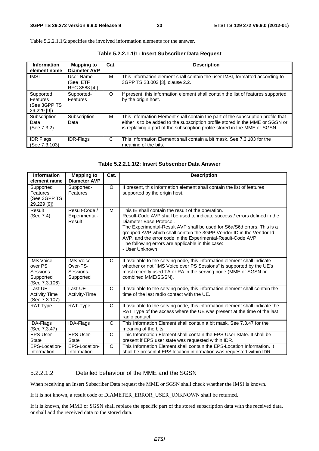Table 5.2.2.1.1/2 specifies the involved information elements for the answer.

| <b>Information</b><br>element name                   | <b>Mapping to</b><br>Diameter AVP       | Cat. | <b>Description</b>                                                                                                                                                                                                                               |
|------------------------------------------------------|-----------------------------------------|------|--------------------------------------------------------------------------------------------------------------------------------------------------------------------------------------------------------------------------------------------------|
| <b>IMSI</b>                                          | User-Name<br>(See IETF<br>RFC 3588 [4]) | м    | This information element shall contain the user IMSI, formatted according to<br>3GPP TS 23.003 [3], clause 2.2.                                                                                                                                  |
| Supported<br>Features<br>(See 3GPP TS<br>29.229 [9]) | Supported-<br>Features                  | O    | If present, this information element shall contain the list of features supported<br>by the origin host.                                                                                                                                         |
| Subscription<br>Data<br>(See 7.3.2)                  | Subscription-<br>Data                   | м    | This Information Element shall contain the part of the subscription profile that<br>either is to be added to the subscription profile stored in the MME or SGSN or<br>is replacing a part of the subscription profile stored in the MME or SGSN. |
| <b>IDR Flags</b><br>(See 7.3.103)                    | <b>IDR-Flags</b>                        | C    | This Information Element shall contain a bit mask. See 7.3.103 for the<br>meaning of the bits.                                                                                                                                                   |

**Table 5.2.2.1.1/1: Insert Subscriber Data Request** 

| Table 5.2.2.1.1/2: Insert Subscriber Data Answer |  |  |  |  |
|--------------------------------------------------|--|--|--|--|
|--------------------------------------------------|--|--|--|--|

| <b>Information</b><br>element name                                    | <b>Mapping to</b><br><b>Diameter AVP</b>         | Cat.         | <b>Description</b>                                                                                                                                                                                                                                                                                                                                                                                                                                  |
|-----------------------------------------------------------------------|--------------------------------------------------|--------------|-----------------------------------------------------------------------------------------------------------------------------------------------------------------------------------------------------------------------------------------------------------------------------------------------------------------------------------------------------------------------------------------------------------------------------------------------------|
| Supported<br>Features<br>(See 3GPP TS<br>29.229 [9])                  | Supported-<br>Features                           | $\circ$      | If present, this information element shall contain the list of features<br>supported by the origin host.                                                                                                                                                                                                                                                                                                                                            |
| Result<br>(See 7.4)                                                   | Result-Code /<br>Experimental-<br>Result         | м            | This IE shall contain the result of the operation.<br>Result-Code AVP shall be used to indicate success / errors defined in the<br>Diameter Base Protocol.<br>The Experimental-Result AVP shall be used for S6a/S6d errors. This is a<br>grouped AVP which shall contain the 3GPP Vendor ID in the Vendor-Id<br>AVP, and the error code in the Experimental-Result-Code AVP.<br>The following errors are applicable in this case:<br>- User Unknown |
| <b>IMS Voice</b><br>over PS<br>Sessions<br>Supported<br>(See 7.3.106) | IMS-Voice-<br>Over-PS-<br>Sessions-<br>Supported | $\mathsf{C}$ | If available to the serving node, this information element shall indicate<br>whether or not "IMS Voice over PS Sessions" is supported by the UE's<br>most recently used TA or RA in the serving node (MME or SGSN or<br>combined MME/SGSN).                                                                                                                                                                                                         |
| Last UE<br><b>Activity Time</b><br>(See 7.3.107)                      | Last-UE-<br>Activity-Time                        | C            | If available to the serving node, this information element shall contain the<br>time of the last radio contact with the UE.                                                                                                                                                                                                                                                                                                                         |
| <b>RAT Type</b>                                                       | RAT-Type                                         | $\mathsf{C}$ | If available to the serving node, this information element shall indicate the<br>RAT Type of the access where the UE was present at the time of the last<br>radio contact.                                                                                                                                                                                                                                                                          |
| IDA-Flags<br>(See 7.3.47)                                             | IDA-Flags                                        | C            | This Information Element shall contain a bit mask. See 7.3.47 for the<br>meaning of the bits.                                                                                                                                                                                                                                                                                                                                                       |
| EPS-User-<br><b>State</b>                                             | EPS-User-<br><b>State</b>                        | C            | This Information Element shall contain the EPS-User State. It shall be<br>present if EPS user state was requested within IDR.                                                                                                                                                                                                                                                                                                                       |
| EPS-Location-<br>Information                                          | EPS-Location-<br>Information                     | C            | This Information Element shall contain the EPS-Location Information. It<br>shall be present if EPS location information was requested within IDR.                                                                                                                                                                                                                                                                                                   |

## 5.2.2.1.2 Detailed behaviour of the MME and the SGSN

When receiving an Insert Subscriber Data request the MME or SGSN shall check whether the IMSI is known.

If it is not known, a result code of DIAMETER\_ERROR\_USER\_UNKNOWN shall be returned.

If it is known, the MME or SGSN shall replace the specific part of the stored subscription data with the received data, or shall add the received data to the stored data.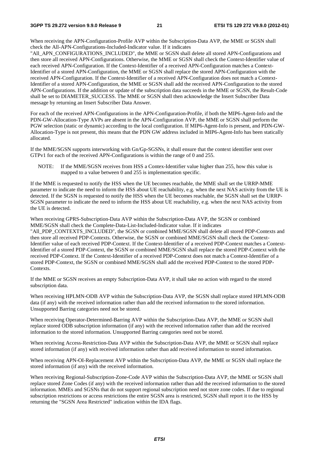When receiving the APN-Configuration-Profile AVP within the Subscription-Data AVP, the MME or SGSN shall check the All-APN-Configurations-Included-Indicator value. If it indicates

"All\_APN\_CONFIGURATIONS\_INCLUDED", the MME or SGSN shall delete all stored APN-Configurations and then store all received APN-Configurations. Otherwise, the MME or SGSN shall check the Context-Identifier value of each received APN-Configuration. If the Context-Identifier of a received APN-Configuration matches a Context-Identifier of a stored APN-Configuration, the MME or SGSN shall replace the stored APN-Configuration with the received APN-Configuration. If the Context-Identifier of a received APN-Configuration does not match a Context-Identifier of a stored APN-Configuration, the MME or SGSN shall add the received APN-Configuration to the stored APN-Configurations. If the addition or update of the subscription data succeeds in the MME or SGSN, the Result-Code shall be set to DIAMETER\_SUCCESS. The MME or SGSN shall then acknowledge the Insert Subscriber Data message by returning an Insert Subscriber Data Answer.

For each of the received APN-Configurations in the APN-Configuration-Profile, if both the MIP6-Agent-Info and the PDN-GW-Allocation-Type AVPs are absent in the APN-Configuration AVP, the MME or SGSN shall perform the PGW selection (static or dynamic) according to the local configuration. If MIP6-Agent-Info is present, and PDN-GW-Allocation-Type is not present, this means that the PDN GW address included in MIP6-Agent-Info has been statically allocated.

If the MME/SGSN supports interworking with Gn/Gp-SGSNs, it shall ensure that the context identifier sent over GTPv1 for each of the received APN-Configurations is within the range of 0 and 255.

NOTE: If the MME/SGSN receives from HSS a Contex-Identifier value higher than 255, how this value is mapped to a value between 0 and 255 is implementation specific.

If the MME is requested to notify the HSS when the UE becomes reachable, the MME shall set the URRP-MME parameter to indicate the need to inform the HSS about UE reachability, e.g. when the next NAS activity from the UE is detected. If the SGSN is requested to notify the HSS when the UE becomes reachable, the SGSN shall set the URRP-SGSN parameter to indicate the need to inform the HSS about UE reachability, e.g. when the next NAS activity from the UE is detected.

When receiving GPRS-Subscription-Data AVP within the Subscription-Data AVP, the SGSN or combined MME/SGSN shall check the Complete-Data-List-Included-Indicator value. If it indicates "All\_PDP\_CONTEXTS\_INCLUDED", the SGSN or combined MME/SGSN shall delete all stored PDP-Contexts and then store all received PDP-Contexts. Otherwise, the SGSN or combined MME/SGSN shall check the Context-Identifier value of each received PDP-Context. If the Context-Identifier of a received PDP-Context matches a Context-Identifier of a stored PDP-Context, the SGSN or combined MME/SGSN shall replace the stored PDP-Context with the received PDP-Context. If the Context-Identifier of a received PDP-Context does not match a Context-Identifier of a stored PDP-Context, the SGSN or combined MME/SGSN shall add the received PDP-Context to the stored PDP-**Contexts** 

If the MME or SGSN receives an empty Subscription-Data AVP, it shall take no action with regard to the stored subscription data.

When receiving HPLMN-ODB AVP within the Subscription-Data AVP, the SGSN shall replace stored HPLMN-ODB data (if any) with the received information rather than add the received information to the stored information. Unsupported Barring categories need not be stored.

When receiving Operator-Determined-Barring AVP within the Subscription-Data AVP, the MME or SGSN shall replace stored ODB subscription information (if any) with the received information rather than add the received information to the stored information. Unsupported Barring categories need not be stored.

When receiving Access-Restriction-Data AVP within the Subscription-Data AVP, the MME or SGSN shall replace stored information (if any) with received information rather than add received information to stored information.

When receiving APN-OI-Replacement AVP within the Subscription-Data AVP, the MME or SGSN shall replace the stored information (if any) with the received information.

When receiving Regional-Subscription-Zone-Code AVP within the Subscription-Data AVP, the MME or SGSN shall replace stored Zone Codes (if any) with the received information rather than add the received information to the stored information. MMEs and SGSNs that do not support regional subscription need not store zone codes. If due to regional subscription restrictions or access restrictions the entire SGSN area is restricted, SGSN shall report it to the HSS by returning the "SGSN Area Restricted" indication within the IDA flags.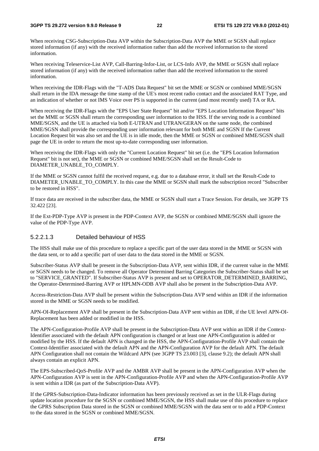When receiving CSG-Subscription-Data AVP within the Subscription-Data AVP the MME or SGSN shall replace stored information (if any) with the received information rather than add the received information to the stored information.

When receiving Teleservice-List AVP, Call-Barring-Infor-List, or LCS-Info AVP, the MME or SGSN shall replace stored information (if any) with the received information rather than add the received information to the stored information.

When receiving the IDR-Flags with the "T-ADS Data Request" bit set the MME or SGSN or combined MME/SGSN shall return in the IDA message the time stamp of the UE's most recent radio contact and the associated RAT Type, and an indication of whether or not IMS Voice over PS is supported in the current (and most recently used) TA or RA.

When receiving the IDR-Flags with the "EPS User State Request" bit and/or "EPS Location Information Request" bits set the MME or SGSN shall return the corresponding user information to the HSS. If the serving node is a combined MME/SGSN, and the UE is attached via both E-UTRAN and UTRAN/GERAN on the same node, the combined MME/SGSN shall provide the corresponding user information relevant for both MME and SGSN If the Current Location Request bit was also set and the UE is in idle mode, then the MME or SGSN or combined MME/SGSN shall page the UE in order to return the most up-to-date corresponding user information.

When receiving the IDR-Flags with only the "Current Location Request" bit set (i.e. the "EPS Location Information Request" bit is not set), the MME or SGSN or combined MME/SGSN shall set the Result-Code to DIAMETER\_UNABLE\_TO\_COMPLY.

If the MME or SGSN cannot fulfil the received request, e.g. due to a database error, it shall set the Result-Code to DIAMETER\_UNABLE\_TO\_COMPLY. In this case the MME or SGSN shall mark the subscription record "Subscriber to be restored in HSS".

If trace data are received in the subscriber data, the MME or SGSN shall start a Trace Session. For details, see 3GPP TS 32.422 [23].

If the Ext-PDP-Type AVP is present in the PDP-Context AVP, the SGSN or combined MME/SGSN shall ignore the value of the PDP-Type AVP.

## 5.2.2.1.3 Detailed behaviour of HSS

The HSS shall make use of this procedure to replace a specific part of the user data stored in the MME or SGSN with the data sent, or to add a specific part of user data to the data stored in the MME or SGSN.

Subscriber-Status AVP shall be present in the Subscription-Data AVP, sent within IDR, if the current value in the MME or SGSN needs to be changed. To remove all Operator Determined Barring Categories the Subscriber-Status shall be set to "SERVICE\_GRANTED". If Subscriber-Status AVP is present and set to OPERATOR\_DETERMINED\_BARRING, the Operator-Determined-Barring AVP or HPLMN-ODB AVP shall also be present in the Subscription-Data AVP.

Access-Restriction-Data AVP shall be present within the Subscription-Data AVP send within an IDR if the information stored in the MME or SGSN needs to be modified.

APN-OI-Replacement AVP shall be present in the Subscription-Data AVP sent within an IDR, if the UE level APN-OI-Replacement has been added or modified in the HSS.

The APN-Configuration-Profile AVP shall be present in the Subscription-Data AVP sent within an IDR if the Context-Identifier associated with the default APN configuration is changed or at least one APN-Configuration is added or modified by the HSS. If the default APN is changed in the HSS, the APN-Configuration-Profile AVP shall contain the Context-Identifier associated with the default APN and the APN-Configuration AVP for the default APN. The default APN Configuration shall not contain the Wildcard APN (see 3GPP TS 23.003 [3], clause 9.2); the default APN shall always contain an explicit APN.

The EPS-Subscribed-QoS-Profile AVP and the AMBR AVP shall be present in the APN-Configuration AVP when the APN-Configuration AVP is sent in the APN-Configuration-Profile AVP and when the APN-Configuration-Profile AVP is sent within a IDR (as part of the Subscription-Data AVP).

If the GPRS-Subscription-Data-Indicator information has been previously received as set in the ULR-Flags during update location procedure for the SGSN or combined MME/SGSN, the HSS shall make use of this procedure to replace the GPRS Subscription Data stored in the SGSN or combined MME/SGSN with the data sent or to add a PDP-Context to the data stored in the SGSN or combined MME/SGSN.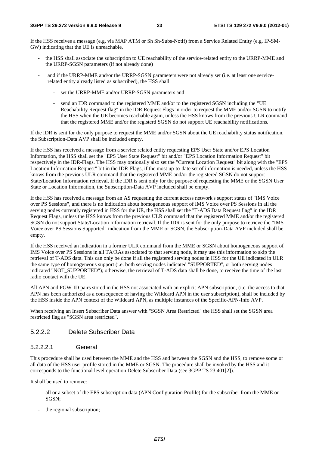If the HSS receives a message (e.g. via MAP ATM or Sh Sh-Subs-Notif) from a Service Related Entity (e.g. IP-SM-GW) indicating that the UE is unreachable,

- the HSS shall associate the subscription to UE reachability of the service-related entity to the URRP-MME and the URRP-SGSN parameters (if not already done)
- and if the URRP-MME and/or the URRP-SGSN parameters were not already set (i.e. at least one servicerelated entity already listed as subscribed), the HSS shall
	- set the URRP-MME and/or URRP-SGSN parameters and
	- send an IDR command to the registered MME and/or to the registered SGSN including the "UE Reachability Request flag" in the IDR Request Flags in order to request the MME and/or SGSN to notify the HSS when the UE becomes reachable again, unless the HSS knows from the previous ULR command that the registered MME and/or the registerd SGSN do not support UE reachability notifications.

If the IDR is sent for the only purpose to request the MME and/or SGSN about the UE reachability status notification, the Subscription-Data AVP shall be included empty.

If the HSS has received a message from a service related entity requesting EPS User State and/or EPS Location Information, the HSS shall set the "EPS User State Request" bit and/or "EPS Location Information Request" bit respectively in the IDR-Flags. The HSS may optionally also set the "Current Location Request" bit along with the "EPS Location Information Request" bit in the IDR-Flags, if the most up-to-date set of information is needed, unless the HSS knows from the previous ULR command that the registered MME and/or the registered SGSN do not support State/Location Information retrieval. If the IDR is sent only for the purpose of requesting the MME or the SGSN User State or Location Information, the Subscription-Data AVP included shall be empty.

If the HSS has received a message from an AS requesting the current access network's support status of "IMS Voice over PS Sessions", and there is no indication about homogeneous support of IMS Voice over PS Sessions in all the serving nodes currently registered in HSS for the UE, the HSS shall set the "T-ADS Data Request flag" in the IDR Request Flags, unless the HSS knows from the previous ULR command that the registered MME and/or the registered SGSN do not support State/Location Information retrieval. If the IDR is sent for the only purpose to retrieve the "IMS Voice over PS Sessions Supported" indication from the MME or SGSN, the Subscription-Data AVP included shall be empty.

If the HSS received an indication in a former ULR command from the MME or SGSN about homogeneous support of IMS Voice over PS Sessions in all TA/RAs associated to that serving node, it may use this information to skip the retrieval of T-ADS data. This can only be done if all the registered serving nodes in HSS for the UE indicated in ULR the same type of homogeneous support (i.e. both serving nodes indicated "SUPPORTED", or both serving nodes indicated "NOT\_SUPPORTED"); otherwise, the retrieval of T-ADS data shall be done, to receive the time of the last radio contact with the UE.

All APN and PGW-ID pairs stored in the HSS not associated with an explicit APN subscription, (i.e. the access to that APN has been authorized as a consequence of having the Wildcard APN in the user subscription), shall be included by the HSS inside the APN context of the Wildcard APN, as multiple instances of the Specific-APN-Info AVP.

When receiving an Insert Subscriber Data answer with "SGSN Area Restricted" the HSS shall set the SGSN area restricted flag as "SGSN area restricted".

## 5.2.2.2 Delete Subscriber Data

#### 5.2.2.2.1 General

This procedure shall be used between the MME and the HSS and between the SGSN and the HSS, to remove some or all data of the HSS user profile stored in the MME or SGSN. The procedure shall be invoked by the HSS and it corresponds to the functional level operation Delete Subscriber Data (see 3GPP TS 23.401[2]).

It shall be used to remove:

- all or a subset of the EPS subscription data (APN Configuration Profile) for the subscriber from the MME or SGSN;
- the regional subscription;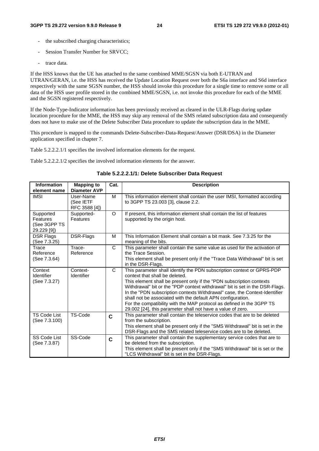- the subscribed charging characteristics;
- Session Transfer Number for SRVCC;
- trace data.

If the HSS knows that the UE has attached to the same combined MME/SGSN via both E-UTRAN and UTRAN/GERAN, i.e. the HSS has received the Update Location Request over both the S6a interface and S6d interface respectively with the same SGSN number, the HSS should invoke this procedure for a single time to remove some or all data of the HSS user profile stored in the combined MME/SGSN, i.e. not invoke this procedure for each of the MME and the SGSN registered respectively.

If the Node-Type-Indicator information has been previously received as cleared in the ULR-Flags during update location procedure for the MME, the HSS may skip any removal of the SMS related subscription data and consequently does not have to make use of the Delete Subscriber Data procedure to update the subscription data in the MME.

This procedure is mapped to the commands Delete-Subscriber-Data-Request/Answer (DSR/DSA) in the Diameter application specified in chapter 7.

Table 5.2.2.2.1/1 specifies the involved information elements for the request.

Table 5.2.2.2.1/2 specifies the involved information elements for the answer.

| Table 5.2.2.2.1/1: Delete Subscriber Data Request |  |
|---------------------------------------------------|--|
|---------------------------------------------------|--|

| <b>Information</b><br>element name                   | <b>Mapping to</b><br><b>Diameter AVP</b> | Cat.         | <b>Description</b>                                                                                                                                                                                                                                                                                                                                                                                                                                                                                                                                    |  |
|------------------------------------------------------|------------------------------------------|--------------|-------------------------------------------------------------------------------------------------------------------------------------------------------------------------------------------------------------------------------------------------------------------------------------------------------------------------------------------------------------------------------------------------------------------------------------------------------------------------------------------------------------------------------------------------------|--|
| <b>IMSI</b>                                          | User-Name<br>(See IETF<br>RFC 3588 [4])  | M            | This information element shall contain the user IMSI, formatted according<br>to 3GPP TS 23.003 [3], clause 2.2.                                                                                                                                                                                                                                                                                                                                                                                                                                       |  |
| Supported<br>Features<br>(See 3GPP TS<br>29.229 [9]) | Supported-<br>Features                   | $\circ$      | If present, this information element shall contain the list of features<br>supported by the origin host.                                                                                                                                                                                                                                                                                                                                                                                                                                              |  |
| <b>DSR Flags</b><br>(See 7.3.25)                     | DSR-Flags                                | M            | This Information Element shall contain a bit mask. See 7.3.25 for the<br>meaning of the bits.                                                                                                                                                                                                                                                                                                                                                                                                                                                         |  |
| Trace<br>Reference<br>(See 7.3.64)                   | Trace-<br>Reference                      | C            | This parameter shall contain the same value as used for the activation of<br>the Trace Session.<br>This element shall be present only if the "Trace Data Withdrawal" bit is set<br>in the DSR-Flags.                                                                                                                                                                                                                                                                                                                                                  |  |
| Context<br>Identifier<br>(See 7.3.27)                | Context-<br>Identifier                   | $\mathsf{C}$ | This parameter shall identify the PDN subscription context or GPRS-PDP<br>context that shall be deleted.<br>This element shall be present only if the "PDN subscription contexts<br>Withdrawal" bit or the "PDP context withdrawal" bit is set in the DSR-Flags.<br>In the "PDN subscription contexts Withdrawal" case, the Context-Identifier<br>shall not be associated with the default APN configuration.<br>For the compatibility with the MAP protocol as defined in the 3GPP TS<br>29.002 [24], this parameter shall not have a value of zero. |  |
| <b>TS Code List</b><br>(See 7.3.100)                 | TS-Code                                  | C            | This parameter shall contain the teleservice codes that are to be deleted<br>from the subscription.<br>This element shall be present only if the "SMS Withdrawal" bit is set in the<br>DSR-Flags and the SMS related teleservice codes are to be deleted.                                                                                                                                                                                                                                                                                             |  |
| SS Code List<br>(See 7.3.87)                         | SS-Code                                  | $\mathbf c$  | This parameter shall contain the supplementary service codes that are to<br>be deleted from the subscription.<br>This element shall be present only if the "SMS Withdrawal" bit is set or the<br>"LCS Withdrawal" bit is set in the DSR-Flags.                                                                                                                                                                                                                                                                                                        |  |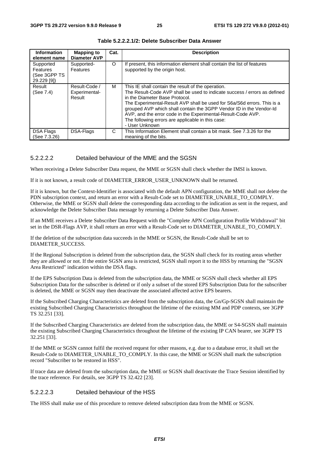| <b>Information</b><br>element name                          | <b>Mapping to</b><br><b>Diameter AVP</b> | Cat.    | <b>Description</b>                                                                                                                                                                                                                                                                                                                                                                                                                                         |
|-------------------------------------------------------------|------------------------------------------|---------|------------------------------------------------------------------------------------------------------------------------------------------------------------------------------------------------------------------------------------------------------------------------------------------------------------------------------------------------------------------------------------------------------------------------------------------------------------|
| Supported<br><b>Features</b><br>(See 3GPP TS<br>29.229 [9]) | Supported-<br>Features                   | $\circ$ | If present, this information element shall contain the list of features<br>supported by the origin host.                                                                                                                                                                                                                                                                                                                                                   |
| Result<br>(See 7.4)                                         | Result-Code /<br>Experimental-<br>Result | М       | This IE shall contain the result of the operation.<br>The Result-Code AVP shall be used to indicate success / errors as defined<br>in the Diameter Base Protocol.<br>The Experimental-Result AVP shall be used for S6a/S6d errors. This is a<br>grouped AVP which shall contain the 3GPP Vendor ID in the Vendor-Id<br>AVP, and the error code in the Experimental-Result-Code AVP.<br>The following errors are applicable in this case:<br>- User Unknown |
| DSA Flags<br>(See 7.3.26)                                   | DSA-Flags                                | C       | This Information Element shall contain a bit mask. See 7.3.26 for the<br>meaning of the bits.                                                                                                                                                                                                                                                                                                                                                              |

**Table 5.2.2.2.1/2: Delete Subscriber Data Answer** 

## 5.2.2.2.2 Detailed behaviour of the MME and the SGSN

When receiving a Delete Subscriber Data request, the MME or SGSN shall check whether the IMSI is known.

If it is not known, a result code of DIAMETER\_ERROR\_USER\_UNKNOWN shall be returned.

If it is known, but the Context-Identifier is associated with the default APN configuration, the MME shall not delete the PDN subscription context, and return an error with a Result-Code set to DIAMETER\_UNABLE\_TO\_COMPLY. Otherwise, the MME or SGSN shall delete the corresponding data according to the indication as sent in the request, and acknowledge the Delete Subscriber Data message by returning a Delete Subscriber Data Answer.

If an MME receives a Delete Subscriber Data Request with the "Complete APN Configuration Profile Withdrawal" bit set in the DSR-Flags AVP, it shall return an error with a Result-Code set to DIAMETER\_UNABLE\_TO\_COMPLY.

If the deletion of the subscription data succeeds in the MME or SGSN, the Result-Code shall be set to DIAMETER\_SUCCESS.

If the Regional Subscription is deleted from the subscription data, the SGSN shall check for its routing areas whether they are allowed or not. If the entire SGSN area is restricted, SGSN shall report it to the HSS by returning the "SGSN Area Restricted" indication within the DSA flags.

If the EPS Subscription Data is deleted from the subscription data, the MME or SGSN shall check whether all EPS Subscription Data for the subscriber is deleted or if only a subset of the stored EPS Subscription Data for the subscriber is deleted, the MME or SGSN may then deactivate the associated affected active EPS bearers.

If the Subscribed Charging Characteristics are deleted from the subscription data, the Gn/Gp-SGSN shall maintain the existing Subscribed Charging Characteristics throughout the lifetime of the existing MM and PDP contexts, see 3GPP TS 32.251 [33].

If the Subscribed Charging Characteristics are deleted from the subscription data, the MME or S4-SGSN shall maintain the existing Subscribed Charging Characteristics throughout the lifetime of the existing IP CAN bearer, see 3GPP TS 32.251 [33].

If the MME or SGSN cannot fulfil the received request for other reasons, e.g. due to a database error, it shall set the Result-Code to DIAMETER\_UNABLE\_TO\_COMPLY. In this case, the MME or SGSN shall mark the subscription record "Subscriber to be restored in HSS".

If trace data are deleted from the subscription data, the MME or SGSN shall deactivate the Trace Session identified by the trace reference. For details, see 3GPP TS 32.422 [23].

#### 5.2.2.2.3 Detailed behaviour of the HSS

The HSS shall make use of this procedure to remove deleted subscription data from the MME or SGSN.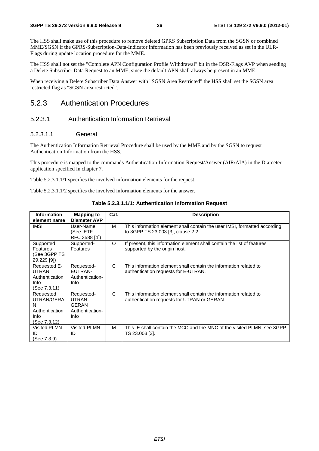The HSS shall make use of this procedure to remove deleted GPRS Subscription Data from the SGSN or combined MME/SGSN if the GPRS-Subscription-Data-Indicator information has been previously received as set in the ULR-Flags during update location procedure for the MME.

The HSS shall not set the "Complete APN Configuration Profile Withdrawal" bit in the DSR-Flags AVP when sending a Delete Subscriber Data Request to an MME, since the default APN shall always be present in an MME.

When receiving a Delete Subscriber Data Answer with "SGSN Area Restricted" the HSS shall set the SGSN area restricted flag as "SGSN area restricted".

## 5.2.3 Authentication Procedures

## 5.2.3.1 Authentication Information Retrieval

## 5.2.3.1.1 General

The Authentication Information Retrieval Procedure shall be used by the MME and by the SGSN to request Authentication Information from the HSS.

This procedure is mapped to the commands Authentication-Information-Request/Answer (AIR/AIA) in the Diameter application specified in chapter 7.

Table 5.2.3.1.1/1 specifies the involved information elements for the request.

Table 5.2.3.1.1/2 specifies the involved information elements for the answer.

| <b>Information</b><br>element name                                     | <b>Mapping to</b><br><b>Diameter AVP</b>                        | Cat.         | <b>Description</b>                                                                                               |
|------------------------------------------------------------------------|-----------------------------------------------------------------|--------------|------------------------------------------------------------------------------------------------------------------|
| <b>IMSI</b>                                                            | User-Name<br>(See IETF<br>RFC 3588 [4])                         | M            | This information element shall contain the user IMSI, formatted according<br>to 3GPP TS 23.003 [3], clause 2.2.  |
| Supported<br>Features<br>(See 3GPP TS<br>29.229 [9])                   | Supported-<br>Features                                          | O            | If present, this information element shall contain the list of features<br>supported by the origin host.         |
| Requested E-<br><b>UTRAN</b><br>Authentication<br>Info<br>(See 7.3.11) | Requested-<br>EUTRAN-<br>Authentication-<br>Info                | C            | This information element shall contain the information related to<br>authentication requests for E-UTRAN.        |
| Requested<br>UTRAN/GERA<br>N<br>Authentication<br>Info<br>(See 7.3.12) | Requested-<br>UTRAN-<br><b>GERAN</b><br>Authentication-<br>Info | $\mathsf{C}$ | This information element shall contain the information related to<br>authentication requests for UTRAN or GERAN. |
| Visited PLMN<br>ID<br>(See 7.3.9)                                      | Visited-PLMN-<br>ID                                             | M            | This IE shall contain the MCC and the MNC of the visited PLMN, see 3GPP<br>TS 23.003 [3].                        |

**Table 5.2.3.1.1/1: Authentication Information Request**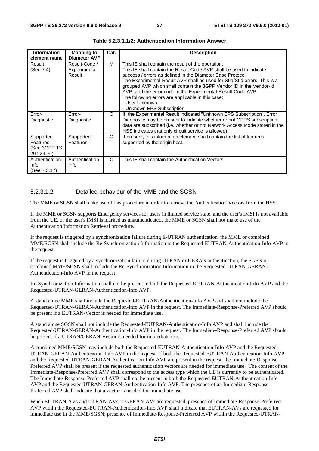| <b>Information</b><br>element name                   | <b>Mapping to</b><br><b>Diameter AVP</b> | Cat.     | <b>Description</b>                                                                                                                                                                                                                                                                                                                                                                                                                                                                                             |
|------------------------------------------------------|------------------------------------------|----------|----------------------------------------------------------------------------------------------------------------------------------------------------------------------------------------------------------------------------------------------------------------------------------------------------------------------------------------------------------------------------------------------------------------------------------------------------------------------------------------------------------------|
| Result<br>(See 7.4)                                  | Result-Code /<br>Experimental-<br>Result | м        | This IE shall contain the result of the operation.<br>This IE shall contain the Result-Code AVP shall be used to indicate<br>success / errors as defined in the Diameter Base Protocol.<br>The Experimental-Result AVP shall be used for S6a/S6d errors. This is a<br>grouped AVP which shall contain the 3GPP Vendor ID in the Vendor-Id<br>AVP, and the error code in the Experimental-Result-Code AVP.<br>The following errors are applicable in this case:<br>- User Unknown<br>- Unknown EPS Subscription |
| Error-<br>Diagnostic                                 | Error-<br>Diagnostic                     | $\Omega$ | If the Experimental Result indicated "Unknown EPS Subscription", Error<br>Diagnostic may be present to indicate whether or not GPRS subscription<br>data are subscribed (i.e. whether or not Network Access Mode stored in the<br>HSS indicates that only circuit service is allowed).                                                                                                                                                                                                                         |
| Supported<br>Features<br>(See 3GPP TS<br>29.229 [9]) | Supported-<br><b>Features</b>            | $\Omega$ | If present, this information element shall contain the list of features<br>supported by the origin host.                                                                                                                                                                                                                                                                                                                                                                                                       |
| Authentication<br>Info<br>(See 7.3.17)               | Authentication-<br>Info                  | C        | This IE shall contain the Authentication Vectors.                                                                                                                                                                                                                                                                                                                                                                                                                                                              |

**Table 5.2.3.1.1/2: Authentication Information Answer** 

## 5.2.3.1.2 Detailed behaviour of the MME and the SGSN

The MME or SGSN shall make use of this procedure in order to retrieve the Authentication Vectors from the HSS.

If the MME or SGSN supports Emergency services for users in limited service state, and the user's IMSI is not available from the UE, or the user's IMSI is marked as unauthenticated, the MME or SGSN shall not make use of the Authentication Information Retrieval procedure.

If the request is triggered by a synchronization failure during E-UTRAN authentication, the MME or combined MME/SGSN shall include the Re-Synchronization Information in the Requested-EUTRAN-Authentication-Info AVP in the request.

If the request is triggered by a synchronization failure during UTRAN or GERAN authentication, the SGSN or combined MME/SGSN shall include the Re-Synchronization Information in the Requested-UTRAN-GERAN-Authentication-Info AVP in the request.

Re-Synchronization Information shall not be present in both the Requested-EUTRAN-Authentication-Info AVP and the Requested-UTRAN-GERAN-Authentication-Info AVP.

A stand alone MME shall include the Requested-EUTRAN-Authentication-Info AVP and shall not include the Requested-UTRAN-GERAN-Authentication-Info AVP in the request. The Immediate-Response-Preferred AVP should be present if a EUTRAN-Vector is needed for immediate use.

A stand alone SGSN shall not include the Requested-EUTRAN-Authentication-Info AVP and shall include the Requested-UTRAN-GERAN-Authentication-Info AVP in the request. The Immediate-Response-Preferred AVP should be present if a UTRAN/GERAN-Vector is needed for immediate use.

A combined MME/SGSN may include both the Requested-EUTRAN-Authentication-Info AVP and the Requested-UTRAN-GERAN-Authentication-Info AVP in the request. If both the Requested-EUTRAN-Authentication-Info AVP and the Requested-UTRAN-GERAN-Authentication-Info AVP are present in the request, the Immediate-Response-Preferred AVP shall be present if the requested authentication vectors are needed for immediate use. The content of the Immediate-Response-Preferred AVP shall correspond to the access type which the UE is currently to be authenticated. The Immediate-Response-Preferred AVP shall not be present in both the Requested-EUTRAN-Authentication-Info AVP and the Requested-UTRAN-GERAN-Authentication-Info AVP. The presence of an Immediate-Response-Preferred AVP shall indicate that a vector is needed for immediate use.

When EUTRAN-AVs and UTRAN-AVs or GERAN-AVs are requested, presence of Immediate-Response-Preferred AVP within the Requested-EUTRAN-Authentication-Info AVP shall indicate that EUTRAN-AVs are requested for immediate use in the MME/SGSN; presence of Immediate-Response-Preferred AVP within the Requested-UTRAN-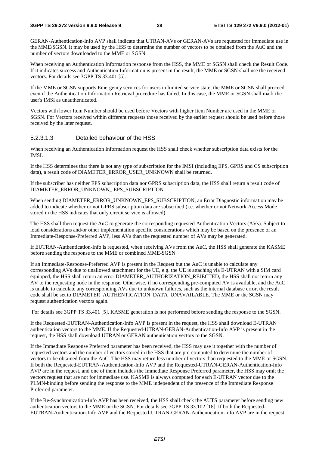GERAN-Authentication-Info AVP shall indicate that UTRAN-AVs or GERAN-AVs are requested for immediate use in the MME/SGSN. It may be used by the HSS to determine the number of vectors to be obtained from the AuC and the number of vectors downloaded to the MME or SGSN.

When receiving an Authentication Information response from the HSS, the MME or SGSN shall check the Result Code. If it indicates success and Authentication Information is present in the result, the MME or SGSN shall use the received vectors. For details see 3GPP TS 33.401 [5].

If the MME or SGSN supports Emergency services for users in limited service state, the MME or SGSN shall proceed even if the Authentication Information Retrieval procedure has failed. In this case, the MME or SGSN shall mark the user's IMSI as unauthenticated.

Vectors with lower Item Number should be used before Vectors with higher Item Number are used in the MME or SGSN. For Vectors received within different requests those received by the earlier request should be used before those received by the later request.

## 5.2.3.1.3 Detailed behaviour of the HSS

When receiving an Authentication Information request the HSS shall check whether subscription data exists for the IMSI.

If the HSS determines that there is not any type of subscription for the IMSI (including EPS, GPRS and CS subscription data), a result code of DIAMETER\_ERROR\_USER\_UNKNOWN shall be returned.

If the subscriber has neither EPS subscription data nor GPRS subscription data, the HSS shall return a result code of DIAMETER\_ERROR\_UNKNOWN\_ EPS\_SUBSCRIPTION.

When sending DIAMETER\_ERROR\_UNKNOWN\_EPS\_SUBSCRIPTION, an Error Diagnostic information may be added to indicate whether or not GPRS subscription data are subscribed (i.e. whether or not Network Access Mode stored in the HSS indicates that only circuit service is allowed).

The HSS shall then request the AuC to generate the corresponding requested Authentication Vectors (AVs). Subject to load considerations and/or other implementation specific considerations which may be based on the presence of an Immediate-Response-Preferred AVP, less AVs than the requested number of AVs may be generated.

If EUTRAN-Authentication-Info is requested, when receiving AVs from the AuC, the HSS shall generate the KASME before sending the response to the MME or combined MME-SGSN.

If an Immediate-Response-Preferred AVP is present in the Request but the AuC is unable to calculate any corresponding AVs due to unallowed attachment for the UE, e.g. the UE is attaching via E-UTRAN with a SIM card equipped, the HSS shall return an error DIAMETER\_AUTHORIZATION\_REJECTED, the HSS shall not return any AV to the requesting node in the response. Otherwise, if no corresponding pre-computed AV is available, and the AuC is unable to calculate any corresponding AVs due to unknown failures, such as the internal database error, the result code shall be set to DIAMETER\_AUTHENTICATION\_DATA\_UNAVAILABLE. The MME or the SGSN may request authentication vectors again.

For details see 3GPP TS 33.401 [5]. KASME generation is not performed before sending the response to the SGSN.

If the Requested-EUTRAN-Authentication-Info AVP is present in the request, the HSS shall download E-UTRAN authentication vectors to the MME. If the Requested-UTRAN-GERAN-Authentication-Info AVP is present in the request, the HSS shall download UTRAN or GERAN authentication vectors to the SGSN.

If the Immediate Response Preferred parameter has been received, the HSS may use it together with the number of requested vectors and the number of vectors stored in the HSS that are pre-computed to determine the number of vectors to be obtained from the AuC. The HSS may return less number of vectors than requested to the MME or SGSN. If both the Requested-EUTRAN-Authentication-Info AVP and the Requested-UTRAN-GERAN-Authentication-Info AVP are in the request, and one of them includes the Immediate Response Preferred parameter, the HSS may omit the vectors request that are not for immediate use. KASME is always computed for each E-UTRAN vector due to the PLMN-binding before sending the response to the MME independent of the presence of the Immediate Response Preferred parameter.

If the Re-Synchronization-Info AVP has been received, the HSS shall check the AUTS parameter before sending new authentication vectors to the MME or the SGSN. For details see 3GPP TS 33.102 [18]. If both the Requested-EUTRAN-Authentication-Info AVP and the Requested-UTRAN-GERAN-Authentication-Info AVP are in the request,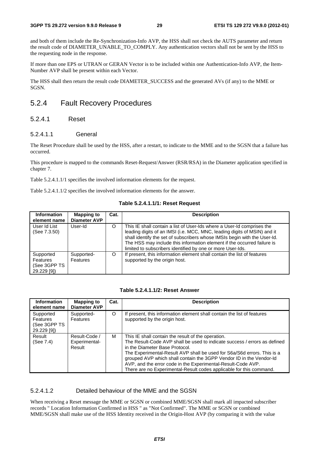and both of them include the Re-Synchronization-Info AVP, the HSS shall not check the AUTS parameter and return the result code of DIAMETER\_UNABLE\_TO\_COMPLY. Any authentication vectors shall not be sent by the HSS to the requesting node in the response.

If more than one EPS or UTRAN or GERAN Vector is to be included within one Authentication-Info AVP, the Item-Number AVP shall be present within each Vector.

The HSS shall then return the result code DIAMETER\_SUCCESS and the generated AVs (if any) to the MME or SGSN.

## 5.2.4 Fault Recovery Procedures

## 5.2.4.1 Reset

## 5.2.4.1.1 General

The Reset Procedure shall be used by the HSS, after a restart, to indicate to the MME and to the SGSN that a failure has occurred.

This procedure is mapped to the commands Reset-Request/Answer (RSR/RSA) in the Diameter application specified in chapter 7.

Table 5.2.4.1.1/1 specifies the involved information elements for the request.

Table 5.2.4.1.1/2 specifies the involved information elements for the answer.

| <b>Information</b><br>element name                     | <b>Mapping to</b><br><b>Diameter AVP</b> | Cat. | <b>Description</b>                                                                                                                                                                                                                                                                                                                                                       |
|--------------------------------------------------------|------------------------------------------|------|--------------------------------------------------------------------------------------------------------------------------------------------------------------------------------------------------------------------------------------------------------------------------------------------------------------------------------------------------------------------------|
| User Id List<br>(See 7.3.50)                           | User-Id                                  | O    | This IE shall contain a list of User-Ids where a User-Id comprises the<br>leading digits of an IMSI (i.e. MCC, MNC, leading digits of MSIN) and it<br>shall identify the set of subscribers whose IMSIs begin with the User-Id.<br>The HSS may include this information element if the occurred failure is<br>limited to subscribers identified by one or more User-Ids. |
| Supported<br>Features<br>(See 3GPP TS<br>$29.229$ [9]) | Supported-<br>Features                   | O    | If present, this information element shall contain the list of features<br>supported by the origin host.                                                                                                                                                                                                                                                                 |

#### **Table 5.2.4.1.1/2: Reset Answer**

| <b>Information</b><br>element name                   | <b>Mapping to</b><br><b>Diameter AVP</b> | Cat.     | <b>Description</b>                                                                                                                                                                                                                                                                                                                                                                                                                                         |
|------------------------------------------------------|------------------------------------------|----------|------------------------------------------------------------------------------------------------------------------------------------------------------------------------------------------------------------------------------------------------------------------------------------------------------------------------------------------------------------------------------------------------------------------------------------------------------------|
| Supported<br>Features<br>(See 3GPP TS<br>29.229 [9]) | Supported-<br>Features                   | $\Omega$ | If present, this information element shall contain the list of features<br>supported by the origin host.                                                                                                                                                                                                                                                                                                                                                   |
| Result<br>(See 7.4)                                  | Result-Code /<br>Experimental-<br>Result | м        | This IE shall contain the result of the operation.<br>The Result-Code AVP shall be used to indicate success / errors as defined<br>in the Diameter Base Protocol.<br>The Experimental-Result AVP shall be used for S6a/S6d errors. This is a<br>grouped AVP which shall contain the 3GPP Vendor ID in the Vendor-Id<br>AVP, and the error code in the Experimental-Result-Code AVP.<br>There are no Experimental-Result codes applicable for this command. |

## 5.2.4.1.2 Detailed behaviour of the MME and the SGSN

When receiving a Reset message the MME or SGSN or combined MME/SGSN shall mark all impacted subscriber records " Location Information Confirmed in HSS " as "Not Confirmed". The MME or SGSN or combined MME/SGSN shall make use of the HSS Identity received in the Origin-Host AVP (by comparing it with the value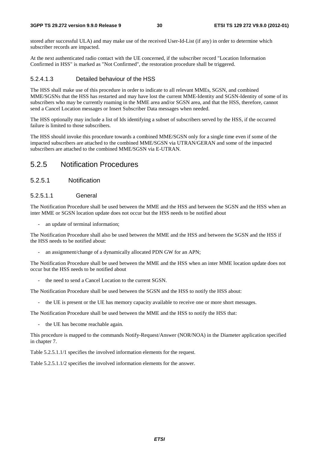stored after successful ULA) and may make use of the received User-Id-List (if any) in order to determine which subscriber records are impacted.

At the next authenticated radio contact with the UE concerned, if the subscriber record "Location Information Confirmed in HSS" is marked as "Not Confirmed", the restoration procedure shall be triggered.

### 5.2.4.1.3 Detailed behaviour of the HSS

The HSS shall make use of this procedure in order to indicate to all relevant MMEs, SGSN, and combined MME/SGSNs that the HSS has restarted and may have lost the current MME-Identity and SGSN-Identity of some of its subscribers who may be currently roaming in the MME area and/or SGSN area, and that the HSS, therefore, cannot send a Cancel Location messages or Insert Subscriber Data messages when needed.

The HSS optionally may include a list of Ids identifying a subset of subscribers served by the HSS, if the occurred failure is limited to those subscribers.

The HSS should invoke this procedure towards a combined MME/SGSN only for a single time even if some of the impacted subscribers are attached to the combined MME/SGSN via UTRAN/GERAN and some of the impacted subscribers are attached to the combined MME/SGSN via E-UTRAN.

## 5.2.5 Notification Procedures

## 5.2.5.1 Notification

## 5.2.5.1.1 General

The Notification Procedure shall be used between the MME and the HSS and between the SGSN and the HSS when an inter MME or SGSN location update does not occur but the HSS needs to be notified about

an update of terminal information:

The Notification Procedure shall also be used between the MME and the HSS and between the SGSN and the HSS if the HSS needs to be notified about:

an assignment/change of a dynamically allocated PDN GW for an APN;

The Notification Procedure shall be used between the MME and the HSS when an inter MME location update does not occur but the HSS needs to be notified about

the need to send a Cancel Location to the current SGSN.

The Notification Procedure shall be used between the SGSN and the HSS to notify the HSS about:

the UE is present or the UE has memory capacity available to receive one or more short messages.

The Notification Procedure shall be used between the MME and the HSS to notify the HSS that:

- the UE has become reachable again.

This procedure is mapped to the commands Notify-Request/Answer (NOR/NOA) in the Diameter application specified in chapter 7.

Table 5.2.5.1.1/1 specifies the involved information elements for the request.

Table 5.2.5.1.1/2 specifies the involved information elements for the answer.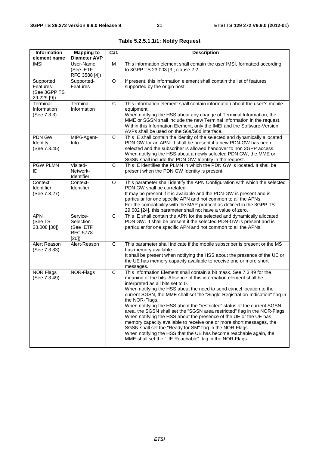| Information<br>element name                          | <b>Mapping to</b><br><b>Diameter AVP</b>                      | Cat. | <b>Description</b>                                                                                                                                                                                                                                                                                                                                                                                                                                                                                                                                                                                                                                                                                                                                                                                                                                            |
|------------------------------------------------------|---------------------------------------------------------------|------|---------------------------------------------------------------------------------------------------------------------------------------------------------------------------------------------------------------------------------------------------------------------------------------------------------------------------------------------------------------------------------------------------------------------------------------------------------------------------------------------------------------------------------------------------------------------------------------------------------------------------------------------------------------------------------------------------------------------------------------------------------------------------------------------------------------------------------------------------------------|
| <b>IMSI</b>                                          | User-Name<br>(See IETF<br>RFC 3588 [4])                       | M    | This information element shall contain the user IMSI, formatted according<br>to 3GPP TS 23.003 [3], clause 2.2.                                                                                                                                                                                                                                                                                                                                                                                                                                                                                                                                                                                                                                                                                                                                               |
| Supported<br>Features<br>(See 3GPP TS<br>29.229 [9]) | Supported-<br>Features                                        | O    | If present, this information element shall contain the list of features<br>supported by the origin host.                                                                                                                                                                                                                                                                                                                                                                                                                                                                                                                                                                                                                                                                                                                                                      |
| Terminal<br>Information<br>(See 7.3.3)               | Terminal-<br>Information                                      | C    | This information element shall contain information about the user"s mobile<br>equipment.<br>When notifying the HSS about any change of Terminal Information, the<br>MME or SGSN shall include the new Terminal Information in the request.<br>Within this Information Element, only the IMEI and the Software-Version<br>AVPs shall be used on the S6a/S6d interface.                                                                                                                                                                                                                                                                                                                                                                                                                                                                                         |
| PDN GW<br>Identity<br>(See 7.3.45)                   | MIP6-Agent-<br>Info                                           | C    | This IE shall contain the identity of the selected and dynamically allocated<br>PDN GW for an APN. It shall be present if a new PDN-GW has been<br>selected and the subscriber is allowed handover to non 3GPP access.<br>When notifying the HSS about a newly selected PDN GW, the MME or<br>SGSN shall include the PDN-GW-Identity in the request.                                                                                                                                                                                                                                                                                                                                                                                                                                                                                                          |
| <b>PGW PLMN</b><br>ID                                | Visited-<br>Network-<br>Identifier                            | С    | This IE identifies the PLMN in which the PDN GW is located. It shall be<br>present when the PDN GW Identity is present.                                                                                                                                                                                                                                                                                                                                                                                                                                                                                                                                                                                                                                                                                                                                       |
| Context<br>Identifier<br>(See 7.3.27)                | Context-<br>Identifier                                        | O    | This parameter shall identify the APN Configuration with which the selected<br>PDN GW shall be correlated.<br>It may be present if it is available and the PDN-GW is present and is<br>particular for one specific APN and not common to all the APNs.<br>For the compatibility with the MAP protocol as defined in the 3GPP TS<br>29.002 [24], this parameter shall not have a value of zero.                                                                                                                                                                                                                                                                                                                                                                                                                                                                |
| <b>APN</b><br>(See TS<br>23.008 [30])                | Service-<br>Selection<br>(See IETF<br><b>RFC 5778</b><br>[20] | C    | This IE shall contain the APN for the selected and dynamically allocated<br>PDN GW. It shall be present if the selected PDN-GW is present and is<br>particular for one specific APN and not common to all the APNs.                                                                                                                                                                                                                                                                                                                                                                                                                                                                                                                                                                                                                                           |
| Alert Reason<br>(See 7.3.83)                         | Alert-Reason                                                  | C    | This parameter shall indicate if the mobile subscriber is present or the MS<br>has memory available.<br>It shall be present when notifying the HSS about the presence of the UE or<br>the UE has memory capacity available to receive one or more short<br>messages.                                                                                                                                                                                                                                                                                                                                                                                                                                                                                                                                                                                          |
| <b>NOR Flags</b><br>(See 7.3.49)                     | NOR-Flags                                                     | C    | This Information Element shall contain a bit mask. See 7.3.49 for the<br>meaning of the bits. Absence of this information element shall be<br>interpreted as all bits set to 0.<br>When notifying the HSS about the need to send cancel location to the<br>current SGSN, the MME shall set the "Single-Registration-Indication" flag in<br>the NOR-Flags.<br>When notifying the HSS about the "restricted" status of the current SGSN<br>area, the SGSN shall set the "SGSN area restricted" flag in the NOR-Flags.<br>When notifying the HSS about the presence of the UE or the UE has<br>memory capacity available to receive one or more short messages, the<br>SGSN shall set the "Ready for SM" flag in the NOR-Flags.<br>When notifying the HSS that the UE has become reachable again, the<br>MME shall set the "UE Reachable" flag in the NOR-Flags. |

| Table 5.2.5.1.1/1: Notify Request |  |  |
|-----------------------------------|--|--|
|-----------------------------------|--|--|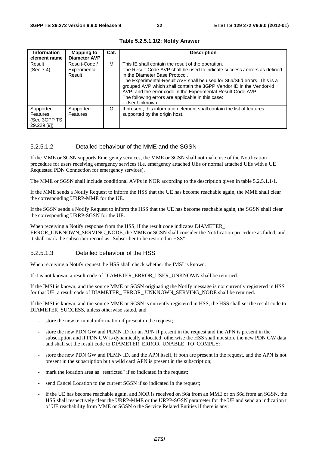| Information<br>element name                          | <b>Mapping to</b><br><b>Diameter AVP</b> | Cat. | <b>Description</b>                                                                                                                                                                                                                                                                                                                                                                                                                                         |
|------------------------------------------------------|------------------------------------------|------|------------------------------------------------------------------------------------------------------------------------------------------------------------------------------------------------------------------------------------------------------------------------------------------------------------------------------------------------------------------------------------------------------------------------------------------------------------|
| Result<br>(See 7.4)                                  | Result-Code /<br>Experimental-<br>Result | м    | This IE shall contain the result of the operation.<br>The Result-Code AVP shall be used to indicate success / errors as defined<br>in the Diameter Base Protocol.<br>The Experimental-Result AVP shall be used for S6a/S6d errors. This is a<br>grouped AVP which shall contain the 3GPP Vendor ID in the Vendor-Id<br>AVP, and the error code in the Experimental-Result-Code AVP.<br>The following errors are applicable in this case:<br>- User Unknown |
| Supported<br>Features<br>(See 3GPP TS<br>29.229 [9]) | Supported-<br>Features                   | O    | If present, this information element shall contain the list of features<br>supported by the origin host.                                                                                                                                                                                                                                                                                                                                                   |

**Table 5.2.5.1.1/2: Notify Answer** 

## 5.2.5.1.2 Detailed behaviour of the MME and the SGSN

If the MME or SGSN supports Emergency services, the MME or SGSN shall not make use of the Notification procedure for users receiving emergency services (i.e. emergency attached UEs or normal attached UEs with a UE Requested PDN Connection for emergency services).

The MME or SGSN shall include conditional AVPs in NOR according to the description given in table 5.2.5.1.1/1.

If the MME sends a Notify Request to inform the HSS that the UE has become reachable again, the MME shall clear the corresponding URRP-MME for the UE.

If the SGSN sends a Notify Request to inform the HSS that the UE has become reachable again, the SGSN shall clear the corresponding URRP-SGSN for the UE.

When receiving a Notify response from the HSS, if the result code indicates DIAMETER ERROR\_UNKNOWN\_SERVING\_NODE, the MME or SGSN shall consider the Notification procedure as failed, and it shall mark the subscriber record as "Subscriber to be restored in HSS".

## 5.2.5.1.3 Detailed behaviour of the HSS

When receiving a Notify request the HSS shall check whether the IMSI is known.

If it is not known, a result code of DIAMETER\_ERROR\_USER\_UNKNOWN shall be returned.

If the IMSI is known, and the source MME or SGSN originating the Notify message is not currently registered in HSS for that UE, a result code of DIAMETER\_ ERROR\_ UNKNOWN\_SERVING\_NODE shall be returned.

If the IMSI is known, and the source MME or SGSN is currently registered in HSS, the HSS shall set the result code to DIAMETER\_SUCCESS, unless otherwise stated, and

- store the new terminal information if present in the request;
- store the new PDN GW and PLMN ID for an APN if present in the request and the APN is present in the subscription and if PDN GW is dynamically allocated; otherwise the HSS shall not store the new PDN GW data and shall set the result code to DIAMETER\_ERROR\_UNABLE\_TO\_COMPLY;
- store the new PDN GW and PLMN ID, and the APN itself, if both are present in the request, and the APN is not present in the subscription but a wild card APN is present in the subscription;
- mark the location area as "restricted" if so indicated in the request;
- send Cancel Location to the current SGSN if so indicated in the request;
- if the UE has become reachable again, and NOR is received on S6a from an MME or on S6d from an SGSN, the HSS shall respectively clear the URRP-MME or the URPP-SGSN parameter for the UE and send an indication t of UE reachability from MME or SGSN o the Service Related Entities if there is any;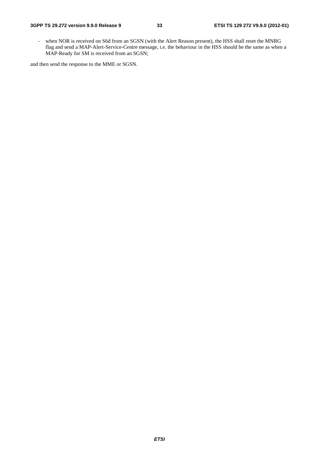- when NOR is received on S6d from an SGSN (with the Alert Reason present), the HSS shall reset the MNRG flag and send a MAP-Alert-Service-Centre message, i.e. the behaviour in the HSS should be the same as when a MAP-Ready for SM is received from an SGSN;

and then send the response to the MME or SGSN.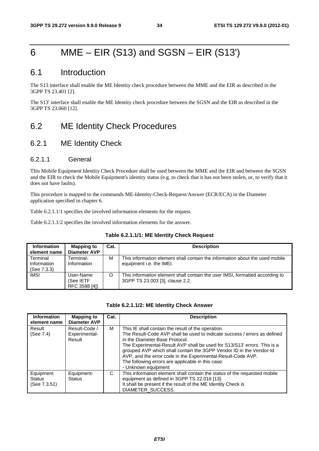## 6 MME – EIR (S13) and SGSN – EIR (S13')

## 6.1 Introduction

The S13 interface shall enable the ME Identity check procedure between the MME and the EIR as described in the 3GPP TS 23.401 [2].

The S13' interface shall enable the ME Identity check procedure between the SGSN and the EIR as described in the 3GPP TS 23.060 [12].

## 6.2 ME Identity Check Procedures

## 6.2.1 ME Identity Check

## 6.2.1.1 General

This Mobile Equipment Identity Check Procedure shall be used between the MME and the EIR and between the SGSN and the EIR to check the Mobile Equipment's identity status (e.g. to check that it has not been stolen, or, to verify that it does not have faults).

This procedure is mapped to the commands ME-Identity-Check-Request/Answer (ECR/ECA) in the Diameter application specified in chapter 6.

Table 6.2.1.1/1 specifies the involved information elements for the request.

Table 6.2.1.1/2 specifies the involved information elements for the answer.

#### **Table 6.2.1.1/1: ME Identity Check Request**

| <b>Information</b><br>element name     | <b>Mapping to</b><br><b>Diameter AVP</b> | Cat. | <b>Description</b>                                                                                              |
|----------------------------------------|------------------------------------------|------|-----------------------------------------------------------------------------------------------------------------|
| Terminal<br>Information<br>(See 7.3.3) | Terminal-<br>Information                 | M    | This information element shall contain the information about the used mobile<br>equipment <i>i.e.</i> the IMEI. |
| <b>IMSI</b>                            | User-Name<br>(See IETF<br>RFC 3588 [4])  | O    | This information element shall contain the user IMSI, formatted according to<br>3GPP TS 23.003 [3], clause 2.2. |

#### **Table 6.2.1.1/2: ME Identity Check Answer**

| <b>Information</b><br>element name         | <b>Mapping to</b><br><b>Diameter AVP</b> | Cat. | <b>Description</b>                                                                                                                                                                                                                                                                                                                                                                                                                                               |
|--------------------------------------------|------------------------------------------|------|------------------------------------------------------------------------------------------------------------------------------------------------------------------------------------------------------------------------------------------------------------------------------------------------------------------------------------------------------------------------------------------------------------------------------------------------------------------|
| Result<br>(See 7.4)                        | Result-Code /<br>Experimental-<br>Result | м    | This IE shall contain the result of the operation.<br>The Result-Code AVP shall be used to indicate success / errors as defined<br>in the Diameter Base Protocol.<br>The Experimental-Result AVP shall be used for S13/S13' errors. This is a<br>grouped AVP which shall contain the 3GPP Vendor ID in the Vendor-Id<br>AVP, and the error code in the Experimental-Result-Code AVP.<br>The following errors are applicable in this case:<br>- Unknown equipment |
| Equipment<br><b>Status</b><br>(See 7.3.51) | Equipment-<br><b>Status</b>              | C    | This information element shall contain the status of the requested mobile<br>equipment as defined in 3GPP TS 22.016 [13].<br>It shall be present if the result of the ME Identity Check is<br>DIAMETER SUCCESS.                                                                                                                                                                                                                                                  |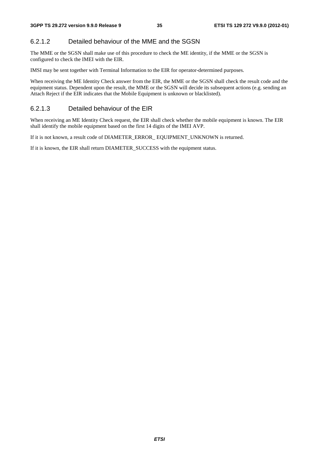## 6.2.1.2 Detailed behaviour of the MME and the SGSN

The MME or the SGSN shall make use of this procedure to check the ME identity, if the MME or the SGSN is configured to check the IMEI with the EIR.

IMSI may be sent together with Terminal Information to the EIR for operator-determined purposes.

When receiving the ME Identity Check answer from the EIR, the MME or the SGSN shall check the result code and the equipment status. Dependent upon the result, the MME or the SGSN will decide its subsequent actions (e.g. sending an Attach Reject if the EIR indicates that the Mobile Equipment is unknown or blacklisted).

## 6.2.1.3 Detailed behaviour of the EIR

When receiving an ME Identity Check request, the EIR shall check whether the mobile equipment is known. The EIR shall identify the mobile equipment based on the first 14 digits of the IMEI AVP.

If it is not known, a result code of DIAMETER\_ERROR\_ EQUIPMENT\_UNKNOWN is returned.

If it is known, the EIR shall return DIAMETER\_SUCCESS with the equipment status.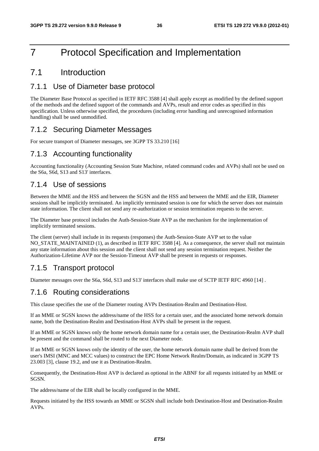# 7 Protocol Specification and Implementation

# 7.1 Introduction

## 7.1.1 Use of Diameter base protocol

The Diameter Base Protocol as specified in IETF RFC 3588 [4] shall apply except as modified by the defined support of the methods and the defined support of the commands and AVPs, result and error codes as specified in this specification. Unless otherwise specified, the procedures (including error handling and unrecognised information handling) shall be used unmodified.

## 7.1.2 Securing Diameter Messages

For secure transport of Diameter messages, see 3GPP TS 33.210 [16]

# 7.1.3 Accounting functionality

Accounting functionality (Accounting Session State Machine, related command codes and AVPs) shall not be used on the S6a, S6d, S13 and S13' interfaces.

## 7.1.4 Use of sessions

Between the MME and the HSS and between the SGSN and the HSS and between the MME and the EIR, Diameter sessions shall be implicitly terminated. An implicitly terminated session is one for which the server does not maintain state information. The client shall not send any re-authorization or session termination requests to the server.

The Diameter base protocol includes the Auth-Session-State AVP as the mechanism for the implementation of implicitly terminated sessions.

The client (server) shall include in its requests (responses) the Auth-Session-State AVP set to the value NO\_STATE\_MAINTAINED (1), as described in IETF RFC 3588 [4]. As a consequence, the server shall not maintain any state information about this session and the client shall not send any session termination request. Neither the Authorization-Lifetime AVP nor the Session-Timeout AVP shall be present in requests or responses.

## 7.1.5 Transport protocol

Diameter messages over the S6a, S6d, S13 and S13' interfaces shall make use of SCTP IETF RFC 4960 [14] .

## 7.1.6 Routing considerations

This clause specifies the use of the Diameter routing AVPs Destination-Realm and Destination-Host.

If an MME or SGSN knows the address/name of the HSS for a certain user, and the associated home network domain name, both the Destination-Realm and Destination-Host AVPs shall be present in the request.

If an MME or SGSN knows only the home network domain name for a certain user, the Destination-Realm AVP shall be present and the command shall be routed to the next Diameter node.

If an MME or SGSN knows only the identity of the user, the home network domain name shall be derived from the user's IMSI (MNC and MCC values) to construct the EPC Home Network Realm/Domain, as indicated in 3GPP TS 23.003 [3], clause 19.2, and use it as Destination-Realm.

Consequently, the Destination-Host AVP is declared as optional in the ABNF for all requests initiated by an MME or SGSN.

The address/name of the EIR shall be locally configured in the MME.

Requests initiated by the HSS towards an MME or SGSN shall include both Destination-Host and Destination-Realm AVPs.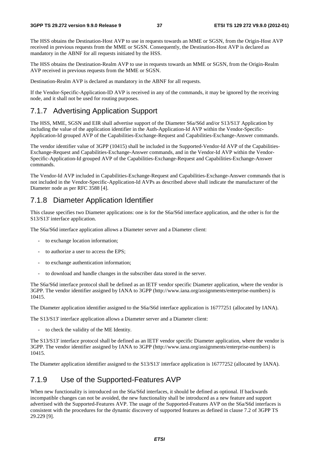The HSS obtains the Destination-Host AVP to use in requests towards an MME or SGSN, from the Origin-Host AVP received in previous requests from the MME or SGSN. Consequently, the Destination-Host AVP is declared as mandatory in the ABNF for all requests initiated by the HSS.

The HSS obtains the Destination-Realm AVP to use in requests towards an MME or SGSN, from the Origin-Realm AVP received in previous requests from the MME or SGSN.

Destination-Realm AVP is declared as mandatory in the ABNF for all requests.

If the Vendor-Specific-Application-ID AVP is received in any of the commands, it may be ignored by the receiving node, and it shall not be used for routing purposes.

### 7.1.7 Advertising Application Support

The HSS, MME, SGSN and EIR shall advertise support of the Diameter S6a/S6d and/or S13/S13' Application by including the value of the application identifier in the Auth-Application-Id AVP within the Vendor-Specific-Application-Id grouped AVP of the Capabilities-Exchange-Request and Capabilities-Exchange-Answer commands.

The vendor identifier value of 3GPP (10415) shall be included in the Supported-Vendor-Id AVP of the Capabilities-Exchange-Request and Capabilities-Exchange-Answer commands, and in the Vendor-Id AVP within the Vendor-Specific-Application-Id grouped AVP of the Capabilities-Exchange-Request and Capabilities-Exchange-Answer commands.

The Vendor-Id AVP included in Capabilities-Exchange-Request and Capabilities-Exchange-Answer commands that is not included in the Vendor-Specific-Application-Id AVPs as described above shall indicate the manufacturer of the Diameter node as per RFC 3588 [4].

## 7.1.8 Diameter Application Identifier

This clause specifies two Diameter applications: one is for the S6a/S6d interface application, and the other is for the S13/S13' interface application.

The S6a/S6d interface application allows a Diameter server and a Diameter client:

- to exchange location information;
- to authorize a user to access the EPS;
- to exchange authentication information;
- to download and handle changes in the subscriber data stored in the server.

The S6a/S6d interface protocol shall be defined as an IETF vendor specific Diameter application, where the vendor is 3GPP. The vendor identifier assigned by IANA to 3GPP (http://www.iana.org/assignments/enterprise-numbers) is 10415.

The Diameter application identifier assigned to the S6a/S6d interface application is 16777251 (allocated by IANA).

The S13/S13' interface application allows a Diameter server and a Diameter client:

to check the validity of the ME Identity.

The S13/S13' interface protocol shall be defined as an IETF vendor specific Diameter application, where the vendor is 3GPP. The vendor identifier assigned by IANA to 3GPP (http://www.iana.org/assignments/enterprise-numbers) is 10415.

The Diameter application identifier assigned to the S13/S13' interface application is 16777252 (allocated by IANA).

## 7.1.9 Use of the Supported-Features AVP

When new functionality is introduced on the S6a/S6d interfaces, it should be defined as optional. If backwards incompatible changes can not be avoided, the new functionality shall be introduced as a new feature and support advertised with the Supported-Features AVP. The usage of the Supported-Features AVP on the S6a/S6d interfaces is consistent with the procedures for the dynamic discovery of supported features as defined in clause 7.2 of 3GPP TS 29.229 [9].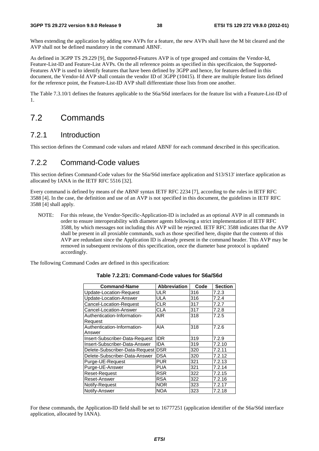When extending the application by adding new AVPs for a feature, the new AVPs shall have the M bit cleared and the AVP shall not be defined mandatory in the command ABNF.

As defined in 3GPP TS 29.229 [9], the Supported-Features AVP is of type grouped and contains the Vendor-Id, Feature-List-ID and Feature-List AVPs. On the all reference points as specified in this specificaion, the Supported-Features AVP is used to identify features that have been defined by 3GPP and hence, for features defined in this document, the Vendor-Id AVP shall contain the vendor ID of 3GPP (10415). If there are multiple feature lists defined for the reference point, the Feature-List-ID AVP shall differentiate those lists from one another.

The Table 7.3.10/1 defines the features applicable to the S6a/S6d interfaces for the feature list with a Feature-List-ID of 1.

# 7.2 Commands

## 7.2.1 Introduction

This section defines the Command code values and related ABNF for each command described in this specification.

# 7.2.2 Command-Code values

This section defines Command-Code values for the S6a/S6d interface application and S13/S13' interface application as allocated by IANA in the IETF RFC 5516 [32].

Every command is defined by means of the ABNF syntax IETF RFC 2234 [7], according to the rules in IETF RFC 3588 [4]. In the case, the definition and use of an AVP is not specified in this document, the guidelines in IETF RFC 3588 [4] shall apply.

NOTE: For this release, the Vendor-Specific-Application-ID is included as an optional AVP in all commands in order to ensure interoperability with diameter agents following a strict implementation of IETF RFC 3588, by which messages not including this AVP will be rejected. IETF RFC 3588 indicates that the AVP shall be present in all proxiable commands, such as those specified here, dispite that the contents of this AVP are redundant since the Application ID is already present in the command header. This AVP may be removed in subsequent revisions of this specification, once the diameter base protocol is updated accordingly.

The following Command Codes are defined in this specification:

| <b>Command-Name</b>                    | <b>Abbreviation</b> | Code | <b>Section</b> |
|----------------------------------------|---------------------|------|----------------|
| Update-Location-Request                | ULR                 | 316  | 7.2.3          |
| Update-Location-Answer                 | ULA                 | 316  | 7.2.4          |
| Cancel-Location-Request                | CLR                 | 317  | 7.2.7          |
| Cancel-Location-Answer                 | CLA                 | 317  | 7.2.8          |
| Authentication-Information-<br>Request | AIR                 | 318  | 7.2.5          |
| Authentication-Information-<br>Answer  | AIA                 | 318  | 7.2.6          |
| Insert-Subscriber-Data-Request         | <b>IIDR</b>         | 319  | 7.2.9          |
| Insert-Subscriber-Data-Answer          | <b>IDA</b>          | 319  | 7.2.10         |
| Delete-Subscriber-Data-Request DSR     |                     | 320  | 7.2.11         |
| Delete-Subscriber-Data-Answer          | <b>DSA</b>          | 320  | 7.2.12         |
| Purge-UE-Request                       | PUR                 | 321  | 7.2.13         |
| Purge-UE-Answer                        | PUA                 | 321  | 7.2.14         |
| Reset-Request                          | <b>RSR</b>          | 322  | 7.2.15         |
| Reset-Answer                           | <b>RSA</b>          | 322  | 7.2.16         |
| Notify-Request                         | <b>NOR</b>          | 323  | 7.2.17         |
| Notify-Answer                          | <b>NOA</b>          | 323  | 7.2.18         |

**Table 7.2.2/1: Command-Code values for S6a/S6d** 

For these commands, the Application-ID field shall be set to 16777251 (application identifier of the S6a/S6d interface application, allocated by IANA).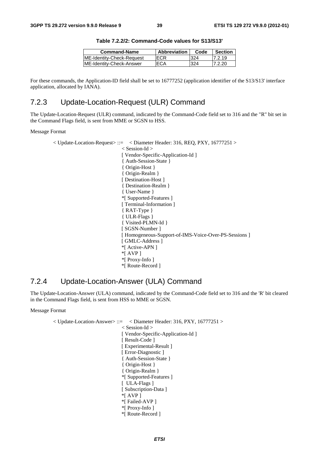| <b>Command-Name</b>        | <b>Abbreviation</b> | Code | <b>Section</b> |
|----------------------------|---------------------|------|----------------|
| IME-Identity-Check-Request | ECR                 | 324  | 7.2.19         |
| IME-Identity-Check-Answer  | 'ECA                | 324  | 7.2.20         |

**Table 7.2.2/2: Command-Code values for S13/S13'** 

For these commands, the Application-ID field shall be set to 16777252 (application identifier of the S13/S13' interface application, allocated by IANA).

## 7.2.3 Update-Location-Request (ULR) Command

The Update-Location-Request (ULR) command, indicated by the Command-Code field set to 316 and the "R" bit set in the Command Flags field, is sent from MME or SGSN to HSS.

#### Message Format

```
< Update-Location-Request> ::= < Diameter Header: 316, REQ, PXY, 16777251 > 
                   < Session-Id > 
                   [ Vendor-Specific-Application-Id ] 
                   { Auth-Session-State } 
                   { Origin-Host } 
                   { Origin-Realm } 
                   [ Destination-Host ]
                   { Destination-Realm } 
                   { User-Name } 
                   *[ Supported-Features ] 
                   [ Terminal-Information ]
                   { RAT-Type } 
                   { ULR-Flags } 
                   { Visited-PLMN-Id } 
                   [ SGSN-Number ] 
                   [ Homogeneous-Support-of-IMS-Voice-Over-PS-Sessions ] 
                   [ GMLC-Address ]
                   *[ Active-APN ] 
                   *[ AVP ] 
                    *[ Proxy-Info ] 
                   *[ Route-Record ]
```
## 7.2.4 Update-Location-Answer (ULA) Command

The Update-Location-Answer (ULA) command, indicated by the Command-Code field set to 316 and the 'R' bit cleared in the Command Flags field, is sent from HSS to MME or SGSN.

Message Format

 $\langle$  Update-Location-Answer $\rangle ::= \langle$ Diameter Header: 316, PXY, 16777251  $\rangle$  < Session-Id > [ Vendor-Specific-Application-Id ] [ Result-Code ] [ Experimental-Result ] [ Error-Diagnostic ] { Auth-Session-State } { Origin-Host } { Origin-Realm } \*[ Supported-Features ] [ ULA-Flags ] [ Subscription-Data ] \*[ AVP ] \*[ Failed-AVP ] \*[ Proxy-Info ] \*[ Route-Record ]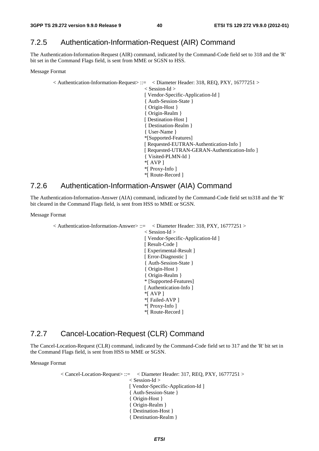# 7.2.5 Authentication-Information-Request (AIR) Command

The Authentication-Information-Request (AIR) command, indicated by the Command-Code field set to 318 and the 'R' bit set in the Command Flags field, is sent from MME or SGSN to HSS.

Message Format

```
< Authentication-Information-Request> ::= < Diameter Header: 318, REQ, PXY, 16777251 > 
                             < Session-Id > 
                              [ Vendor-Specific-Application-Id ] 
                             { Auth-Session-State } 
                             { Origin-Host } 
                             { Origin-Realm } 
                             [ Destination-Host ]
                             { Destination-Realm } 
                             { User-Name } 
                             *[Supported-Features] 
                             [ Requested-EUTRAN-Authentication-Info ]
                             [ Requested-UTRAN-GERAN-Authentication-Info ] 
                             { Visited-PLMN-Id } 
                             *[ AVP ]
                             *[ Proxy-Info ] 
                             *[ Route-Record ]
```
### 7.2.6 Authentication-Information-Answer (AIA) Command

The Authentication-Information-Answer (AIA) command, indicated by the Command-Code field set to318 and the 'R' bit cleared in the Command Flags field, is sent from HSS to MME or SGSN.

Message Format

 $\leq$  Authentication-Information-Answer> ::=  $\leq$  Diameter Header: 318, PXY, 16777251 > < Session-Id > [ Vendor-Specific-Application-Id ] [ Result-Code ] [ Experimental-Result ] [ Error-Diagnostic ] { Auth-Session-State } { Origin-Host } { Origin-Realm } \* [Supported-Features] [ Authentication-Info ] \*[ AVP ] \*[ Failed-AVP ] \*[ Proxy-Info ] \*[ Route-Record ]

# 7.2.7 Cancel-Location-Request (CLR) Command

The Cancel-Location-Request (CLR) command, indicated by the Command-Code field set to 317 and the 'R' bit set in the Command Flags field, is sent from HSS to MME or SGSN.

Message Format

 $\langle$  Cancel-Location-Request $\rangle$  ::=  $\langle$  Diameter Header: 317, REO, PXY, 16777251  $\rangle$ < Session-Id > [ Vendor-Specific-Application-Id ] { Auth-Session-State } { Origin-Host } { Origin-Realm } { Destination-Host } { Destination-Realm }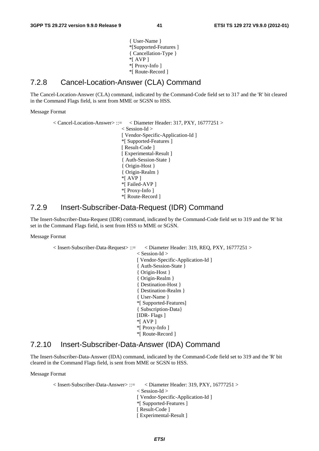{ User-Name } \*[Supported-Features ] { Cancellation-Type } \*[ AVP ] \*[ Proxy-Info ] \*[ Route-Record ]

### 7.2.8 Cancel-Location-Answer (CLA) Command

The Cancel-Location-Answer (CLA) command, indicated by the Command-Code field set to 317 and the 'R' bit cleared in the Command Flags field, is sent from MME or SGSN to HSS.

Message Format

< Cancel-Location-Answer> ::= < Diameter Header: 317, PXY, 16777251 > < Session-Id > [ Vendor-Specific-Application-Id ] \*[ Supported-Features ] [ Result-Code ] [ Experimental-Result ] { Auth-Session-State } { Origin-Host } { Origin-Realm } \*[ AVP ] \*[ Failed-AVP ] \*[ Proxy-Info ] \*[ Route-Record ]

### 7.2.9 Insert-Subscriber-Data-Request (IDR) Command

The Insert-Subscriber-Data-Request (IDR) command, indicated by the Command-Code field set to 319 and the 'R' bit set in the Command Flags field, is sent from HSS to MME or SGSN.

Message Format

```
< Insert-Subscriber-Data-Request> ::= < Diameter Header: 319, REQ, PXY, 16777251 > 
                           < Session-Id > 
                            [ Vendor-Specific-Application-Id ] 
                           { Auth-Session-State } 
                           { Origin-Host } 
                           { Origin-Realm } 
                           { Destination-Host } 
                           { Destination-Realm } 
                           { User-Name } 
                           *[ Supported-Features] 
                           { Subscription-Data} 
                           [IDR- Flags ] 
                           *[ AVP ] 
                           *[ Proxy-Info ] 
                           *[ Route-Record ]
```
### 7.2.10 Insert-Subscriber-Data-Answer (IDA) Command

The Insert-Subscriber-Data-Answer (IDA) command, indicated by the Command-Code field set to 319 and the 'R' bit cleared in the Command Flags field, is sent from MME or SGSN to HSS.

Message Format

```
\langle Insert-Subscriber-Data-Answer\rangle::= \langle Diameter Header: 319, PXY, 16777251 \rangle< Session-Id > 
                               [ Vendor-Specific-Application-Id ] 
                              *[ Supported-Features ] 
                              [ Result-Code ] 
                              [ Experimental-Result ]
```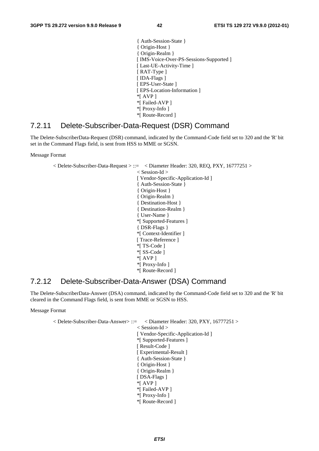{ Auth-Session-State } { Origin-Host } { Origin-Realm } [ IMS-Voice-Over-PS-Sessions-Supported ] [Last-UE-Activity-Time] [RAT-Type ] [ IDA-Flags ] [ EPS-User-State ] [ EPS-Location-Information ] \*[ AVP ] \*[ Failed-AVP ] \*[ Proxy-Info ] \*[ Route-Record ]

### 7.2.11 Delete-Subscriber-Data-Request (DSR) Command

The Delete-SubscriberData-Request (DSR) command, indicated by the Command-Code field set to 320 and the 'R' bit set in the Command Flags field, is sent from HSS to MME or SGSN.

Message Format

< Delete-Subscriber-Data-Request > ::= < Diameter Header: 320, REQ, PXY, 16777251 > < Session-Id > [ Vendor-Specific-Application-Id ] { Auth-Session-State } { Origin-Host } { Origin-Realm } { Destination-Host } { Destination-Realm } { User-Name } \*[ Supported-Features ] { DSR-Flags } \*[ Context-Identifier ] [ Trace-Reference ] \*[ TS-Code ] \*[ SS-Code ] \*[ AVP ] \*[ Proxy-Info ] \*[ Route-Record ]

## 7.2.12 Delete-Subscriber-Data-Answer (DSA) Command

The Delete-SubscriberData-Answer (DSA) command, indicated by the Command-Code field set to 320 and the 'R' bit cleared in the Command Flags field, is sent from MME or SGSN to HSS.

Message Format

```
< Delete-Subscriber-Data-Answer> ::= < Diameter Header: 320, PXY, 16777251 > 
                            < Session-Id > 
                            [ Vendor-Specific-Application-Id ] 
                           *[ Supported-Features ] 
                          [ Result-Code ]
                          [ Experimental-Result ] 
                           { Auth-Session-State } 
                           { Origin-Host } 
                           { Origin-Realm } 
                          [ DSA-Flags ]
                           *[ AVP ] 
                           *[ Failed-AVP ] 
                            *[ Proxy-Info ] 
                           *[ Route-Record ]
```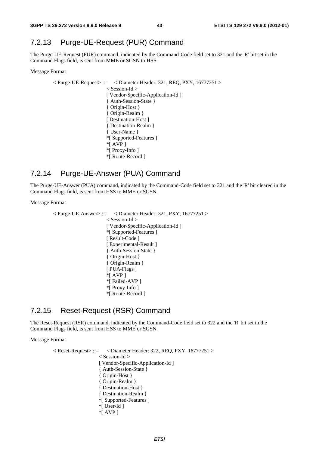## 7.2.13 Purge-UE-Request (PUR) Command

The Purge-UE-Request (PUR) command, indicated by the Command-Code field set to 321 and the 'R' bit set in the Command Flags field, is sent from MME or SGSN to HSS.

#### Message Format

 $\langle$  Purge-UE-Request $\rangle ::= \langle$  Diameter Header: 321, REQ, PXY, 16777251  $\rangle$ < Session-Id > [ Vendor-Specific-Application-Id ] { Auth-Session-State } { Origin-Host } { Origin-Realm } [ Destination-Host ] { Destination-Realm } { User-Name } \*[ Supported-Features ] \*[ AVP ] \*[ Proxy-Info ] \*[ Route-Record ]

## 7.2.14 Purge-UE-Answer (PUA) Command

The Purge-UE-Answer (PUA) command, indicated by the Command-Code field set to 321 and the 'R' bit cleared in the Command Flags field, is sent from HSS to MME or SGSN.

#### Message Format

 $\langle$  Purge-UE-Answer $\rangle ::= \langle$  Diameter Header: 321, PXY, 16777251  $\rangle$ < Session-Id > [ Vendor-Specific-Application-Id ] \*[ Supported-Features ] [ Result-Code ] [ Experimental-Result ] { Auth-Session-State } { Origin-Host } { Origin-Realm } [ PUA-Flags ]  $*$ [ AVP ] \*[ Failed-AVP ] \*[ Proxy-Info ] \*[ Route-Record ]

### 7.2.15 Reset-Request (RSR) Command

The Reset-Request (RSR) command, indicated by the Command-Code field set to 322 and the 'R' bit set in the Command Flags field, is sent from HSS to MME or SGSN.

Message Format

< Reset-Request> ::= < Diameter Header: 322, REQ, PXY, 16777251 > < Session-Id > [ Vendor-Specific-Application-Id ] { Auth-Session-State } { Origin-Host } { Origin-Realm } { Destination-Host } { Destination-Realm } \*[ Supported-Features ] \*[ User-Id ] \*[ AVP ]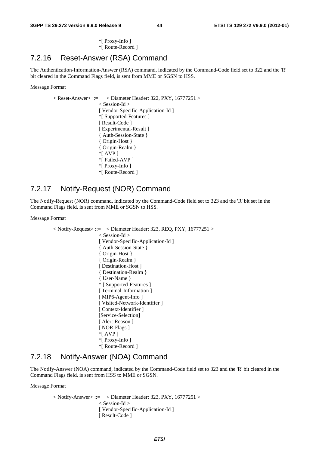\*[ Proxy-Info ] \*[ Route-Record ]

### 7.2.16 Reset-Answer (RSA) Command

The Authentication-Information-Answer (RSA) command, indicated by the Command-Code field set to 322 and the 'R' bit cleared in the Command Flags field, is sent from MME or SGSN to HSS.

#### Message Format

 $\langle$  Reset-Answer $\rangle$ ::=  $\langle$  Diameter Header: 322, PXY, 16777251  $\rangle$ < Session-Id > [ Vendor-Specific-Application-Id ] \*[ Supported-Features ] [ Result-Code ] [ Experimental-Result ] { Auth-Session-State } { Origin-Host } { Origin-Realm } \*[ AVP ] \*[ Failed-AVP ] \*[ Proxy-Info ] \*[ Route-Record ]

### 7.2.17 Notify-Request (NOR) Command

The Notify-Request (NOR) command, indicated by the Command-Code field set to 323 and the 'R' bit set in the Command Flags field, is sent from MME or SGSN to HSS.

Message Format

 $\langle$  Notify-Request $\rangle ::= \langle$ Diameter Header: 323, REQ, PXY, 16777251  $\rangle$ < Session-Id > [ Vendor-Specific-Application-Id ] { Auth-Session-State } { Origin-Host } { Origin-Realm } [ Destination-Host ] { Destination-Realm } { User-Name } \* [ Supported-Features ] [ Terminal-Information ] [ MIP6-Agent-Info ] [ Visited-Network-Identifier ] [ Context-Identifier ] [Service-Selection] [ Alert-Reason ] [ NOR-Flags ]  $*$ [ AVP ] \*[ Proxy-Info ] \*[ Route-Record ]

### 7.2.18 Notify-Answer (NOA) Command

The Notify-Answer (NOA) command, indicated by the Command-Code field set to 323 and the 'R' bit cleared in the Command Flags field, is sent from HSS to MME or SGSN.

Message Format

 $\langle$  Notify-Answer> ::=  $\langle$  Diameter Header: 323, PXY, 16777251 > < Session-Id > [ Vendor-Specific-Application-Id ] [ Result-Code ]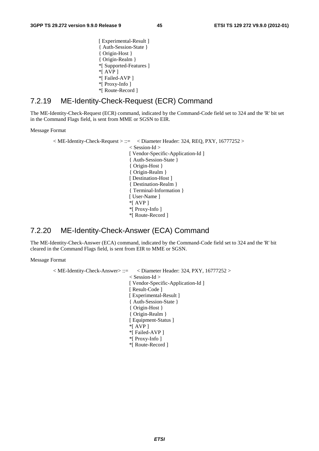[ Experimental-Result ] { Auth-Session-State } { Origin-Host } { Origin-Realm } \*[ Supported-Features ]  $*$ [ AVP ] \*[ Failed-AVP ] \*[ Proxy-Info ] \*[ Route-Record ]

## 7.2.19 ME-Identity-Check-Request (ECR) Command

The ME-Identity-Check-Request (ECR) command, indicated by the Command-Code field set to 324 and the 'R' bit set in the Command Flags field, is sent from MME or SGSN to EIR.

#### Message Format

```
< ME-Identity-Check-Request > ::= < Diameter Header: 324, REQ, PXY, 16777252 > 
                        < Session-Id > 
                        [ Vendor-Specific-Application-Id ] 
                       { Auth-Session-State } 
                        { Origin-Host } 
                       { Origin-Realm } 
                       [ Destination-Host ]
                        { Destination-Realm } 
                       { Terminal-Information } 
                       [ User-Name ]
                       *[ AVP ] 
                        *[ Proxy-Info ] 
                       *[ Route-Record ]
```
## 7.2.20 ME-Identity-Check-Answer (ECA) Command

The ME-Identity-Check-Answer (ECA) command, indicated by the Command-Code field set to 324 and the 'R' bit cleared in the Command Flags field, is sent from EIR to MME or SGSN.

Message Format

```
< ME-Identity-Check-Answer> ::= < Diameter Header: 324, PXY, 16777252 > 
                        < Session-Id > 
                        [ Vendor-Specific-Application-Id ] 
                        [ Result-Code ] 
                       [ Experimental-Result ]
                       { Auth-Session-State } 
                       { Origin-Host } 
                       { Origin-Realm } 
                       [ Equipment-Status ]
                       *[ AVP ] 
                       *[ Failed-AVP ] 
                        *[ Proxy-Info ] 
                       *[ Route-Record ]
```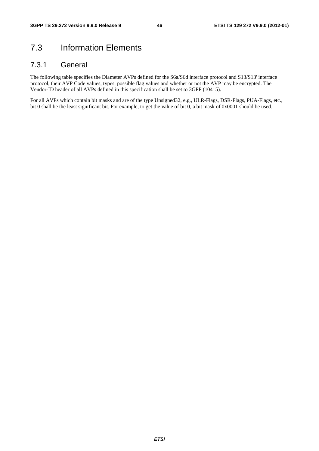# 7.3 Information Elements

## 7.3.1 General

The following table specifies the Diameter AVPs defined for the S6a/S6d interface protocol and S13/S13' interface protocol, their AVP Code values, types, possible flag values and whether or not the AVP may be encrypted. The Vendor-ID header of all AVPs defined in this specification shall be set to 3GPP (10415).

For all AVPs which contain bit masks and are of the type Unsigned32, e.g., ULR-Flags, DSR-Flags, PUA-Flags, etc., bit 0 shall be the least significant bit. For example, to get the value of bit 0, a bit mask of 0x0001 should be used.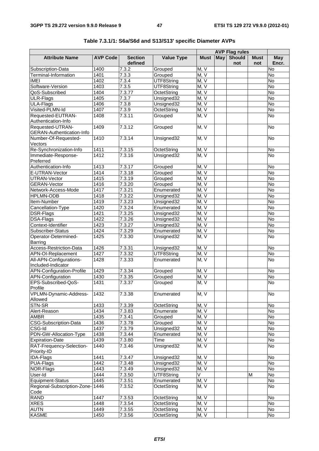|                                               |                 |                           |                   | <b>AVP Flag rules</b> |     |                      |                    |                    |
|-----------------------------------------------|-----------------|---------------------------|-------------------|-----------------------|-----|----------------------|--------------------|--------------------|
| <b>Attribute Name</b>                         | <b>AVP Code</b> | <b>Section</b><br>defined | <b>Value Type</b> | <b>Must</b>           | May | <b>Should</b><br>not | <b>Must</b><br>not | May<br>Encr.       |
| Subscription-Data                             | 1400            | 7.3.2                     | Grouped           | M, V                  |     |                      |                    | No                 |
| Terminal-Information                          | 1401            | 7.3.3                     | Grouped           | M, V                  |     |                      |                    | $\overline{N}$     |
| <b>IMEI</b>                                   | 1402            | 7.3.4                     | UTF8String        | M, V                  |     |                      |                    | $\overline{N_{0}}$ |
| Software-Version                              | 1403            | 7.3.5                     | UTF8String        | M, V                  |     |                      |                    | $\overline{N}$     |
| QoS-Subscribed                                | 1404            | 7.3.77                    | OctetString       | M, V                  |     |                      |                    | $\overline{N}$     |
| ULR-Flags                                     | 1405            | 7.3.7                     | Unsigned32        | M, V                  |     |                      |                    | <b>No</b>          |
| ULA-Flags                                     | 1406            | 7.3.8                     | Unsigned32        | M, V                  |     |                      |                    | $\overline{N}$     |
| Visited-PLMN-Id                               | 1407            | 7.3.9                     | OctetString       | M, V                  |     |                      |                    | $\overline{N}$     |
| Requested-EUTRAN-<br>Authentication-Info      | 1408            | 7.3.11                    | Grouped           | M, V                  |     |                      |                    | No                 |
| Requested-UTRAN-<br>GERAN-Authentication-Info | 1409            | 7.3.12                    | Grouped           | M, V                  |     |                      |                    | No                 |
| Number-Of-Requested-<br>Vectors               | 1410            | 7.3.14                    | Unsigned32        | M, V                  |     |                      |                    | No                 |
| Re-Synchronization-Info                       | 1411            | 7.3.15                    | OctetString       | M, V                  |     |                      |                    | No                 |
| Immediate-Response-<br>Preferred              | 1412            | 7.3.16                    | Unsigned32        | M, V                  |     |                      |                    | $\overline{N}$     |
| Authentication-Info                           | 1413            | 7.3.17                    | Grouped           | M, V                  |     |                      |                    | <b>No</b>          |
| E-UTRAN-Vector                                | 1414            | 7.3.18                    | Grouped           | M, V                  |     |                      |                    | $\overline{No}$    |
| UTRAN-Vector                                  | 1415            | 7.3.19                    | Grouped           | M, V                  |     |                      |                    | <b>No</b>          |
| <b>GERAN-Vector</b>                           | 1416            | 7.3.20                    | Grouped           | M, V                  |     |                      |                    | $\overline{N}$     |
| Network-Access-Mode                           | 1417            | 7.3.21                    | Enumerated        | M, V                  |     |                      |                    | $\overline{N}$     |
| <b>HPLMN-ODB</b>                              | 1418            | 7.3.22                    | Unsigned32        | M, V                  |     |                      |                    | <b>No</b>          |
| Item-Number                                   | 1419            | 7.3.23                    | Unsigned32        | M, V                  |     |                      |                    | $\overline{N}$     |
| Cancellation-Type                             | 1420            | 7.3.24                    | Enumerated        | M, V                  |     |                      |                    | $\overline{N}$     |
| DSR-Flags                                     | 1421            | 7.3.25                    | Unsigned32        | M, V                  |     |                      |                    | $\overline{N}$     |
| DSA-Flags                                     | 1422            | 7.3.26                    | Unsigned32        | M, V                  |     |                      |                    | $\overline{N}$     |
| Context-Identifier                            | 1423            | 7.3.27                    | Unsigned32        | M, V                  |     |                      |                    | No                 |
| Subscriber-Status                             | 1424            | 7.3.29                    | Enumerated        | M, V                  |     |                      |                    | $\overline{N}$     |
| Operator-Determined-                          | 1425            | 7.3.30                    | Unsigned32        | M, V                  |     |                      |                    | $\overline{N}$     |
| Barring                                       |                 |                           |                   |                       |     |                      |                    |                    |
| Access-Restriction-Data                       | 1426            | 7.3.31                    | Unsigned32        | M, V                  |     |                      |                    | No                 |
| APN-OI-Replacement                            | 1427            | 7.3.32                    | UTF8String        | M, V                  |     |                      |                    | No                 |
| All-APN-Configurations-                       | 1428            | 7.3.33                    | Enumerated        | M, V                  |     |                      |                    | $\overline{N}$     |
| Included-Indicator                            |                 |                           |                   |                       |     |                      |                    |                    |
| APN-Configuration-Profile                     | 1429            | 7.3.34                    | Grouped           | M, V                  |     |                      |                    | No                 |
| <b>APN-Configuration</b>                      | 1430            | 7.3.35                    | Grouped           | M, V                  |     |                      |                    | No                 |
| EPS-Subscribed-QoS-                           | 1431            | 7.3.37                    | Grouped           | M, V                  |     |                      |                    | No                 |
| Profile                                       |                 |                           |                   |                       |     |                      |                    |                    |
| VPLMN-Dynamic-Address-<br>Allowed             | 1432            | 7.3.38                    | Enumerated        | M, V                  |     |                      |                    | No                 |
| STN-SR                                        | 1433            | 7.3.39                    | OctetString       | M, V                  |     |                      |                    | No                 |
| Alert-Reason                                  | 1434            | 7.3.83                    | Enumerate         | M, V                  |     |                      |                    | No                 |
| <b>AMBR</b>                                   | 1435            | 7.3.41                    | Grouped           | M, V                  |     |                      |                    | $\overline{N}$     |
| CSG-Subscription-Data                         | 1436            | 7.3.78                    | Grouped           | M. V                  |     |                      |                    | No                 |
| CSG-Id                                        | 1437            | 7.3.79                    | Unsigned32        | M, V                  |     |                      |                    | <b>No</b>          |
| PDN-GW-Allocation-Type                        | 1438            | 7.3.44                    | Enumerated        | M, V                  |     |                      |                    | No                 |
| <b>Expiration-Date</b>                        | 1439            | 7.3.80                    | Time              | M, V                  |     |                      |                    | No                 |
| RAT-Frequency-Selection-<br>Priority-ID       | 1440            | 7.3.46                    | Unsigned32        | M, V                  |     |                      |                    | No                 |
| <b>IDA-Flags</b>                              | 1441            | 7.3.47                    | Unsigned32        | M, V                  |     |                      |                    | No                 |
| PUA-Flags                                     | 1442            | 7.3.48                    | Unsigned32        | M, V                  |     |                      |                    | No                 |
| NOR-Flags                                     | 1443            | 7.3.49                    | Unsigned32        | M, V                  |     |                      |                    | $\overline{N}$     |
| User-Id                                       | 1444            | 7.3.50                    | UTF8String        | V                     |     |                      | M                  | $\overline{N}$     |
| Equipment-Status                              | 1445            | 7.3.51                    | Enumerated        | M, V                  |     |                      |                    | No                 |
| Regional-Subscription-Zone-<br>Code           | 1446            | 7.3.52                    | OctetString       | M, V                  |     |                      |                    | No                 |
| <b>RAND</b>                                   | 1447            | 7.3.53                    | OctetString       | M, V                  |     |                      |                    | $\overline{N}$     |
| <b>XRES</b>                                   | 1448            | 7.3.54                    |                   | M, V                  |     |                      |                    | No                 |
| <b>AUTN</b>                                   | 1449            | 7.3.55                    | OctetString       | M, V                  |     |                      |                    | No                 |
| <b>KASME</b>                                  |                 |                           | OctetString       |                       |     |                      |                    |                    |
|                                               | 1450            | 7.3.56                    | OctetString       | M, V                  |     |                      |                    | No                 |

| Table 7.3.1/1: S6a/S6d and S13/S13' specific Diameter AVPs |  |
|------------------------------------------------------------|--|
|------------------------------------------------------------|--|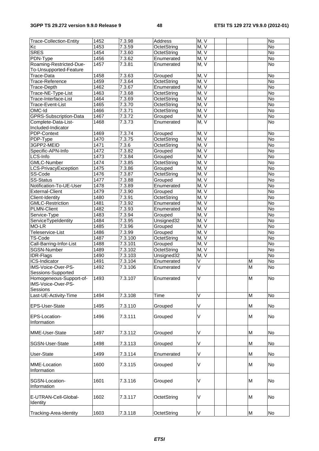| <b>Trace-Collection-Entity</b>                | 1452 | 7.3.98              | Address     | M, V                    |   | No                 |
|-----------------------------------------------|------|---------------------|-------------|-------------------------|---|--------------------|
| Кc                                            | 1453 | 7.3.59              | OctetString | M, V                    |   | No                 |
| <b>SRES</b>                                   | 1454 | 7.3.60              | OctetString | M, V                    |   | $\overline{N}$     |
| PDN-Type                                      | 1456 | 7.3.62              | Enumerated  | M, V                    |   | $\overline{N}$     |
| Roaming-Restricted-Due-                       | 1457 | 7.3.81              | Enumerated  | M, V                    |   | No                 |
| To-Unsupported-Feature                        |      |                     |             |                         |   |                    |
| Trace-Data                                    | 1458 | 7.3.63              | Grouped     | M, V                    |   | No                 |
| Trace-Reference                               | 1459 | 7.3.64              | OctetString | M, V                    |   | No                 |
| Trace-Depth                                   | 1462 | 7.3.67              | Enumerated  | M, V                    |   | $\overline{N}$     |
| Trace-NE-Type-List                            | 1463 | 7.3.68              | OctetString | M, V                    |   | No                 |
| Trace-Interface-List                          | 1464 | 7.3.69              | OctetString | M, V                    |   | No                 |
| Trace-Event-List                              | 1465 | $\overline{7.3.70}$ | OctetString | M, V                    |   | No                 |
| OMC-Id                                        | 1466 | 7.3.71              | OctetString | M, V                    |   | No                 |
| <b>GPRS-Subscription-Data</b>                 | 1467 | 7.3.72              | Grouped     | M, V                    |   | <b>No</b>          |
| Complete-Data-List-                           | 1468 | 7.3.73              | Enumerated  | M, V                    |   | No                 |
| Included-Indicator                            |      |                     |             |                         |   |                    |
| PDP-Context                                   | 1469 | 7.3.74              | Grouped     | M, V                    |   | No                 |
| PDP-Type                                      | 1470 | 7.3.75              | OctetString | M, V                    |   | No                 |
| 3GPP2-MEID                                    | 1471 | 7.3.6               | OctetString | M, V                    |   | $\overline{N}$     |
| Specific-APN-Info                             | 1472 | 7.3.82              | Grouped     | M, V                    |   | No                 |
| LCS-Info                                      | 1473 | 7.3.84              | Grouped     | M, V                    |   | No                 |
| <b>GMLC-Number</b>                            | 1474 | 7.3.85              | OctetString | M, V                    |   | No                 |
| LCS-PrivacyException                          | 1475 | 7.3.86              | Grouped     | M, V                    |   | No                 |
| SS-Code                                       | 1476 | 7.3.87              | OctetString | M, V                    |   | $\overline{N}$     |
| <b>SS-Status</b>                              | 1477 | 7.3.88              | Grouped     | M, V                    |   | No                 |
| Notification-To-UE-User                       | 1478 | 7.3.89              | Enumerated  | M, V                    |   | <b>No</b>          |
| <b>External-Client</b>                        | 1479 | 7.3.90              | Grouped     | M, V                    |   | No                 |
| Client-Identity                               | 1480 | 7.3.91              | OctetString | M, V                    |   | No                 |
| <b>GMLC-Restriction</b>                       | 1481 | 7.3.92              | Enumerated  | M, V                    |   | $\overline{N}$     |
| <b>PLMN-Client</b>                            | 1482 | 7.3.93              | Enumerated  | M, V                    |   | No                 |
| Service-Type                                  | 1483 | 7.3.94              | Grouped     | M, V                    |   | <b>No</b>          |
| ServiceTypeIdentity                           | 1484 | 7.3.95              | Unsigned32  | M, V                    |   | No                 |
| MO-LR                                         | 1485 | 7.3.96              | Grouped     | M, V                    |   | $\overline{N}$     |
| Teleservice-List                              | 1486 | 7.3.99              | Grouped     | M, V                    |   | $\overline{N_{O}}$ |
| <b>TS-Code</b>                                | 1487 | 7.3.100             | OctetString | M, V                    |   | No                 |
| Call-Barring-Infor-List                       | 1488 | 7.3.101             | Grouped     | M, V                    |   | No                 |
| SGSN-Number                                   | 1489 | 7.3.102             | OctetString | M, V                    |   | $\overline{N}$     |
| <b>IDR-Flags</b>                              | 1490 | 7.3.103             | Unsigned32  | M, V                    |   | No                 |
| <b>ICS-Indicator</b>                          | 1491 | 7.3.104             | Enumerated  | $\overline{\mathsf{V}}$ | M | No                 |
| IMS-Voice-Over-PS-                            | 1492 | 7.3.106             | Enumerated  | $\overline{\mathsf{v}}$ | M | No                 |
| Sessions-Supported                            |      |                     |             |                         |   |                    |
| Homogeneous-Support-of-<br>IMS-Voice-Over-PS- | 1493 | 7.3.107             | Enumerated  | V                       | M | No                 |
| Sessions                                      |      |                     |             |                         |   |                    |
| Last-UE-Activity-Time                         | 1494 | 7.3.108             | Time        | V                       | M | No                 |
| EPS-User-State                                | 1495 | 7.3.110             | Grouped     | V                       | M | No                 |
|                                               |      |                     |             |                         |   |                    |
| EPS-Location-<br>Information                  | 1496 | 7.3.111             | Grouped     | V                       | M | <b>No</b>          |
|                                               |      |                     |             |                         |   |                    |
| MME-User-State                                | 1497 | 7.3.112             | Grouped     | V                       | M | No                 |
| SGSN-User-State                               | 1498 | 7.3.113             | Grouped     | V                       | M | No                 |
| <b>User-State</b>                             | 1499 | 7.3.114             | Enumerated  | V                       | M | No                 |
| MME-Location<br>Information                   | 1600 | 7.3.115             | Grouped     | V                       | м | <b>No</b>          |
| SGSN-Location-<br>Information                 | 1601 | 7.3.116             | Grouped     | V                       | M | No                 |
| E-UTRAN-Cell-Global-<br>Identity              | 1602 | 7.3.117             | OctetString | V                       | M | <b>No</b>          |
| Tracking-Area-Identity                        | 1603 | 7.3.118             | OctetString | V                       | M | No                 |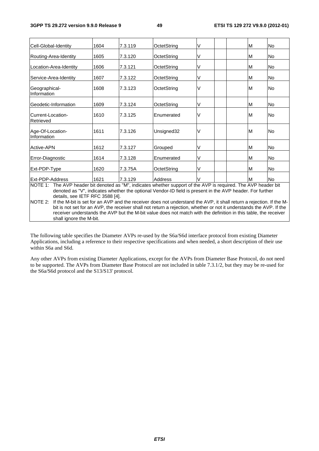| Cell-Global-Identity                                                                                                                                          | 1604 | 7.3.119 | OctetString | ٧                                                                                                                                                                                                                               | M | <b>No</b> |
|---------------------------------------------------------------------------------------------------------------------------------------------------------------|------|---------|-------------|---------------------------------------------------------------------------------------------------------------------------------------------------------------------------------------------------------------------------------|---|-----------|
| Routing-Area-Identity                                                                                                                                         | 1605 | 7.3.120 | OctetString | V                                                                                                                                                                                                                               | м | No        |
| Location-Area-Identity                                                                                                                                        | 1606 | 7.3.121 | OctetString | ٧                                                                                                                                                                                                                               | M | No        |
| Service-Area-Identity                                                                                                                                         | 1607 | 7.3.122 | OctetString | V                                                                                                                                                                                                                               | М | No        |
| Geographical-<br>Information                                                                                                                                  | 1608 | 7.3.123 | OctetString | V                                                                                                                                                                                                                               | M | <b>No</b> |
| Geodetic-Information                                                                                                                                          | 1609 | 7.3.124 | OctetString | ٧                                                                                                                                                                                                                               | M | No        |
| Current-Location-<br>Retrieved                                                                                                                                | 1610 | 7.3.125 | Enumerated  | V                                                                                                                                                                                                                               | M | <b>No</b> |
| Age-Of-Location-<br>Information                                                                                                                               | 1611 | 7.3.126 | Unsigned32  | V                                                                                                                                                                                                                               | M | <b>No</b> |
| Active-APN                                                                                                                                                    | 1612 | 7.3.127 | Grouped     | ٧                                                                                                                                                                                                                               | M | <b>No</b> |
| Error-Diagnostic                                                                                                                                              | 1614 | 7.3.128 | Enumerated  | V                                                                                                                                                                                                                               | M | <b>No</b> |
| Ext-PDP-Type                                                                                                                                                  | 1620 | 7.3.75A | OctetString | V                                                                                                                                                                                                                               | M | <b>No</b> |
| <b>IExt-PDP-Address</b>                                                                                                                                       | 1621 | 7.3.129 | Address     |                                                                                                                                                                                                                                 | м | No.       |
| NOTE 1: The AVP header bit denoted as "M", indicates whether support of the AVP is required. The AVP header bit<br>details, see IETF RFC 3588 [4].<br>NOTE 2: |      |         |             | denoted as "V", indicates whether the optional Vendor-ID field is present in the AVP header. For further<br>If the M-bit is set for an AVP and the receiver does not understand the AVP, it shall return a rejection. If the M- |   |           |
|                                                                                                                                                               |      |         |             | bit is not set for an $\Delta$ /P the receiver shall not return a rejection whether or not it understands the $\Delta$ /P If the                                                                                                |   |           |

bit is not set for an AVP, the receiver shall not return a rejection, whether or not it understands the AVP. If the receiver understands the AVP but the M-bit value does not match with the definition in this table, the receiver shall ignore the M-bit.

The following table specifies the Diameter AVPs re-used by the S6a/S6d interface protocol from existing Diameter Applications, including a reference to their respective specifications and when needed, a short description of their use within S6a and S6d.

Any other AVPs from existing Diameter Applications, except for the AVPs from Diameter Base Protocol, do not need to be supported. The AVPs from Diameter Base Protocol are not included in table 7.3.1/2, but they may be re-used for the S6a/S6d protocol and the S13/S13' protocol.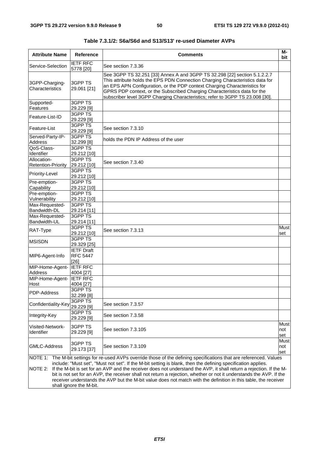| <b>Attribute Name</b>                    | <b>Reference</b>                                                                                                                                                                                                                                                                                                                                                                                                                                                                                                                                                                                       | <b>Comments</b>                                                                                                                                                                                                                                                                                                                                                                                       | $\overline{M}$<br>bit |  |  |  |  |
|------------------------------------------|--------------------------------------------------------------------------------------------------------------------------------------------------------------------------------------------------------------------------------------------------------------------------------------------------------------------------------------------------------------------------------------------------------------------------------------------------------------------------------------------------------------------------------------------------------------------------------------------------------|-------------------------------------------------------------------------------------------------------------------------------------------------------------------------------------------------------------------------------------------------------------------------------------------------------------------------------------------------------------------------------------------------------|-----------------------|--|--|--|--|
| Service-Selection                        | <b>IETF RFC</b><br>5778 [20]                                                                                                                                                                                                                                                                                                                                                                                                                                                                                                                                                                           | See section 7.3.36                                                                                                                                                                                                                                                                                                                                                                                    |                       |  |  |  |  |
| 3GPP-Charging-<br>Characteristics        | 3GPP TS<br>29.061 [21]                                                                                                                                                                                                                                                                                                                                                                                                                                                                                                                                                                                 | See 3GPP TS 32.251 [33] Annex A and 3GPP TS 32.298 [22] section 5.1.2.2.7<br>This attribute holds the EPS PDN Connection Charging Characteristics data for<br>an EPS APN Configuration, or the PDP context Charging Characteristics for<br>GPRS PDP context, or the Subscribed Charging Characteristics data for the<br>subscriber level 3GPP Charging Characteristics; refer to 3GPP TS 23.008 [30]. |                       |  |  |  |  |
| Supported-                               | 3GPP TS                                                                                                                                                                                                                                                                                                                                                                                                                                                                                                                                                                                                |                                                                                                                                                                                                                                                                                                                                                                                                       |                       |  |  |  |  |
| Features                                 | 29.229 [9]                                                                                                                                                                                                                                                                                                                                                                                                                                                                                                                                                                                             |                                                                                                                                                                                                                                                                                                                                                                                                       |                       |  |  |  |  |
| Feature-List-ID                          | 3GPP TS<br>29.229 [9]                                                                                                                                                                                                                                                                                                                                                                                                                                                                                                                                                                                  |                                                                                                                                                                                                                                                                                                                                                                                                       |                       |  |  |  |  |
| Feature-List                             | 3GPP TS<br>29.229 [9]                                                                                                                                                                                                                                                                                                                                                                                                                                                                                                                                                                                  | See section 7.3.10                                                                                                                                                                                                                                                                                                                                                                                    |                       |  |  |  |  |
| Served-Party-IP-<br><b>Address</b>       | 3GPP TS<br>32.299 [8]                                                                                                                                                                                                                                                                                                                                                                                                                                                                                                                                                                                  | holds the PDN IP Address of the user                                                                                                                                                                                                                                                                                                                                                                  |                       |  |  |  |  |
| QoS-Class-                               | 3GPP TS                                                                                                                                                                                                                                                                                                                                                                                                                                                                                                                                                                                                |                                                                                                                                                                                                                                                                                                                                                                                                       |                       |  |  |  |  |
| Identifier                               | 29.212 [10]                                                                                                                                                                                                                                                                                                                                                                                                                                                                                                                                                                                            |                                                                                                                                                                                                                                                                                                                                                                                                       |                       |  |  |  |  |
| Allocation-<br><b>Retention-Priority</b> | 3GPP TS<br>29.212 [10]                                                                                                                                                                                                                                                                                                                                                                                                                                                                                                                                                                                 | See section 7.3.40                                                                                                                                                                                                                                                                                                                                                                                    |                       |  |  |  |  |
|                                          | 3GPP TS                                                                                                                                                                                                                                                                                                                                                                                                                                                                                                                                                                                                |                                                                                                                                                                                                                                                                                                                                                                                                       |                       |  |  |  |  |
| Priority-Level                           | 29.212 [10]                                                                                                                                                                                                                                                                                                                                                                                                                                                                                                                                                                                            |                                                                                                                                                                                                                                                                                                                                                                                                       |                       |  |  |  |  |
| Pre-emption-                             | 3GPP TS                                                                                                                                                                                                                                                                                                                                                                                                                                                                                                                                                                                                |                                                                                                                                                                                                                                                                                                                                                                                                       |                       |  |  |  |  |
| Capability                               | 29.212 [10]                                                                                                                                                                                                                                                                                                                                                                                                                                                                                                                                                                                            |                                                                                                                                                                                                                                                                                                                                                                                                       |                       |  |  |  |  |
| Pre-emption-                             | 3GPP TS                                                                                                                                                                                                                                                                                                                                                                                                                                                                                                                                                                                                |                                                                                                                                                                                                                                                                                                                                                                                                       |                       |  |  |  |  |
| Vulnerability                            | 29.212 [10]                                                                                                                                                                                                                                                                                                                                                                                                                                                                                                                                                                                            |                                                                                                                                                                                                                                                                                                                                                                                                       |                       |  |  |  |  |
| Max-Requested-                           | 3GPP TS                                                                                                                                                                                                                                                                                                                                                                                                                                                                                                                                                                                                |                                                                                                                                                                                                                                                                                                                                                                                                       |                       |  |  |  |  |
| Bandwidth-DL                             | 29.214 [11]                                                                                                                                                                                                                                                                                                                                                                                                                                                                                                                                                                                            |                                                                                                                                                                                                                                                                                                                                                                                                       |                       |  |  |  |  |
| Max-Requested-                           | 3GPP TS                                                                                                                                                                                                                                                                                                                                                                                                                                                                                                                                                                                                |                                                                                                                                                                                                                                                                                                                                                                                                       |                       |  |  |  |  |
| Bandwidth-UL                             | 29.214 [11]                                                                                                                                                                                                                                                                                                                                                                                                                                                                                                                                                                                            |                                                                                                                                                                                                                                                                                                                                                                                                       |                       |  |  |  |  |
| RAT-Type                                 | 3GPP TS<br>29.212 [10]                                                                                                                                                                                                                                                                                                                                                                                                                                                                                                                                                                                 | See section 7.3.13                                                                                                                                                                                                                                                                                                                                                                                    | <b>Must</b><br>set    |  |  |  |  |
| MSISDN                                   | 3GPP TS<br>29.329 [25]                                                                                                                                                                                                                                                                                                                                                                                                                                                                                                                                                                                 |                                                                                                                                                                                                                                                                                                                                                                                                       |                       |  |  |  |  |
| MIP6-Agent-Info                          | <b>IETF Draft</b><br><b>RFC 5447</b><br>$[26]$                                                                                                                                                                                                                                                                                                                                                                                                                                                                                                                                                         |                                                                                                                                                                                                                                                                                                                                                                                                       |                       |  |  |  |  |
| MIP-Home-Agent-                          | <b>IETF RFC</b>                                                                                                                                                                                                                                                                                                                                                                                                                                                                                                                                                                                        |                                                                                                                                                                                                                                                                                                                                                                                                       |                       |  |  |  |  |
| Address                                  | 4004 [27]                                                                                                                                                                                                                                                                                                                                                                                                                                                                                                                                                                                              |                                                                                                                                                                                                                                                                                                                                                                                                       |                       |  |  |  |  |
| MIP-Home-Agent-                          | <b>IETF RFC</b>                                                                                                                                                                                                                                                                                                                                                                                                                                                                                                                                                                                        |                                                                                                                                                                                                                                                                                                                                                                                                       |                       |  |  |  |  |
| Host                                     | 4004 [27]                                                                                                                                                                                                                                                                                                                                                                                                                                                                                                                                                                                              |                                                                                                                                                                                                                                                                                                                                                                                                       |                       |  |  |  |  |
| <b>PDP-Address</b>                       | 3GPP TS<br>32.299 [8]                                                                                                                                                                                                                                                                                                                                                                                                                                                                                                                                                                                  |                                                                                                                                                                                                                                                                                                                                                                                                       |                       |  |  |  |  |
| Confidentiality-Key                      | 3GPP TS<br>29.229 [9]                                                                                                                                                                                                                                                                                                                                                                                                                                                                                                                                                                                  | See section 7.3.57                                                                                                                                                                                                                                                                                                                                                                                    |                       |  |  |  |  |
| Integrity-Key                            | 3GPP TS<br>29.229 [9]                                                                                                                                                                                                                                                                                                                                                                                                                                                                                                                                                                                  | See section 7.3.58                                                                                                                                                                                                                                                                                                                                                                                    |                       |  |  |  |  |
| Visited-Network-<br>Identifier           | 3GPP TS<br>29.229 [9]                                                                                                                                                                                                                                                                                                                                                                                                                                                                                                                                                                                  | See section 7.3.105                                                                                                                                                                                                                                                                                                                                                                                   | Must<br>not<br>set    |  |  |  |  |
| <b>GMLC-Address</b>                      | 3GPP TS<br>29.173 [37]                                                                                                                                                                                                                                                                                                                                                                                                                                                                                                                                                                                 | See section 7.3.109                                                                                                                                                                                                                                                                                                                                                                                   | Must<br>not<br>set    |  |  |  |  |
|                                          |                                                                                                                                                                                                                                                                                                                                                                                                                                                                                                                                                                                                        |                                                                                                                                                                                                                                                                                                                                                                                                       |                       |  |  |  |  |
| NOTE 2:                                  | NOTE 1: The M-bit settings for re-used AVPs override those of the defining specifications that are referenced. Values<br>include: "Must set", "Must not set". If the M-bit setting is blank, then the defining specification applies.<br>If the M-bit is set for an AVP and the receiver does not understand the AVP, it shall return a rejection. If the M-<br>bit is not set for an AVP, the receiver shall not return a rejection, whether or not it understands the AVP. If the<br>receiver understands the AVP but the M-bit value does not match with the definition in this table, the receiver |                                                                                                                                                                                                                                                                                                                                                                                                       |                       |  |  |  |  |
| shall ignore the M-bit.                  |                                                                                                                                                                                                                                                                                                                                                                                                                                                                                                                                                                                                        |                                                                                                                                                                                                                                                                                                                                                                                                       |                       |  |  |  |  |

**Table 7.3.1/2: S6a/S6d and S13/S13' re-used Diameter AVPs**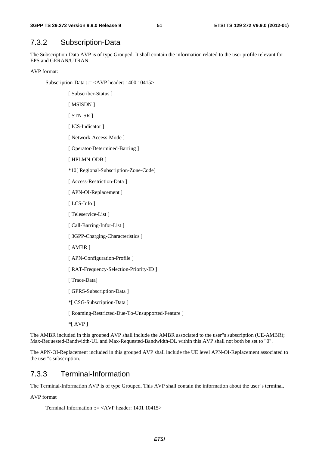## 7.3.2 Subscription-Data

The Subscription-Data AVP is of type Grouped. It shall contain the information related to the user profile relevant for EPS and GERAN/UTRAN.

AVP format:

Subscription-Data ::= <AVP header: 1400 10415>

[ Subscriber-Status ]

[ MSISDN ]

[ STN-SR ]

[ ICS-Indicator ]

[ Network-Access-Mode ]

[ Operator-Determined-Barring ]

[ HPLMN-ODB ]

\*10[ Regional-Subscription-Zone-Code]

[ Access-Restriction-Data ]

[ APN-OI-Replacement ]

[ LCS-Info ]

[ Teleservice-List ]

[ Call-Barring-Infor-List ]

[ 3GPP-Charging-Characteristics ]

[ AMBR ]

[ APN-Configuration-Profile ]

[ RAT-Frequency-Selection-Priority-ID ]

[ Trace-Data]

[ GPRS-Subscription-Data ]

\*[ CSG-Subscription-Data ]

[ Roaming-Restricted-Due-To-Unsupported-Feature ]

\*[ AVP ]

The AMBR included in this grouped AVP shall include the AMBR associated to the user"s subscription (UE-AMBR); Max-Requested-Bandwidth-UL and Max-Requested-Bandwidth-DL within this AVP shall not both be set to "0".

The APN-OI-Replacement included in this grouped AVP shall include the UE level APN-OI-Replacement associated to the user"s subscription.

## 7.3.3 Terminal-Information

The Terminal-Information AVP is of type Grouped. This AVP shall contain the information about the user"s terminal.

AVP format

Terminal Information  $\therefore$  = <AVP header: 1401 10415>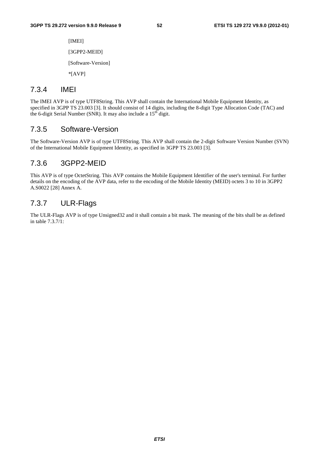[IMEI] [3GPP2-MEID] [Software-Version] \*[AVP]

## 7.3.4 IMEI

The IMEI AVP is of type UTF8String. This AVP shall contain the International Mobile Equipment Identity, as specified in 3GPP TS 23.003 [3]. It should consist of 14 digits, including the 8-digit Type Allocation Code (TAC) and the 6-digit Serial Number (SNR). It may also include a 15<sup>th</sup> digit.

### 7.3.5 Software-Version

The Software-Version AVP is of type UTF8String. This AVP shall contain the 2-digit Software Version Number (SVN) of the International Mobile Equipment Identity, as specified in 3GPP TS 23.003 [3].

## 7.3.6 3GPP2-MEID

This AVP is of type OctetString. This AVP contains the Mobile Equipment Identifier of the user's terminal. For further details on the encoding of the AVP data, refer to the encoding of the Mobile Identity (MEID) octets 3 to 10 in 3GPP2 A.S0022 [28] Annex A.

## 7.3.7 ULR-Flags

The ULR-Flags AVP is of type Unsigned32 and it shall contain a bit mask. The meaning of the bits shall be as defined in table 7.3.7/1: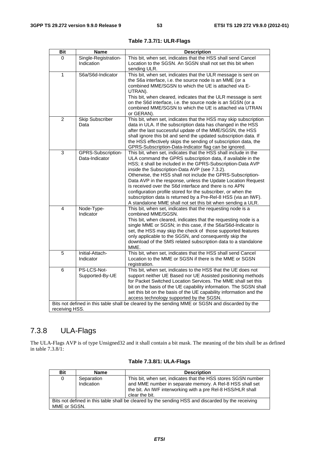| <b>Bit</b>     | <b>Name</b>                          | <b>Description</b>                                                                                                                                                                                                                                                                                                                                                                                                                                                                                                                                                                                                                       |
|----------------|--------------------------------------|------------------------------------------------------------------------------------------------------------------------------------------------------------------------------------------------------------------------------------------------------------------------------------------------------------------------------------------------------------------------------------------------------------------------------------------------------------------------------------------------------------------------------------------------------------------------------------------------------------------------------------------|
| 0              | Single-Registration-<br>Indication   | This bit, when set, indicates that the HSS shall send Cancel<br>Location to the SGSN. An SGSN shall not set this bit when<br>sending ULR.                                                                                                                                                                                                                                                                                                                                                                                                                                                                                                |
| 1              | S6a/S6d-Indicator                    | This bit, when set, indicates that the ULR message is sent on<br>the S6a interface, i.e. the source node is an MME (or a<br>combined MME/SGSN to which the UE is attached via E-<br>UTRAN).<br>This bit, when cleared, indicates that the ULR message is sent<br>on the S6d interface, i.e. the source node is an SGSN (or a<br>combined MME/SGSN to which the UE is attached via UTRAN<br>or GERAN).                                                                                                                                                                                                                                    |
| 2              | <b>Skip Subscriber</b><br>Data       | This bit, when set, indicates that the HSS may skip subscription<br>data in ULA. If the subscription data has changed in the HSS<br>after the last successful update of the MME/SGSN, the HSS<br>shall ignore this bit and send the updated subscription data. If<br>the HSS effectively skips the sending of subscription data, the<br>GPRS-Subscription-Data-Indicator flag can be ignored.                                                                                                                                                                                                                                            |
| 3              | GPRS-Subscription-<br>Data-Indicator | This bit, when set, indicates that the HSS shall include in the<br>ULA command the GPRS subscription data, if available in the<br>HSS; it shall be included in the GPRS-Subscription-Data AVP<br>inside the Subscription-Data AVP (see 7.3.2).<br>Otherwise, the HSS shall not include the GPRS-Subscription-<br>Data AVP in the response, unless the Update Location Request<br>is received over the S6d interface and there is no APN<br>configuration profile stored for the subscriber, or when the<br>subscription data is returned by a Pre-Rel-8 HSS (via an IWF).<br>A standalone MME shall not set this bit when sending a ULR. |
| 4              | Node-Type-<br>Indicator              | This bit, when set, indicates that the requesting node is a<br>combined MME/SGSN.<br>This bit, when cleared, indicates that the requesting node is a<br>single MME or SGSN; in this case, if the S6a/S6d-Indicator is<br>set, the HSS may skip the check of those supported features<br>only applicable to the SGSN, and consequently skip the<br>download of the SMS related subscription data to a standalone<br>MME.                                                                                                                                                                                                                  |
| 5              | Initial-Attach-<br>Indicator         | This bit, when set, indicates that the HSS shall send Cancel<br>Location to the MME or SGSN if there is the MME or SGSN<br>registration.                                                                                                                                                                                                                                                                                                                                                                                                                                                                                                 |
| 6              | PS-LCS-Not-<br>Supported-By-UE       | This bit, when set, indicates to the HSS that the UE does not<br>support neither UE Based nor UE Assisted positioning methods<br>for Packet Switched Location Services. The MME shall set this<br>bit on the basis of the UE capability information. The SGSN shall<br>set this bit on the basis of the UE capability information and the<br>access technology supported by the SGSN.                                                                                                                                                                                                                                                    |
| receiving HSS. |                                      | Bits not defined in this table shall be cleared by the sending MME or SGSN and discarded by the                                                                                                                                                                                                                                                                                                                                                                                                                                                                                                                                          |

**Table 7.3.7/1: ULR-Flags** 

# 7.3.8 ULA-Flags

The ULA-Flags AVP is of type Unsigned32 and it shall contain a bit mask. The meaning of the bits shall be as defined in table 7.3.8/1:

| Bit                                                                                               | <b>Name</b> | <b>Description</b>                                                                                                                        |  |  |  |  |
|---------------------------------------------------------------------------------------------------|-------------|-------------------------------------------------------------------------------------------------------------------------------------------|--|--|--|--|
| 0                                                                                                 | Separation  | This bit, when set, indicates that the HSS stores SGSN number                                                                             |  |  |  |  |
|                                                                                                   | Indication  | and MME number in separate memory. A Rel-8 HSS shall set<br>the bit. An IWF interworking with a pre ReI-8 HSS/HLR shall<br>clear the bit. |  |  |  |  |
| Bits not defined in this table shall be cleared by the sending HSS and discarded by the receiving |             |                                                                                                                                           |  |  |  |  |
| MME or SGSN.                                                                                      |             |                                                                                                                                           |  |  |  |  |

**Table 7.3.8/1: ULA-Flags**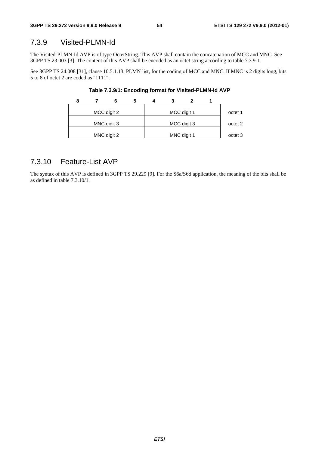# 7.3.9 Visited-PLMN-Id

The Visited-PLMN-Id AVP is of type OctetString. This AVP shall contain the concatenation of MCC and MNC. See 3GPP TS 23.003 [3]. The content of this AVP shall be encoded as an octet string according to table 7.3.9-1.

See 3GPP TS 24.008 [31], clause 10.5.1.13, PLMN list, for the coding of MCC and MNC. If MNC is 2 digits long, bits 5 to 8 of octet 2 are coded as "1111".

|  | 6           |  |             |         |
|--|-------------|--|-------------|---------|
|  | MCC digit 2 |  | MCC digit 1 | octet 1 |
|  | MNC digit 3 |  | MCC digit 3 | octet 2 |
|  | MNC digit 2 |  | MNC digit 1 | octet 3 |

**Table 7.3.9/1: Encoding format for Visited-PLMN-Id AVP** 

### 7.3.10 Feature-List AVP

The syntax of this AVP is defined in 3GPP TS 29.229 [9]. For the S6a/S6d application, the meaning of the bits shall be as defined in table 7.3.10/1.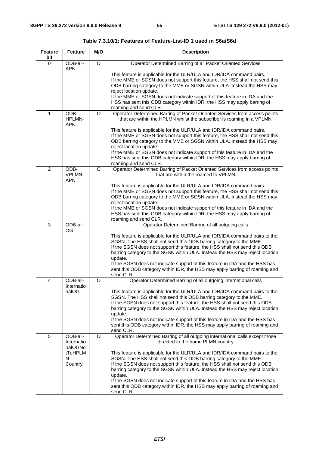| <b>Feature</b><br>bit | <b>Feature</b>                                                | M/O            | <b>Description</b>                                                                                                                                                                                                                                                                                                                                                                                                                                                                                                                                                                                                          |
|-----------------------|---------------------------------------------------------------|----------------|-----------------------------------------------------------------------------------------------------------------------------------------------------------------------------------------------------------------------------------------------------------------------------------------------------------------------------------------------------------------------------------------------------------------------------------------------------------------------------------------------------------------------------------------------------------------------------------------------------------------------------|
| $\mathbf 0$           | ODB-all-<br><b>APN</b>                                        | $\overline{O}$ | Operator Determined Barring of all Packet Oriented Services                                                                                                                                                                                                                                                                                                                                                                                                                                                                                                                                                                 |
|                       |                                                               |                | This feature is applicable for the ULR/ULA and IDR/IDA command pairs.<br>If the MME or SGSN does not support this feature, the HSS shall not send this<br>ODB barring category to the MME or SGSN within ULA. Instead the HSS may<br>reject location update.<br>If the MME or SGSN does not indicate support of this feature in IDA and the<br>HSS has sent this ODB category within IDR, the HSS may apply barring of<br>roaming and send CLR.                                                                                                                                                                             |
| 1                     | ODB-<br>HPLMN-<br><b>APN</b>                                  | O              | Operator Determined Barring of Packet Oriented Services from access points<br>that are within the HPLMN whilst the subscriber is roaming in a VPLMN                                                                                                                                                                                                                                                                                                                                                                                                                                                                         |
|                       |                                                               |                | This feature is applicable for the ULR/ULA and IDR/IDA command pairs.<br>If the MME or SGSN does not support this feature, the HSS shall not send this<br>ODB barring category to the MME or SGSN within ULA. Instead the HSS may<br>reject location update.<br>If the MME or SGSN does not indicate support of this feature in IDA and the<br>HSS has sent this ODB category within IDR, the HSS may apply barring of<br>roaming and send CLR.                                                                                                                                                                             |
| $\overline{2}$        | ODB-<br><b>VPLMN-</b><br><b>APN</b>                           | $\circ$        | Operator Determined Barring of Packet Oriented Services from access points<br>that are within the roamed to VPLMN                                                                                                                                                                                                                                                                                                                                                                                                                                                                                                           |
|                       |                                                               |                | This feature is applicable for the ULR/ULA and IDR/IDA command pairs.<br>If the MME or SGSN does not support this feature, the HSS shall not send this<br>ODB barring category to the MME or SGSN within ULA. Instead the HSS may<br>reject location update.<br>If the MME or SGSN does not indicate support of this feature in IDA and the<br>HSS has sent this ODB category within IDR, the HSS may apply barring of<br>roaming and send CLR.                                                                                                                                                                             |
| 3                     | ODB-all-                                                      |                | Operator Determined Barring of all outgoing calls                                                                                                                                                                                                                                                                                                                                                                                                                                                                                                                                                                           |
|                       | <b>OG</b>                                                     |                | This feature is applicable for the ULR/ULA and IDR/IDA command pairs to the<br>SGSN. The HSS shall not send this ODB barring category to the MME.<br>If the SGSN does not support this feature, the HSS shall not send this ODB<br>barring category to the SGSN within ULA. Instead the HSS may reject location<br>update.<br>If the SGSN does not indicate support of this feature in IDA and the HSS has<br>sent this ODB category within IDR, the HSS may apply barring of roaming and<br>send CLR.                                                                                                                      |
| 4                     | ODB-all-                                                      | O              | Operator Determined Barring of all outgoing international calls                                                                                                                                                                                                                                                                                                                                                                                                                                                                                                                                                             |
|                       | Internatio<br>naIOG                                           |                | This feature is applicable for the ULR/ULA and IDR/IDA command pairs to the<br>SGSN. The HSS shall not send this ODB barring category to the MME.<br>If the SGSN does not support this feature, the HSS shall not send this ODB<br>barring category to the SGSN within ULA. Instead the HSS may reject location<br>update.<br>If the SGSN does not indicate support of this feature in IDA and the HSS has<br>sent this ODB category within IDR, the HSS may apply barring of roaming and<br>send CLR.                                                                                                                      |
| 5                     | ODB-all-<br>Internatio<br>nalOGNo<br>tToHPLM<br>N-<br>Country | O              | Operator Determined Barring of all outgoing international calls except those<br>directed to the home PLMN country<br>This feature is applicable for the ULR/ULA and IDR/IDA command pairs to the<br>SGSN. The HSS shall not send this ODB barring category to the MME.<br>If the SGSN does not support this feature, the HSS shall not send this ODB<br>barring category to the SGSN within ULA. Instead the HSS may reject location<br>update.<br>If the SGSN does not indicate support of this feature in IDA and the HSS has<br>sent this ODB category within IDR, the HSS may apply barring of roaming and<br>send CLR. |

**Table 7.3.10/1: Features of Feature-List-ID 1 used in S6a/S6d**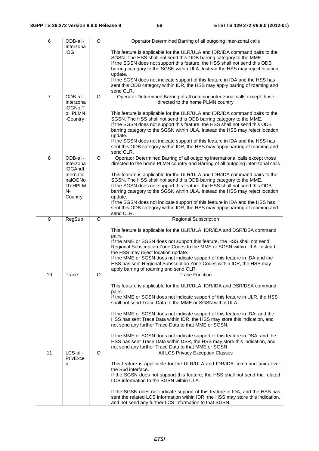| 6              | ODB-all-                                                                          | O        | Operator Determined Barring of all outgoing inter-zonal calls                                                                                                                                                                                                                                                                                                                                                                                                                                                                                                                             |
|----------------|-----------------------------------------------------------------------------------|----------|-------------------------------------------------------------------------------------------------------------------------------------------------------------------------------------------------------------------------------------------------------------------------------------------------------------------------------------------------------------------------------------------------------------------------------------------------------------------------------------------------------------------------------------------------------------------------------------------|
|                | Interzona<br>IOG                                                                  |          | This feature is applicable for the ULR/ULA and IDR/IDA command pairs to the<br>SGSN. The HSS shall not send this ODB barring category to the MME.<br>If the SGSN does not support this feature, the HSS shall not send this ODB<br>barring category to the SGSN within ULA. Instead the HSS may reject location<br>update.<br>If the SGSN does not indicate support of this feature in IDA and the HSS has<br>sent this ODB category within IDR, the HSS may apply barring of roaming and                                                                                                 |
|                |                                                                                   |          | send CLR.                                                                                                                                                                                                                                                                                                                                                                                                                                                                                                                                                                                 |
| $\overline{7}$ | ODB-all-<br>Interzona<br><b>IOGNotT</b>                                           | O        | Operator Determined Barring of all outgoing inter-zonal calls except those<br>directed to the home PLMN country                                                                                                                                                                                                                                                                                                                                                                                                                                                                           |
|                | <b>OHPLMN</b><br>-Country                                                         |          | This feature is applicable for the ULR/ULA and IDR/IDA command pairs to the<br>SGSN. The HSS shall not send this ODB barring category to the MME.<br>If the SGSN does not support this feature, the HSS shall not send this ODB<br>barring category to the SGSN within ULA. Instead the HSS may reject location<br>update.<br>If the SGSN does not indicate support of this feature in IDA and the HSS has<br>sent this ODB category within IDR, the HSS may apply barring of roaming and                                                                                                 |
| 8              | ODB-all-                                                                          | O        | send CLR.<br>Operator Determined Barring of all outgoing international calls except those                                                                                                                                                                                                                                                                                                                                                                                                                                                                                                 |
|                | Interzona<br><b>IOGAndl</b><br>nternatio<br>naIOGNo<br>tToHPLM<br>$N-$<br>Country |          | directed to the home PLMN country and Barring of all outgoing inter-zonal calls<br>This feature is applicable for the ULR/ULA and IDR/IDA command pairs to the<br>SGSN. The HSS shall not send this ODB barring category to the MME.<br>If the SGSN does not support this feature, the HSS shall not send this ODB<br>barring category to the SGSN within ULA. Instead the HSS may reject location<br>update.<br>If the SGSN does not indicate support of this feature in IDA and the HSS has<br>sent this ODB category within IDR, the HSS may apply barring of roaming and<br>send CLR. |
| 9              | RegSub                                                                            | O        | <b>Regional Subscription</b>                                                                                                                                                                                                                                                                                                                                                                                                                                                                                                                                                              |
|                |                                                                                   |          | This feature is applicable for the ULR/ULA, IDR/IDA and DSR/DSA command<br>pairs.<br>If the MME or SGSN does not support this feature, the HSS shall not send<br>Regional Subscription Zone Codes to the MME or SGSN within ULA. Instead<br>the HSS may reject location update.<br>If the MME or SGSN does not indicate support of this feature in IDA and the<br>HSS has sent Regional Subscription Zone Codes within IDR, the HSS may<br>apply barring of roaming and send CLR.                                                                                                         |
| 10             | <b>Trace</b>                                                                      | O        | <b>Trace Function</b>                                                                                                                                                                                                                                                                                                                                                                                                                                                                                                                                                                     |
|                |                                                                                   |          | This feature is applicable for the ULR/ULA, IDR/IDA and DSR/DSA command<br>pairs.<br>If the MME or SGSN does not indicate support of this feature in ULR, the HSS<br>shall not send Trace Data to the MME or SGSN within ULA.<br>If the MME or SGSN does not indicate support of this feature in IDA, and the<br>HSS has sent Trace Data within IDR, the HSS may store this indication, and<br>not send any further Trace Data to that MME or SGSN.                                                                                                                                       |
|                |                                                                                   |          | If the MME or SGSN does not indicate support of this feature in DSA, and the<br>HSS has sent Trace Data within DSR, the HSS may store this indication, and<br>not send any further Trace Data to that MME or SGSN                                                                                                                                                                                                                                                                                                                                                                         |
| 11             | LCS-all-<br>PrivExce                                                              | $\Omega$ | All LCS Privacy Exception Classes                                                                                                                                                                                                                                                                                                                                                                                                                                                                                                                                                         |
|                | р                                                                                 |          | This feature is applicable for the ULR/ULA and IDR/IDA command pairs over<br>the S6d interface.<br>If the SGSN does not support this feature, the HSS shall not send the related<br>LCS information to the SGSN within ULA.<br>If the SGSN does not indicate support of this feature in IDA, and the HSS has                                                                                                                                                                                                                                                                              |
|                |                                                                                   |          | sent the related LCS information within IDR, the HSS may store this indication,<br>and not send any further LCS information to that SGSN.                                                                                                                                                                                                                                                                                                                                                                                                                                                 |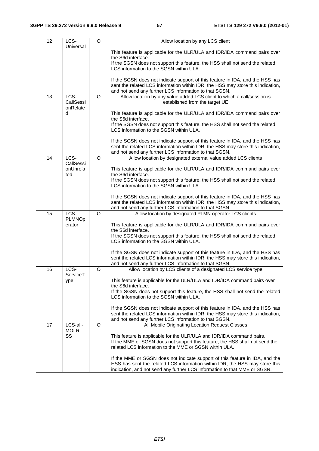| 12 | LCS-                  | O        | Allow location by any LCS client                                                                                                                                 |
|----|-----------------------|----------|------------------------------------------------------------------------------------------------------------------------------------------------------------------|
|    | Universal             |          | This feature is applicable for the ULR/ULA and IDR/IDA command pairs over                                                                                        |
|    |                       |          | the S6d interface.                                                                                                                                               |
|    |                       |          | If the SGSN does not support this feature, the HSS shall not send the related<br>LCS information to the SGSN within ULA.                                         |
|    |                       |          |                                                                                                                                                                  |
|    |                       |          | If the SGSN does not indicate support of this feature in IDA, and the HSS has                                                                                    |
|    |                       |          | sent the related LCS information within IDR, the HSS may store this indication,<br>and not send any further LCS information to that SGSN.                        |
| 13 | LCS-                  | $\Omega$ | Allow location by any value added LCS client to which a call/session is                                                                                          |
|    | CallSessi<br>onRelate |          | established from the target UE                                                                                                                                   |
|    | d                     |          | This feature is applicable for the ULR/ULA and IDR/IDA command pairs over                                                                                        |
|    |                       |          | the S6d interface.<br>If the SGSN does not support this feature, the HSS shall not send the related                                                              |
|    |                       |          | LCS information to the SGSN within ULA.                                                                                                                          |
|    |                       |          | If the SGSN does not indicate support of this feature in IDA, and the HSS has                                                                                    |
|    |                       |          | sent the related LCS information within IDR, the HSS may store this indication,<br>and not send any further LCS information to that SGSN.                        |
| 14 | LCS-                  | $\Omega$ | Allow location by designated external value added LCS clients                                                                                                    |
|    | CallSessi<br>onUnrela |          |                                                                                                                                                                  |
|    | ted                   |          | This feature is applicable for the ULR/ULA and IDR/IDA command pairs over<br>the S6d interface.                                                                  |
|    |                       |          | If the SGSN does not support this feature, the HSS shall not send the related                                                                                    |
|    |                       |          | LCS information to the SGSN within ULA.                                                                                                                          |
|    |                       |          | If the SGSN does not indicate support of this feature in IDA, and the HSS has                                                                                    |
|    |                       |          | sent the related LCS information within IDR, the HSS may store this indication,<br>and not send any further LCS information to that SGSN.                        |
| 15 | LCS-                  | $\circ$  | Allow location by designated PLMN operator LCS clients                                                                                                           |
|    | PLMNOp<br>erator      |          | This feature is applicable for the ULR/ULA and IDR/IDA command pairs over                                                                                        |
|    |                       |          | the S6d interface.                                                                                                                                               |
|    |                       |          | If the SGSN does not support this feature, the HSS shall not send the related<br>LCS information to the SGSN within ULA.                                         |
|    |                       |          |                                                                                                                                                                  |
|    |                       |          | If the SGSN does not indicate support of this feature in IDA, and the HSS has<br>sent the related LCS information within IDR, the HSS may store this indication, |
|    |                       |          | and not send any further LCS information to that SGSN.                                                                                                           |
| 16 | LCS-<br>ServiceT      | O        | Allow location by LCS clients of a designated LCS service type                                                                                                   |
|    | ype                   |          | This feature is applicable for the ULR/ULA and IDR/IDA command pairs over                                                                                        |
|    |                       |          | the S6d interface.<br>If the SGSN does not support this feature, the HSS shall not send the related                                                              |
|    |                       |          | LCS information to the SGSN within ULA.                                                                                                                          |
|    |                       |          | If the SGSN does not indicate support of this feature in IDA, and the HSS has                                                                                    |
|    |                       |          | sent the related LCS information within IDR, the HSS may store this indication,<br>and not send any further LCS information to that SGSN.                        |
| 17 | LCS-all-              | O        | All Mobile Originating Location Request Classes                                                                                                                  |
|    | MOLR-<br>SS           |          | This feature is applicable for the ULR/ULA and IDR/IDA command pairs.                                                                                            |
|    |                       |          | If the MME or SGSN does not support this feature, the HSS shall not send the                                                                                     |
|    |                       |          | related LCS information to the MME or SGSN within ULA.                                                                                                           |
|    |                       |          | If the MME or SGSN does not indicate support of this feature in IDA, and the                                                                                     |
|    |                       |          | HSS has sent the related LCS information within IDR, the HSS may store this<br>indication, and not send any further LCS information to that MME or SGSN.         |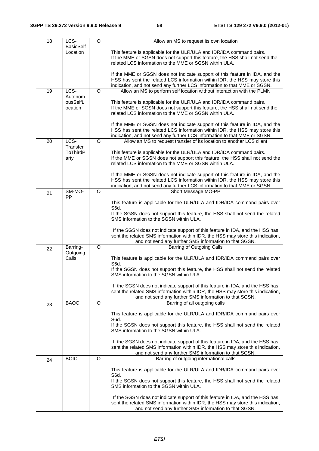| 18 | LCS-                         | $\Omega$ | Allow an MS to request its own location                                                                                                                          |
|----|------------------------------|----------|------------------------------------------------------------------------------------------------------------------------------------------------------------------|
|    | <b>BasicSelf</b><br>Location |          |                                                                                                                                                                  |
|    |                              |          | This feature is applicable for the ULR/ULA and IDR/IDA command pairs.<br>If the MME or SGSN does not support this feature, the HSS shall not send the            |
|    |                              |          | related LCS information to the MME or SGSN within ULA.                                                                                                           |
|    |                              |          | If the MME or SGSN does not indicate support of this feature in IDA, and the                                                                                     |
|    |                              |          | HSS has sent the related LCS information within IDR, the HSS may store this                                                                                      |
|    |                              |          | indication, and not send any further LCS information to that MME or SGSN.                                                                                        |
| 19 | LCS-<br>Autonom              | O        | Allow an MS to perform self location without interaction with the PLMN                                                                                           |
|    | ousSelfL                     |          | This feature is applicable for the ULR/ULA and IDR/IDA command pairs.                                                                                            |
|    | ocation                      |          | If the MME or SGSN does not support this feature, the HSS shall not send the                                                                                     |
|    |                              |          | related LCS information to the MME or SGSN within ULA.                                                                                                           |
|    |                              |          | If the MME or SGSN does not indicate support of this feature in IDA, and the                                                                                     |
|    |                              |          | HSS has sent the related LCS information within IDR, the HSS may store this                                                                                      |
|    |                              |          | indication, and not send any further LCS information to that MME or SGSN.                                                                                        |
| 20 | LCS-<br>Transfer             | O        | Allow an MS to request transfer of its location to another LCS client                                                                                            |
|    | <b>ToThirdP</b>              |          | This feature is applicable for the ULR/ULA and IDR/IDA command pairs.                                                                                            |
|    | arty                         |          | If the MME or SGSN does not support this feature, the HSS shall not send the                                                                                     |
|    |                              |          | related LCS information to the MME or SGSN within ULA.                                                                                                           |
|    |                              |          | If the MME or SGSN does not indicate support of this feature in IDA, and the                                                                                     |
|    |                              |          | HSS has sent the related LCS information within IDR, the HSS may store this                                                                                      |
|    | SM-MO-                       | O        | indication, and not send any further LCS information to that MME or SGSN.<br>Short Message MO-PP                                                                 |
| 21 | PP                           |          |                                                                                                                                                                  |
|    |                              |          | This feature is applicable for the ULR/ULA and IDR/IDA command pairs over                                                                                        |
|    |                              |          | S6d.<br>If the SGSN does not support this feature, the HSS shall not send the related                                                                            |
|    |                              |          | SMS information to the SGSN within ULA.                                                                                                                          |
|    |                              |          |                                                                                                                                                                  |
|    |                              |          | If the SGSN does not indicate support of this feature in IDA, and the HSS has<br>sent the related SMS information within IDR, the HSS may store this indication, |
|    |                              |          | and not send any further SMS information to that SGSN.                                                                                                           |
| 22 | Barring-                     | $\circ$  | Barring of Outgoing Calls                                                                                                                                        |
|    | Outgoing<br>Calls            |          | This feature is applicable for the ULR/ULA and IDR/IDA command pairs over                                                                                        |
|    |                              |          | S6d.                                                                                                                                                             |
|    |                              |          | If the SGSN does not support this feature, the HSS shall not send the related                                                                                    |
|    |                              |          | SMS information to the SGSN within ULA.                                                                                                                          |
|    |                              |          | If the SGSN does not indicate support of this feature in IDA, and the HSS has                                                                                    |
|    |                              |          | sent the related SMS information within IDR, the HSS may store this indication,                                                                                  |
|    | <b>BAOC</b>                  | $\Omega$ | and not send any further SMS information to that SGSN.<br>Barring of all outgoing calls                                                                          |
| 23 |                              |          |                                                                                                                                                                  |
|    |                              |          | This feature is applicable for the ULR/ULA and IDR/IDA command pairs over                                                                                        |
|    |                              |          | S6d.<br>If the SGSN does not support this feature, the HSS shall not send the related                                                                            |
|    |                              |          | SMS information to the SGSN within ULA.                                                                                                                          |
|    |                              |          |                                                                                                                                                                  |
|    |                              |          | If the SGSN does not indicate support of this feature in IDA, and the HSS has<br>sent the related SMS information within IDR, the HSS may store this indication, |
|    |                              |          | and not send any further SMS information to that SGSN.                                                                                                           |
| 24 | <b>BOIC</b>                  | O        | Barring of outgoing international calls                                                                                                                          |
|    |                              |          | This feature is applicable for the ULR/ULA and IDR/IDA command pairs over                                                                                        |
|    |                              |          | S6d.                                                                                                                                                             |
|    |                              |          | If the SGSN does not support this feature, the HSS shall not send the related                                                                                    |
|    |                              |          | SMS information to the SGSN within ULA.                                                                                                                          |
|    |                              |          | If the SGSN does not indicate support of this feature in IDA, and the HSS has                                                                                    |
|    |                              |          | sent the related SMS information within IDR, the HSS may store this indication,                                                                                  |
|    |                              |          | and not send any further SMS information to that SGSN.                                                                                                           |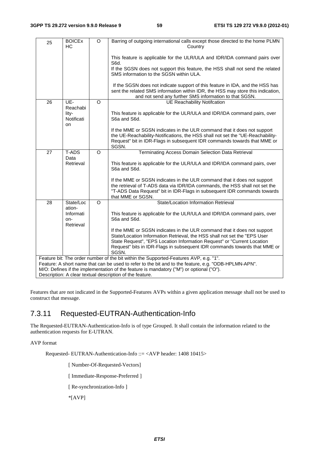| 25                                                                                                                                                                                              | <b>BOICEX</b><br><b>HC</b>              | $\Omega$ | Barring of outgoing international calls except those directed to the home PLMN<br>Country                                                                                                                                                                |
|-------------------------------------------------------------------------------------------------------------------------------------------------------------------------------------------------|-----------------------------------------|----------|----------------------------------------------------------------------------------------------------------------------------------------------------------------------------------------------------------------------------------------------------------|
|                                                                                                                                                                                                 |                                         |          | This feature is applicable for the ULR/ULA and IDR/IDA command pairs over<br>S6d.                                                                                                                                                                        |
|                                                                                                                                                                                                 |                                         |          | If the SGSN does not support this feature, the HSS shall not send the related<br>SMS information to the SGSN within ULA.                                                                                                                                 |
|                                                                                                                                                                                                 |                                         |          | If the SGSN does not indicate support of this feature in IDA, and the HSS has<br>sent the related SMS information within IDR, the HSS may store this indication,<br>and not send any further SMS information to that SGSN.                               |
| 26                                                                                                                                                                                              | UE-                                     | $\circ$  | <b>UE Reachability Notifcation</b>                                                                                                                                                                                                                       |
|                                                                                                                                                                                                 | Reachabi<br>lity-<br>Notificati<br>on   |          | This feature is applicable for the ULR/ULA and IDR/IDA command pairs, over<br>S6a and S6d.                                                                                                                                                               |
|                                                                                                                                                                                                 |                                         |          | If the MME or SGSN indicates in the ULR command that it does not support<br>the UE-Reachability-Notifications, the HSS shall not set the "UE-Reachability-<br>Request" bit in IDR-Flags in subsequent IDR commands towards that MME or<br>SGSN.          |
| 27                                                                                                                                                                                              | T-ADS                                   | $\circ$  | Terminating Access Domain Selection Data Retrieval                                                                                                                                                                                                       |
|                                                                                                                                                                                                 | Data<br>Retrieval                       |          | This feature is applicable for the ULR/ULA and IDR/IDA command pairs, over<br>S6a and S6d.                                                                                                                                                               |
|                                                                                                                                                                                                 |                                         |          | If the MME or SGSN indicates in the ULR command that it does not support<br>the retrieval of T-ADS data via IDR/IDA commands, the HSS shall not set the<br>"T-ADS Data Request" bit in IDR-Flags in subsequent IDR commands towards<br>that MME or SGSN. |
| 28                                                                                                                                                                                              | State/Loc                               | $\Omega$ | State/Location Information Retrieval                                                                                                                                                                                                                     |
|                                                                                                                                                                                                 | ation-<br>Informati<br>on-<br>Retrieval |          | This feature is applicable for the ULR/ULA and IDR/IDA command pairs, over<br>S6a and S6d.                                                                                                                                                               |
|                                                                                                                                                                                                 |                                         |          | If the MME or SGSN indicates in the ULR command that it does not support                                                                                                                                                                                 |
|                                                                                                                                                                                                 |                                         |          | State/Location Information Retrieval, the HSS shall not set the "EPS User<br>State Request", "EPS Location Information Request" or "Current Location                                                                                                     |
|                                                                                                                                                                                                 |                                         |          | Request" bits in IDR-Flags in subsequent IDR commands towards that MME or<br>SGSN.                                                                                                                                                                       |
| Feature bit: The order number of the bit within the Supported-Features AVP, e.g. "1".                                                                                                           |                                         |          |                                                                                                                                                                                                                                                          |
| Feature: A short name that can be used to refer to the bit and to the feature, e.g. "ODB-HPLMN-APN".<br>M/O: Defines if the implementation of the feature is mandatory ("M") or optional ("O"). |                                         |          |                                                                                                                                                                                                                                                          |
| Description: A clear textual description of the feature.                                                                                                                                        |                                         |          |                                                                                                                                                                                                                                                          |

Features that are not indicated in the Supported-Features AVPs within a given application message shall not be used to construct that message.

## 7.3.11 Requested-EUTRAN-Authentication-Info

The Requested-EUTRAN-Authentication-Info is of type Grouped. It shall contain the information related to the authentication requests for E-UTRAN.

#### AVP format

Requested- EUTRAN-Authentication-Info ::= <AVP header: 1408 10415>

[ Number-Of-Requested-Vectors]

[ Immediate-Response-Preferred ]

[ Re-synchronization-Info ]

\*[AVP]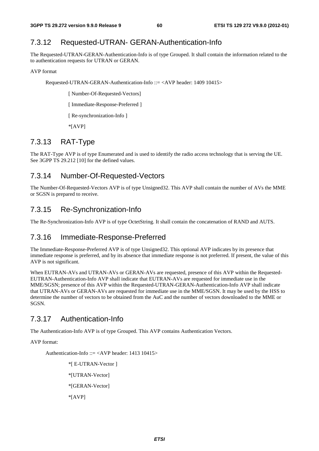## 7.3.12 Requested-UTRAN- GERAN-Authentication-Info

The Requested-UTRAN-GERAN-Authentication-Info is of type Grouped. It shall contain the information related to the to authentication requests for UTRAN or GERAN.

#### AVP format

Requested-UTRAN-GERAN-Authentication-Info ::= <AVP header: 1409 10415>

[ Number-Of-Requested-Vectors]

[ Immediate-Response-Preferred ]

[ Re-synchronization-Info ]

\*[AVP]

## 7.3.13 RAT-Type

The RAT-Type AVP is of type Enumerated and is used to identify the radio access technology that is serving the UE. See 3GPP TS 29.212 [10] for the defined values.

### 7.3.14 Number-Of-Requested-Vectors

The Number-Of-Requested-Vectors AVP is of type Unsigned32. This AVP shall contain the number of AVs the MME or SGSN is prepared to receive.

## 7.3.15 Re-Synchronization-Info

The Re-Synchronization-Info AVP is of type OctetString. It shall contain the concatenation of RAND and AUTS.

## 7.3.16 Immediate-Response-Preferred

The Immediate-Response-Preferred AVP is of type Unsigned32. This optional AVP indicates by its presence that immediate response is preferred, and by its absence that immediate response is not preferred. If present, the value of this AVP is not significant.

When EUTRAN-AVs and UTRAN-AVs or GERAN-AVs are requested, presence of this AVP within the Requested-EUTRAN-Authentication-Info AVP shall indicate that EUTRAN-AVs are requested for immediate use in the MME/SGSN; presence of this AVP within the Requested-UTRAN-GERAN-Authentication-Info AVP shall indicate that UTRAN-AVs or GERAN-AVs are requested for immediate use in the MME/SGSN. It may be used by the HSS to determine the number of vectors to be obtained from the AuC and the number of vectors downloaded to the MME or SGSN.

## 7.3.17 Authentication-Info

The Authentication-Info AVP is of type Grouped. This AVP contains Authentication Vectors.

AVP format:

Authentication-Info ::= <AVP header: 1413 10415>

\*[ E-UTRAN-Vector ] \*[UTRAN-Vector] \*[GERAN-Vector] \*[AVP]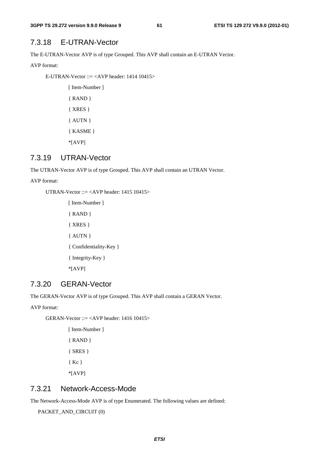## 7.3.18 E-UTRAN-Vector

The E-UTRAN-Vector AVP is of type Grouped. This AVP shall contain an E-UTRAN Vector.

AVP format:

E-UTRAN-Vector ::= <AVP header: 1414 10415>

[ Item-Number ] { RAND } { XRES } { AUTN } { KASME } \*[AVP]

### 7.3.19 UTRAN-Vector

The UTRAN-Vector AVP is of type Grouped. This AVP shall contain an UTRAN Vector.

#### AVP format:

UTRAN-Vector  $\therefore$  = <AVP header: 1415 10415>

[ Item-Number ] { RAND } { XRES } { AUTN } { Confidentiality-Key } { Integrity-Key } \*[AVP]

### 7.3.20 GERAN-Vector

The GERAN-Vector AVP is of type Grouped. This AVP shall contain a GERAN Vector.

AVP format:

GERAN-Vector ::= <AVP header:  $1416 10415$ >

[ Item-Number ] { RAND } { SRES } { Kc } \*[AVP]

## 7.3.21 Network-Access-Mode

The Network-Access-Mode AVP is of type Enumerated. The following values are defined:

PACKET\_AND\_CIRCUIT (0)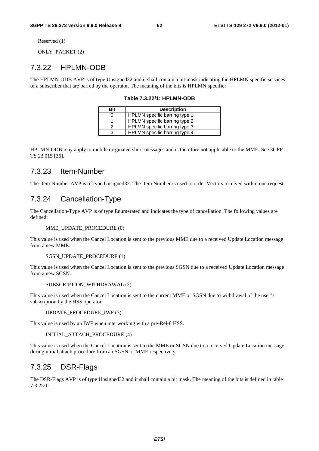Reserved (1)

ONLY PACKET (2)

### 7.3.22 HPLMN-ODB

The HPLMN-ODB AVP is of type Unsigned32 and it shall contain a bit mask indicating the HPLMN specific services of a subscriber that are barred by the operator. The meaning of the bits is HPLMN specific:

**Table 7.3.22/1: HPLMN-ODB** 

| Bit | <b>Description</b>            |
|-----|-------------------------------|
|     | HPLMN specific barring type 1 |
|     | HPLMN specific barring type 2 |
|     | HPLMN specific barring type 3 |
|     | HPLMN specific barring type 4 |

HPLMN-ODB may apply to mobile originated short messages and is therefore not applicable to the MME; See 3GPP TS 23.015 [36].

### 7.3.23 Item-Number

The Item-Number AVP is of type Unsigned32. The Item Number is used to order Vectors received within one request.

### 7.3.24 Cancellation-Type

The Cancellation-Type AVP is of type Enumerated and indicates the type of cancellation. The following values are defined:

MME\_UPDATE\_PROCEDURE (0)

This value is used when the Cancel Location is sent to the previous MME due to a received Update Location message from a new MME.

SGSN\_UPDATE\_PROCEDURE (1)

This value is used when the Cancel Location is sent to the previous SGSN due to a received Update Location message from a new SGSN.

SUBSCRIPTION\_WITHDRAWAL (2)

This value is used when the Cancel Location is sent to the current MME or SGSN due to withdrawal of the user"s subscription by the HSS operator.

UPDATE\_PROCEDURE\_IWF (3)

This value is used by an IWF when interworking with a pre-Rel-8 HSS.

INITIAL\_ATTACH\_PROCEDURE (4)

This value is used when the Cancel Location is sent to the MME or SGSN due to a received Update Location message during initial attach procedure from an SGSN or MME respectively.

### 7.3.25 DSR-Flags

The DSR-Flags AVP is of type Unsigned32 and it shall contain a bit mask. The meaning of the bits is defined in table 7.3.25/1: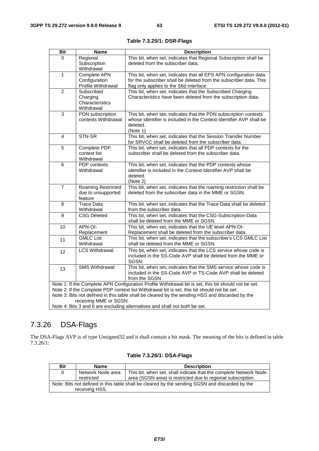| <b>Bit</b>                                                                                  | <b>Name</b>                                                                                     | <b>Description</b>                                                                                                              |  |  |
|---------------------------------------------------------------------------------------------|-------------------------------------------------------------------------------------------------|---------------------------------------------------------------------------------------------------------------------------------|--|--|
| $\Omega$                                                                                    | Regional                                                                                        | This bit, when set, indicates that Regional Subscription shall be                                                               |  |  |
|                                                                                             | Subscription                                                                                    | deleted from the subscriber data.                                                                                               |  |  |
|                                                                                             | Withdrawal                                                                                      |                                                                                                                                 |  |  |
| 1                                                                                           | Complete APN                                                                                    | This bit, when set, indicates that all EPS APN configuration data                                                               |  |  |
|                                                                                             | Configuration                                                                                   | for the subscriber shall be deleted from the subscriber data. This                                                              |  |  |
|                                                                                             | Profile Withdrawal                                                                              | flag only applies to the S6d interface.                                                                                         |  |  |
| $\overline{2}$                                                                              | Subscribed                                                                                      | This bit, when set, indicates that the Subscribed Charging                                                                      |  |  |
|                                                                                             | Charging<br>Characteristics                                                                     | Characteristics have been deleted from the subscription data.                                                                   |  |  |
|                                                                                             | Withdrawal                                                                                      |                                                                                                                                 |  |  |
| $\overline{3}$                                                                              | PDN subscription                                                                                | This bit, when set, indicates that the PDN subscription contexts                                                                |  |  |
|                                                                                             | contexts Withdrawal                                                                             | whose identifier is included in the Context-Identifier AVP shall be                                                             |  |  |
|                                                                                             |                                                                                                 | deleted.                                                                                                                        |  |  |
|                                                                                             |                                                                                                 | (Note 1)                                                                                                                        |  |  |
| 4                                                                                           | STN-SR                                                                                          | This bit, when set, indicates that the Session Transfer Number                                                                  |  |  |
|                                                                                             |                                                                                                 | for SRVCC shall be deleted from the subscriber data.                                                                            |  |  |
| 5                                                                                           | Complete PDP                                                                                    | This bit, when set, indicates that all PDP contexts for the                                                                     |  |  |
|                                                                                             | context list                                                                                    | subscriber shall be deleted from the subscriber data.                                                                           |  |  |
|                                                                                             | Withdrawal                                                                                      |                                                                                                                                 |  |  |
| 6                                                                                           | <b>PDP</b> contexts                                                                             | This bit, when set, indicates that the PDP contexts whose                                                                       |  |  |
|                                                                                             | Withdrawal                                                                                      | identifier is included in the Context-Identifier AVP shall be                                                                   |  |  |
|                                                                                             |                                                                                                 | deleted.<br>(Note 2)                                                                                                            |  |  |
| $\overline{7}$                                                                              | Roaming Restricted                                                                              | This bit, when set, indicates that the roaming restriction shall be                                                             |  |  |
|                                                                                             | due to unsupported                                                                              | deleted from the subscriber data in the MME or SGSN.                                                                            |  |  |
|                                                                                             | feature                                                                                         |                                                                                                                                 |  |  |
| 8                                                                                           | <b>Trace Data</b>                                                                               | This bit, when set, indicates that the Trace Data shall be deleted                                                              |  |  |
|                                                                                             | Withdrawal                                                                                      | from the subscriber data.                                                                                                       |  |  |
| 9                                                                                           | <b>CSG Deleted</b>                                                                              | This bit, when set, indicates that the CSG-Subscription-Data                                                                    |  |  |
|                                                                                             |                                                                                                 | shall be deleted from the MME or SGSN.                                                                                          |  |  |
| 10                                                                                          | APN-OI-                                                                                         | This bit, when set, indicates that the UE level APN-OI-                                                                         |  |  |
|                                                                                             | Replacement                                                                                     | Replacement shall be deleted from the subscriber data.                                                                          |  |  |
| 11                                                                                          | <b>GMLC List</b>                                                                                | This bit, when set, indicates that the subscriber's LCS GMLC List                                                               |  |  |
|                                                                                             | Withdrawal                                                                                      | shall be deleted from the MME or SGSN.                                                                                          |  |  |
| 12 <sup>2</sup>                                                                             | <b>LCS Withdrawal</b>                                                                           | This bit, when set, indicates that the LCS service whose code is                                                                |  |  |
|                                                                                             |                                                                                                 | included in the SS-Code AVP shall be deleted from the MME or                                                                    |  |  |
|                                                                                             |                                                                                                 | SGSN.                                                                                                                           |  |  |
| 13                                                                                          | <b>SMS Withdrawal</b>                                                                           | This bit, when set, indicates that the SMS service whose code is<br>included in the SS-Code AVP or TS-Code AVP shall be deleted |  |  |
|                                                                                             |                                                                                                 | from the SGSN.                                                                                                                  |  |  |
|                                                                                             |                                                                                                 | Note 1: If the Complete APN Configuration Profile Withdrawal bit is set, this bit should not be set.                            |  |  |
| Note 2: If the Complete PDP context list Withdrawal bit is set, this bit should not be set. |                                                                                                 |                                                                                                                                 |  |  |
|                                                                                             | Note 3: Bits not defined in this table shall be cleared by the sending HSS and discarded by the |                                                                                                                                 |  |  |
|                                                                                             | receiving MME or SGSN.                                                                          |                                                                                                                                 |  |  |
| Note 4: Bits 3 and 6 are excluding alternatives and shall not both be set.                  |                                                                                                 |                                                                                                                                 |  |  |

**Table 7.3.25/1: DSR-Flags** 

# 7.3.26 DSA-Flags

The DSA-Flags AVP is of type Unsigned32 and it shall contain a bit mask. The meaning of the bits is defined in table 7.3.26/1:

| Bit                                                                                            | <b>Name</b>       | <b>Description</b>                                                |  |  |
|------------------------------------------------------------------------------------------------|-------------------|-------------------------------------------------------------------|--|--|
| 0                                                                                              | Network Node area | This bit, when set, shall indicate that the complete Network Node |  |  |
|                                                                                                | restricted        | area (SGSN area) is restricted due to regional subscription.      |  |  |
| Note: Bits not defined in this table shall be cleared by the sending SGSN and discarded by the |                   |                                                                   |  |  |
| receiving HSS.                                                                                 |                   |                                                                   |  |  |

### **Table 7.3.26/1: DSA-Flags**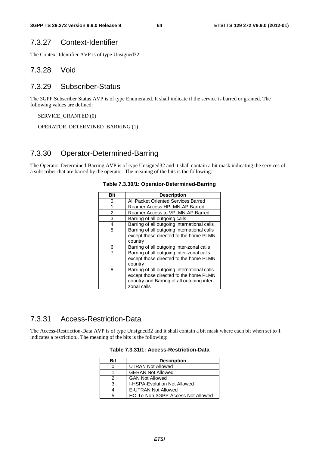### 7.3.27 Context-Identifier

The Context-Identifier AVP is of type Unsigned32.

### 7.3.28 Void

## 7.3.29 Subscriber-Status

The 3GPP Subscriber Status AVP is of type Enumerated. It shall indicate if the service is barred or granted. The following values are defined:

SERVICE\_GRANTED (0)

OPERATOR\_DETERMINED\_BARRING (1)

## 7.3.30 Operator-Determined-Barring

The Operator-Determined-Barring AVP is of type Unsigned32 and it shall contain a bit mask indicating the services of a subscriber that are barred by the operator. The meaning of the bits is the following:

| Bit | <b>Description</b>                                                                                                                                 |
|-----|----------------------------------------------------------------------------------------------------------------------------------------------------|
| O   | All Packet Oriented Services Barred                                                                                                                |
| 1   | Roamer Access HPLMN-AP Barred                                                                                                                      |
| 2   | Roamer Access to VPLMN-AP Barred                                                                                                                   |
| 3   | Barring of all outgoing calls                                                                                                                      |
| 4   | Barring of all outgoing international calls                                                                                                        |
| 5   | Barring of all outgoing international calls<br>except those directed to the home PLMN<br>country                                                   |
| 6   | Barring of all outgoing inter-zonal calls                                                                                                          |
|     | Barring of all outgoing inter-zonal calls<br>except those directed to the home PLMN<br>country                                                     |
| 8   | Barring of all outgoing international calls<br>except those directed to the home PLMN<br>country and Barring of all outgoing inter-<br>zonal calls |

#### **Table 7.3.30/1: Operator-Determined-Barring**

### 7.3.31 Access-Restriction-Data

The Access-Restriction-Data AVP is of type Unsigned32 and it shall contain a bit mask where each bit when set to 1 indicates a restriction.. The meaning of the bits is the following:

| <b>Bit</b> | <b>Description</b>                  |
|------------|-------------------------------------|
|            | <b>UTRAN Not Allowed</b>            |
|            | <b>GERAN Not Allowed</b>            |
|            | <b>GAN Not Allowed</b>              |
| з          | <b>I-HSPA-Evolution Not Allowed</b> |
|            | <b>E-UTRAN Not Allowed</b>          |
| 5          | HO-To-Non-3GPP-Access Not Allowed   |

### **Table 7.3.31/1: Access-Restriction-Data**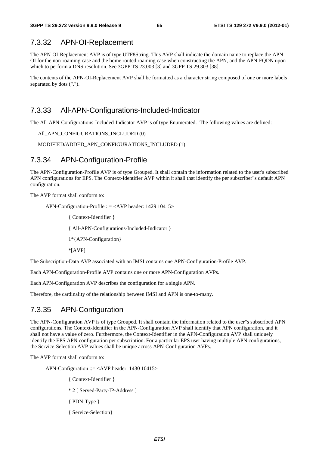### 7.3.32 APN-OI-Replacement

The APN-OI-Replacement AVP is of type UTF8String. This AVP shall indicate the domain name to replace the APN OI for the non-roaming case and the home routed roaming case when constructing the APN, and the APN-FQDN upon which to perform a DNS resolution. See 3GPP TS 23.003 [3] and 3GPP TS 29.303 [38].

The contents of the APN-OI-Replacement AVP shall be formatted as a character string composed of one or more labels separated by dots (".").

## 7.3.33 All-APN-Configurations-Included-Indicator

The All-APN-Configurations-Included-Indicator AVP is of type Enumerated. The following values are defined:

All\_APN\_CONFIGURATIONS\_INCLUDED (0)

MODIFIED/ADDED\_APN\_CONFIGURATIONS\_INCLUDED (1)

### 7.3.34 APN-Configuration-Profile

The APN-Configuration-Profile AVP is of type Grouped. It shall contain the information related to the user's subscribed APN configurations for EPS. The Context-Identifier AVP within it shall that identify the per subscriber"s default APN configuration.

The AVP format shall conform to:

APN-Configuration-Profile ::= <AVP header: 1429 10415>

{ Context-Identifier }

{ All-APN-Configurations-Included-Indicator }

1\*{APN-Configuration}

\*[AVP]

The Subscription-Data AVP associated with an IMSI contains one APN-Configuration-Profile AVP.

Each APN-Configuration-Profile AVP contains one or more APN-Configuration AVPs.

Each APN-Configuration AVP describes the configuration for a single APN.

Therefore, the cardinality of the relationship between IMSI and APN is one-to-many.

## 7.3.35 APN-Configuration

The APN-Configuration AVP is of type Grouped. It shall contain the information related to the user"s subscribed APN configurations. The Context-Identifier in the APN-Configuration AVP shall identify that APN configuration, and it shall not have a value of zero. Furthermore, the Context-Identifier in the APN-Configuration AVP shall uniquely identify the EPS APN configuration per subscription. For a particular EPS user having multiple APN configurations, the Service-Selection AVP values shall be unique across APN-Configuration AVPs.

The AVP format shall conform to:

APN-Configuration ::= <AVP header: 1430 10415>

- { Context-Identifier }
- \* 2 [ Served-Party-IP-Address ]
- { PDN-Type }
- { Service-Selection}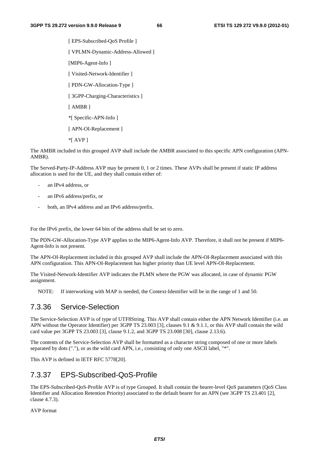[ EPS-Subscribed-OoS Profile ] [ VPLMN-Dynamic-Address-Allowed ] [MIP6-Agent-Info ] [ Visited-Network-Identifier ] [ PDN-GW-Allocation-Type ] [ 3GPP-Charging-Characteristics ] [ AMBR ] \*[ Specific-APN-Info ] [ APN-OI-Replacement ] \*[ AVP ]

The AMBR included in this grouped AVP shall include the AMBR associated to this specific APN configuration (APN-AMBR).

The Served-Party-IP-Address AVP may be present 0, 1 or 2 times. These AVPs shall be present if static IP address allocation is used for the UE, and they shall contain either of:

- an IPv4 address, or
- an IPv6 address/prefix, or
- both, an IPv4 address and an IPv6 address/prefix.

For the IPv6 prefix, the lower 64 bits of the address shall be set to zero.

The PDN-GW-Allocation-Type AVP applies to the MIP6-Agent-Info AVP. Therefore, it shall not be present if MIP6- Agent-Info is not present.

The APN-OI-Replacement included in this grouped AVP shall include the APN-OI-Replacement associated with this APN configuration. This APN-OI-Replacement has higher priority than UE level APN-OI-Replacement.

The Visited-Network-Identifier AVP indicates the PLMN where the PGW was allocated, in case of dynamic PGW assignment.

NOTE: If interworking with MAP is needed, the Context-Identifier will be in the range of 1 and 50.

## 7.3.36 Service-Selection

The Service-Selection AVP is of type of UTF8String. This AVP shall contain either the APN Network Identifier (i.e. an APN without the Operator Identifier) per 3GPP TS 23.003 [3], clauses 9.1 & 9.1.1, or this AVP shall contain the wild card value per 3GPP TS 23.003 [3], clause 9.1.2, and 3GPP TS 23.008 [30], clause 2.13.6).

The contents of the Service-Selection AVP shall be formatted as a character string composed of one or more labels separated by dots ("."), or as the wild card APN, i.e., consisting of only one ASCII label, "\*".

This AVP is defined in IETF RFC 5778[20].

# 7.3.37 EPS-Subscribed-QoS-Profile

The EPS-Subscribed-QoS-Profile AVP is of type Grouped. It shall contain the bearer-level QoS parameters (QoS Class Identifier and Allocation Retention Priority) associated to the default bearer for an APN (see 3GPP TS 23.401 [2], clause 4.7.3).

AVP format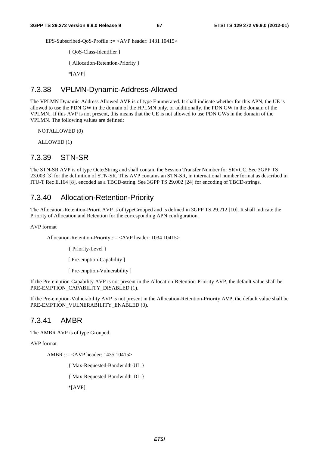EPS-Subscribed-QoS-Profile ::= <AVP header: 1431 10415>

{ QoS-Class-Identifier }

{ Allocation-Retention-Priority }

\*[AVP]

### 7.3.38 VPLMN-Dynamic-Address-Allowed

The VPLMN Dynamic Address Allowed AVP is of type Enumerated. It shall indicate whether for this APN, the UE is allowed to use the PDN GW in the domain of the HPLMN only, or additionally, the PDN GW in the domain of the VPLMN.. If this AVP is not present, this means that the UE is not allowed to use PDN GWs in the domain of the VPLMN. The following values are defined:

NOTALLOWED (0)

ALLOWED (1)

## 7.3.39 STN-SR

The STN-SR AVP is of type OctetString and shall contain the Session Transfer Number for SRVCC. See 3GPP TS 23.003 [3] for the definition of STN-SR. This AVP contains an STN-SR, in international number format as described in ITU-T Rec E.164 [8], encoded as a TBCD-string. See 3GPP TS 29.002 [24] for encoding of TBCD-strings.

### 7.3.40 Allocation-Retention-Priority

The Allocation-Retention-Priorit AVP is of typeGrouped and is defined in 3GPP TS 29.212 [10]. It shall indicate the Priority of Allocation and Retention for the corresponding APN configuration.

AVP format

Allocation-Retention-Priority ::= <AVP header: 1034 10415>

{ Priority-Level }

[ Pre-emption-Capability ]

[ Pre-emption-Vulnerability ]

If the Pre-emption-Capability AVP is not present in the Allocation-Retention-Priority AVP, the default value shall be PRE-EMPTION\_CAPABILITY\_DISABLED (1).

If the Pre-emption-Vulnerability AVP is not present in the Allocation-Retention-Priority AVP, the default value shall be PRE-EMPTION\_VULNERABILITY\_ENABLED (0).

### 7.3.41 AMBR

The AMBR AVP is of type Grouped.

AVP format

AMBR ::= <AVP header: 1435 10415>

{ Max-Requested-Bandwidth-UL }

{ Max-Requested-Bandwidth-DL }

\*[AVP]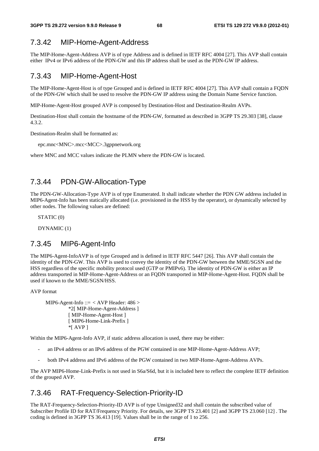## 7.3.42 MIP-Home-Agent-Address

The MIP-Home-Agent-Address AVP is of type Address and is defined in IETF RFC 4004 [27]. This AVP shall contain either IPv4 or IPv6 address of the PDN-GW and this IP address shall be used as the PDN-GW IP address.

### 7.3.43 MIP-Home-Agent-Host

The MIP-Home-Agent-Host is of type Grouped and is defined in IETF RFC 4004 [27]. This AVP shall contain a FQDN of the PDN-GW which shall be used to resolve the PDN-GW IP address using the Domain Name Service function.

MIP-Home-Agent-Host grouped AVP is composed by Destination-Host and Destination-Realm AVPs.

Destination-Host shall contain the hostname of the PDN-GW, formatted as described in 3GPP TS 29.303 [38], clause 4.3.2.

Destination-Realm shall be formatted as:

epc.mnc<MNC>.mcc<MCC>.3gppnetwork.org

where MNC and MCC values indicate the PLMN where the PDN-GW is located.

### 7.3.44 PDN-GW-Allocation-Type

The PDN-GW-Allocation-Type AVP is of type Enumerated. It shall indicate whether the PDN GW address included in MIP6-Agent-Info has been statically allocated (i.e. provisioned in the HSS by the operator), or dynamically selected by other nodes. The following values are defined:

STATIC (0)

DYNAMIC (1)

### 7.3.45 MIP6-Agent-Info

The MIP6-Agent-InfoAVP is of type Grouped and is defined in IETF RFC 5447 [26]. This AVP shall contain the identity of the PDN-GW. This AVP is used to convey the identity of the PDN-GW between the MME/SGSN and the HSS regardless of the specific mobility protocol used (GTP or PMIPv6). The identity of PDN-GW is either an IP address transported in MIP-Home-Agent-Address or an FQDN transported in MIP-Home-Agent-Host. FQDN shall be used if known to the MME/SGSN/HSS.

AVP format

MIP6-Agent-Info ::=  $\langle$  AVP Header: 486  $>$ \*2[ MIP-Home-Agent-Address ] [ MIP-Home-Agent-Host ] [ MIP6-Home-Link-Prefix ] \*[ AVP ]

Within the MIP6-Agent-Info AVP, if static address allocation is used, there may be either:

- an IPv4 address or an IPv6 address of the PGW contained in one MIP-Home-Agent-Address AVP;
- both IPv4 address and IPv6 address of the PGW contained in two MIP-Home-Agent-Address AVPs.

The AVP MIP6-Home-Link-Prefix is not used in S6a/S6d, but it is included here to reflect the complete IETF definition of the grouped AVP.

### 7.3.46 RAT-Frequency-Selection-Priority-ID

The RAT-Frequency-Selection-Priority-ID AVP is of type Unsigned32 and shall contain the subscribed value of Subscriber Profile ID for RAT/Frequency Priority. For details, see 3GPP TS 23.401 [2] and 3GPP TS 23.060 [12] . The coding is defined in 3GPP TS 36.413 [19]. Values shall be in the range of 1 to 256.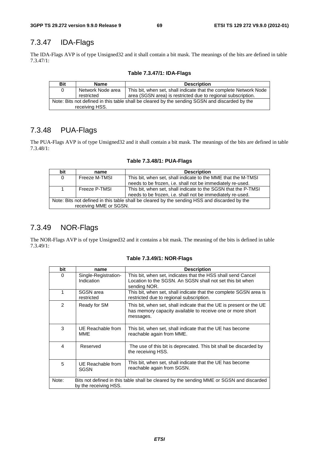# 7.3.47 IDA-Flags

The IDA-Flags AVP is of type Unsigned32 and it shall contain a bit mask. The meanings of the bits are defined in table 7.3.47/1:

| Table 7.3.47/1: IDA-Flags |  |  |
|---------------------------|--|--|
|---------------------------|--|--|

| <b>Bit</b>                                                                                     | Name              | <b>Description</b>                                                |  |  |
|------------------------------------------------------------------------------------------------|-------------------|-------------------------------------------------------------------|--|--|
| 0                                                                                              | Network Node area | This bit, when set, shall indicate that the complete Network Node |  |  |
|                                                                                                | restricted        | area (SGSN area) is restricted due to regional subscription.      |  |  |
| Note: Bits not defined in this table shall be cleared by the sending SGSN and discarded by the |                   |                                                                   |  |  |
|                                                                                                | receiving HSS.    |                                                                   |  |  |

# 7.3.48 PUA-Flags

The PUA-Flags AVP is of type Unsigned32 and it shall contain a bit mask. The meanings of the bits are defined in table 7.3.48/1:

| bit                                                                                           | name          | <b>Description</b>                                             |  |  |
|-----------------------------------------------------------------------------------------------|---------------|----------------------------------------------------------------|--|--|
| 0                                                                                             | Freeze M-TMSI | This bit, when set, shall indicate to the MME that the M-TMSI  |  |  |
|                                                                                               |               | needs to be frozen, i.e. shall not be immediately re-used.     |  |  |
|                                                                                               | Freeze P-TMSI | This bit, when set, shall indicate to the SGSN that the P-TMSI |  |  |
|                                                                                               |               | needs to be frozen, i.e. shall not be immediately re-used.     |  |  |
| Note: Bits not defined in this table shall be cleared by the sending HSS and discarded by the |               |                                                                |  |  |
| receiving MME or SGSN.                                                                        |               |                                                                |  |  |

#### **Table 7.3.48/1: PUA-Flags**

# 7.3.49 NOR-Flags

The NOR-Flags AVP is of type Unsigned32 and it contains a bit mask. The meaning of the bits is defined in table 7.3.49/1:

| bit                                                                                                                        | name                               | <b>Description</b>                                                                                                                             |
|----------------------------------------------------------------------------------------------------------------------------|------------------------------------|------------------------------------------------------------------------------------------------------------------------------------------------|
| 0                                                                                                                          | Single-Registration-<br>Indication | This bit, when set, indicates that the HSS shall send Cancel<br>Location to the SGSN. An SGSN shall not set this bit when<br>sending NOR.      |
| 1                                                                                                                          | SGSN area<br>restricted            | This bit, when set, shall indicate that the complete SGSN area is<br>restricted due to regional subscription.                                  |
| $\mathcal{P}$                                                                                                              | Ready for SM                       | This bit, when set, shall indicate that the UE is present or the UE<br>has memory capacity available to receive one or more short<br>messages. |
| 3                                                                                                                          | UE Reachable from<br><b>MME</b>    | This bit, when set, shall indicate that the UE has become<br>reachable again from MME.                                                         |
| 4                                                                                                                          | Reserved                           | The use of this bit is deprecated. This bit shall be discarded by<br>the receiving HSS.                                                        |
| 5                                                                                                                          | UE Reachable from<br><b>SGSN</b>   | This bit, when set, shall indicate that the UE has become<br>reachable again from SGSN.                                                        |
| Bits not defined in this table shall be cleared by the sending MME or SGSN and discarded<br>Note:<br>by the receiving HSS. |                                    |                                                                                                                                                |

#### **Table 7.3.49/1: NOR-Flags**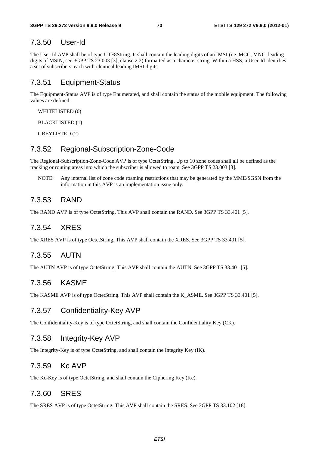### 7.3.50 User-Id

The User-Id AVP shall be of type UTF8String. It shall contain the leading digits of an IMSI (i.e. MCC, MNC, leading digits of MSIN, see 3GPP TS 23.003 [3], clause 2.2) formatted as a character string. Within a HSS, a User-Id identifies a set of subscribers, each with identical leading IMSI digits.

## 7.3.51 Equipment-Status

The Equipment-Status AVP is of type Enumerated, and shall contain the status of the mobile equipment. The following values are defined:

WHITELISTED (0)

BLACKLISTED (1)

GREYLISTED (2)

## 7.3.52 Regional-Subscription-Zone-Code

The Regional-Subscription-Zone-Code AVP is of type OctetString. Up to 10 zone codes shall all be defined as the tracking or routing areas into which the subscriber is allowed to roam. See 3GPP TS 23.003 [3].

NOTE: Any internal list of zone code roaming restrictions that may be generated by the MME/SGSN from the information in this AVP is an implementation issue only.

## 7.3.53 RAND

The RAND AVP is of type OctetString. This AVP shall contain the RAND. See 3GPP TS 33.401 [5].

## 7.3.54 XRES

The XRES AVP is of type OctetString. This AVP shall contain the XRES. See 3GPP TS 33.401 [5].

## 7.3.55 AUTN

The AUTN AVP is of type OctetString. This AVP shall contain the AUTN. See 3GPP TS 33.401 [5].

### 7.3.56 KASME

The KASME AVP is of type OctetString. This AVP shall contain the K\_ASME. See 3GPP TS 33.401 [5].

### 7.3.57 Confidentiality-Key AVP

The Confidentiality-Key is of type OctetString, and shall contain the Confidentiality Key (CK).

### 7.3.58 Integrity-Key AVP

The Integrity-Key is of type OctetString, and shall contain the Integrity Key (IK).

## 7.3.59 Kc AVP

The Kc-Key is of type OctetString, and shall contain the Ciphering Key (Kc).

### 7.3.60 SRES

The SRES AVP is of type OctetString. This AVP shall contain the SRES. See 3GPP TS 33.102 [18].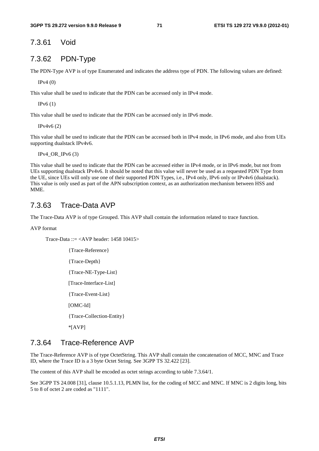7.3.61 Void

## 7.3.62 PDN-Type

The PDN-Type AVP is of type Enumerated and indicates the address type of PDN. The following values are defined:

IPv4 (0)

This value shall be used to indicate that the PDN can be accessed only in IPv4 mode.

IPv6 (1)

This value shall be used to indicate that the PDN can be accessed only in IPv6 mode.

IPv4v6 (2)

This value shall be used to indicate that the PDN can be accessed both in IPv4 mode, in IPv6 mode, and also from UEs supporting dualstack IPv4v6.

 $IPv4_OR_Ipv6(3)$ 

This value shall be used to indicate that the PDN can be accessed either in IPv4 mode, or in IPv6 mode, but not from UEs supporting dualstack IPv4v6. It should be noted that this value will never be used as a requested PDN Type from the UE, since UEs will only use one of their supported PDN Types, i.e., IPv4 only, IPv6 only or IPv4v6 (dualstack). This value is only used as part of the APN subscription context, as an authorization mechanism between HSS and MME.

### 7.3.63 Trace-Data AVP

The Trace-Data AVP is of type Grouped. This AVP shall contain the information related to trace function.

AVP format

Trace-Data ::= <AVP header: 1458 10415>

{Trace-Reference} {Trace-Depth} {Trace-NE-Type-List} [Trace-Interface-List] {Trace-Event-List} [OMC-Id] {Trace-Collection-Entity} \*[AVP]

## 7.3.64 Trace-Reference AVP

The Trace-Reference AVP is of type OctetString. This AVP shall contain the concatenation of MCC, MNC and Trace ID, where the Trace ID is a 3 byte Octet String. See 3GPP TS 32.422 [23].

The content of this AVP shall be encoded as octet strings according to table 7.3.64/1.

See 3GPP TS 24.008 [31], clause 10.5.1.13, PLMN list, for the coding of MCC and MNC. If MNC is 2 digits long, bits 5 to 8 of octet 2 are coded as "1111".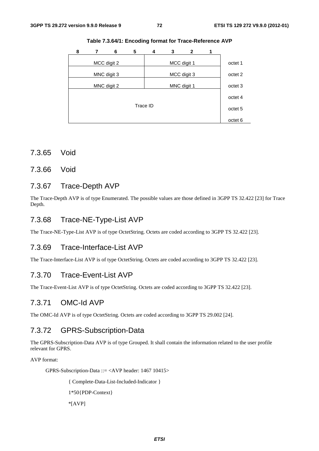| 8 | 6           | 5 | 4        | 3 | 2           |                    |
|---|-------------|---|----------|---|-------------|--------------------|
|   | MCC digit 2 |   |          |   | MCC digit 1 | octet 1            |
|   | MNC digit 3 |   |          |   | MCC digit 3 | octet 2            |
|   | MNC digit 2 |   |          |   | MNC digit 1 | octet 3            |
|   |             |   |          |   |             | octet 4            |
|   |             |   | Trace ID |   |             | octet <sub>5</sub> |
|   |             |   |          |   |             | octet <sub>6</sub> |

**Table 7.3.64/1: Encoding format for Trace-Reference AVP** 

- 7.3.65 Void
- 7.3.66 Void

#### 7.3.67 Trace-Depth AVP

The Trace-Depth AVP is of type Enumerated. The possible values are those defined in 3GPP TS 32.422 [23] for Trace Depth.

#### 7.3.68 Trace-NE-Type-List AVP

The Trace-NE-Type-List AVP is of type OctetString. Octets are coded according to 3GPP TS 32.422 [23].

#### 7.3.69 Trace-Interface-List AVP

The Trace-Interface-List AVP is of type OctetString. Octets are coded according to 3GPP TS 32.422 [23].

#### 7.3.70 Trace-Event-List AVP

The Trace-Event-List AVP is of type OctetString. Octets are coded according to 3GPP TS 32.422 [23].

#### 7.3.71 OMC-Id AVP

The OMC-Id AVP is of type OctetString. Octets are coded according to 3GPP TS 29.002 [24].

#### 7.3.72 GPRS-Subscription-Data

The GPRS-Subscription-Data AVP is of type Grouped. It shall contain the information related to the user profile relevant for GPRS.

AVP format:

GPRS-Subscription-Data ::= <AVP header: 1467 10415>

{ Complete-Data-List-Included-Indicator } 1\*50{PDP-Context} \*[AVP]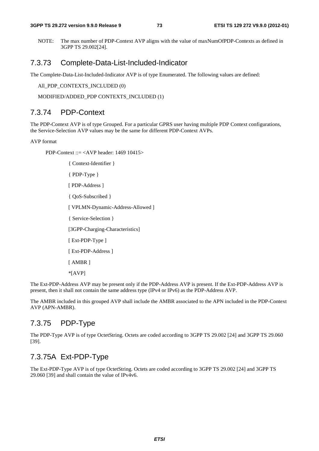NOTE: The max number of PDP-Context AVP aligns with the value of maxNumOfPDP-Contexts as defined in 3GPP TS 29.002[24].

#### 7.3.73 Complete-Data-List-Included-Indicator

The Complete-Data-List-Included-Indicator AVP is of type Enumerated. The following values are defined:

All PDP CONTEXTS INCLUDED (0)

MODIFIED/ADDED\_PDP CONTEXTS\_INCLUDED (1)

#### 7.3.74 PDP-Context

The PDP-Context AVP is of type Grouped. For a particular GPRS user having multiple PDP Context configurations, the Service-Selection AVP values may be the same for different PDP-Context AVPs.

AVP format

PDP-Context ::= <AVP header: 1469 10415>

{ Context-Identifier } { PDP-Type } [ PDP-Address ] { QoS-Subscribed } [ VPLMN-Dynamic-Address-Allowed ] { Service-Selection } [3GPP-Charging-Characteristics] [ Ext-PDP-Type ] [ Ext-PDP-Address ] [ AMBR ] \*[AVP]

The Ext-PDP-Address AVP may be present only if the PDP-Address AVP is present. If the Ext-PDP-Address AVP is present, then it shall not contain the same address type (IPv4 or IPv6) as the PDP-Address AVP.

The AMBR included in this grouped AVP shall include the AMBR associated to the APN included in the PDP-Context AVP (APN-AMBR).

## 7.3.75 PDP-Type

The PDP-Type AVP is of type OctetString. Octets are coded according to 3GPP TS 29.002 [24] and 3GPP TS 29.060 [39].

#### 7.3.75A Ext-PDP-Type

The Ext-PDP-Type AVP is of type OctetString. Octets are coded according to 3GPP TS 29.002 [24] and 3GPP TS 29.060 [39] and shall contain the value of IPv4v6.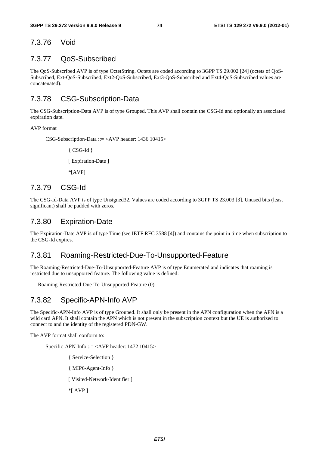## 7.3.76 Void

## 7.3.77 QoS-Subscribed

The QoS-Subscribed AVP is of type OctetString. Octets are coded according to 3GPP TS 29.002 [24] (octets of QoS-Subscribed, Ext-QoS-Subscribed, Ext2-QoS-Subscribed, Ext3-QoS-Subscribed and Ext4-QoS-Subscribed values are concatenated).

## 7.3.78 CSG-Subscription-Data

The CSG-Subscription-Data AVP is of type Grouped. This AVP shall contain the CSG-Id and optionally an associated expiration date.

#### AVP format

CSG-Subscription-Data ::= <AVP header: 1436 10415>

{ CSG-Id } [ Expiration-Date ] \*[AVP]

## 7.3.79 CSG-Id

The CSG-Id-Data AVP is of type Unsigned32. Values are coded according to 3GPP TS 23.003 [3]. Unused bits (least significant) shall be padded with zeros.

### 7.3.80 Expiration-Date

The Expiration-Date AVP is of type Time (see IETF RFC 3588 [4]) and contains the point in time when subscription to the CSG-Id expires.

#### 7.3.81 Roaming-Restricted-Due-To-Unsupported-Feature

The Roaming-Restricted-Due-To-Unsupported-Feature AVP is of type Enumerated and indicates that roaming is restricted due to unsupported feature. The following value is defined:

Roaming-Restricted-Due-To-Unsupported-Feature (0)

#### 7.3.82 Specific-APN-Info AVP

The Specific-APN-Info AVP is of type Grouped. It shall only be present in the APN configuration when the APN is a wild card APN. It shall contain the APN which is not present in the subscription context but the UE is authorized to connect to and the identity of the registered PDN-GW.

The AVP format shall conform to:

Specific-APN-Info ::= <AVP header: 1472 10415>

- { Service-Selection }
- { MIP6-Agent-Info }

[ Visited-Network-Identifier ]

\*[ AVP ]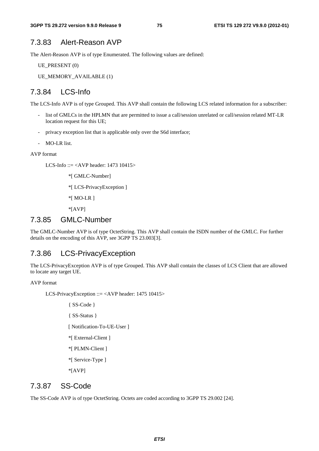#### 7.3.83 Alert-Reason AVP

The Alert-Reason AVP is of type Enumerated. The following values are defined:

UE\_PRESENT (0)

UE\_MEMORY\_AVAILABLE (1)

### 7.3.84 LCS-Info

The LCS-Info AVP is of type Grouped. This AVP shall contain the following LCS related information for a subscriber:

- list of GMLCs in the HPLMN that are permitted to issue a call/session unrelated or call/session related MT-LR location request for this UE;
- privacy exception list that is applicable only over the S6d interface;
- MO-LR list.

AVP format

LCS-Info ::= <AVP header: 1473 10415>

\*[ GMLC-Number]

\*[ LCS-PrivacyException ]

\*[ MO-LR ]

\*[AVP]

#### 7.3.85 GMLC-Number

The GMLC-Number AVP is of type OctetString. This AVP shall contain the ISDN number of the GMLC. For further details on the encoding of this AVP, see 3GPP TS 23.003[3].

#### 7.3.86 LCS-PrivacyException

The LCS-PrivacyException AVP is of type Grouped. This AVP shall contain the classes of LCS Client that are allowed to locate any target UE.

AVP format

LCS-PrivacyException ::= <AVP header: 1475 10415>

{ SS-Code } { SS-Status }

[ Notification-To-UE-User ]

- \*[ External-Client ]
- \*[ PLMN-Client ]
- \*[ Service-Type ]

\*[AVP]

#### 7.3.87 SS-Code

The SS-Code AVP is of type OctetString. Octets are coded according to 3GPP TS 29.002 [24].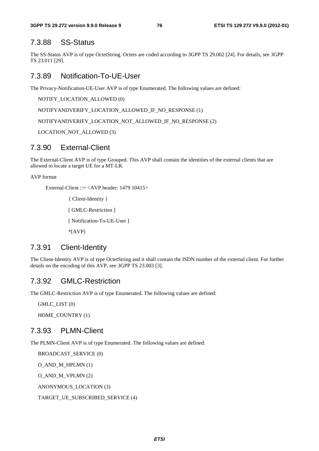#### 7.3.88 SS-Status

The SS-Status AVP is of type OctetString. Octets are coded according to 3GPP TS 29.002 [24]. For details, see 3GPP TS 23.011 [29].

### 7.3.89 Notification-To-UE-User

The Privacy-Notification-UE-User AVP is of type Enumerated. The following values are defined:

NOTIFY\_LOCATION\_ALLOWED (0)

NOTIFYANDVERIFY\_LOCATION\_ALLOWED\_IF\_NO\_RESPONSE (1)

NOTIFYANDVERIFY\_LOCATION\_NOT\_ALLOWED\_IF\_NO\_RESPONSE (2)

LOCATION\_NOT\_ALLOWED (3)

#### 7.3.90 External-Client

The External-Client AVP is of type Grouped. This AVP shall contain the identities of the external clients that are allowed to locate a target UE for a MT-LR.

AVP format

External-Client ::= <AVP header: 1479 10415>

{ Client-Identity }

[ GMLC-Restriction ]

[ Notification-To-UE-User ]

\*[AVP]

#### 7.3.91 Client-Identity

The Client-Identity AVP is of type OctetString and it shall contain the ISDN number of the external client. For further details on the encoding of this AVP, see 3GPP TS 23.003 [3].

#### 7.3.92 GMLC-Restriction

The GMLC-Restriction AVP is of type Enumerated. The following values are defined:

GMLC\_LIST (0)

HOME\_COUNTRY (1)

#### 7.3.93 PLMN-Client

The PLMN-Client AVP is of type Enumerated. The following values are defined:

BROADCAST\_SERVICE (0)

O\_AND\_M\_HPLMN (1)

O\_AND\_M\_VPLMN (2)

ANONYMOUS\_LOCATION (3)

TARGET\_UE\_SUBSCRIBED\_SERVICE (4)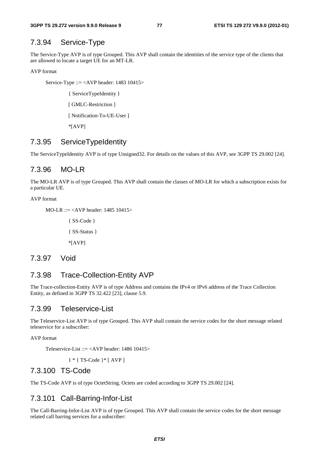#### 7.3.94 Service-Type

The Service-Type AVP is of type Grouped. This AVP shall contain the identities of the service type of the clients that are allowed to locate a target UE for an MT-LR.

AVP format

Service-Type ::= <AVP header: 1483 10415>

{ ServiceTypeIdentity } [ GMLC-Restriction ] [ Notification-To-UE-User ] \*[AVP]

#### 7.3.95 ServiceTypeIdentity

The ServiceTypeIdentity AVP is of type Unsigned32. For details on the values of this AVP, see 3GPP TS 29.002 [24].

#### 7.3.96 MO-LR

The MO-LR AVP is of type Grouped. This AVP shall contain the classes of MO-LR for which a subscription exists for a particular UE.

#### AVP format

```
MO-LR ::= <AVP header: 1485 10415> 
{ SS-Code } 
{ SS-Status } 
*[AVP]
```
#### 7.3.97 Void

#### 7.3.98 Trace-Collection-Entity AVP

The Trace-collection-Entity AVP is of type Address and contains the IPv4 or IPv6 address of the Trace Collection Entity, as defined in 3GPP TS 32.422 [23], clause 5.9.

#### 7.3.99 Teleservice-List

The Teleservice-List AVP is of type Grouped. This AVP shall contain the service codes for the short message related teleservice for a subscriber:

AVP format

Teleservice-List ::= <AVP header: 1486 10415>

1 \* { TS-Code }\* [ AVP ]

#### 7.3.100 TS-Code

The TS-Code AVP is of type OctetString. Octets are coded according to 3GPP TS 29.002 [24].

#### 7.3.101 Call-Barring-Infor-List

The Call-Barring-Infor-List AVP is of type Grouped. This AVP shall contain the service codes for the short message related call barring services for a subscriber: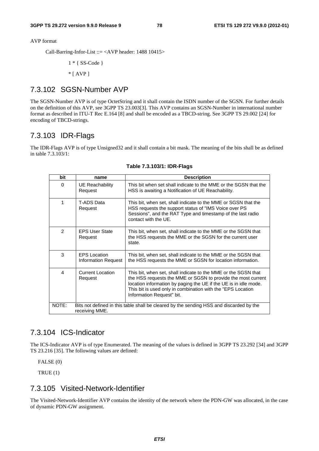AVP format

Call-Barring-Infor-List ::= <AVP header: 1488 10415>

1 \* { SS-Code }  $*$  [ AVP ]

#### 7.3.102 SGSN-Number AVP

The SGSN-Number AVP is of type OctetString and it shall contain the ISDN number of the SGSN. For further details on the definition of this AVP, see 3GPP TS 23.003[3]. This AVP contains an SGSN-Number in international number format as described in ITU-T Rec E.164 [8] and shall be encoded as a TBCD-string. See 3GPP TS 29.002 [24] for encoding of TBCD-strings.

#### 7.3.103 IDR-Flags

The IDR-Flags AVP is of type Unsigned32 and it shall contain a bit mask. The meaning of the bits shall be as defined in table 7.3.103/1:

| bit                                                                                                                | name                                              | <b>Description</b>                                                                                                                                                                                                                                                                             |  |  |  |
|--------------------------------------------------------------------------------------------------------------------|---------------------------------------------------|------------------------------------------------------------------------------------------------------------------------------------------------------------------------------------------------------------------------------------------------------------------------------------------------|--|--|--|
| $\Omega$                                                                                                           | UE Reachability<br>Request                        | This bit when set shall indicate to the MME or the SGSN that the<br>HSS is awaiting a Notification of UE Reachability.                                                                                                                                                                         |  |  |  |
| 1                                                                                                                  | T-ADS Data<br>Request                             | This bit, when set, shall indicate to the MME or SGSN that the<br>HSS requests the support status of "IMS Voice over PS<br>Sessions", and the RAT Type and timestamp of the last radio<br>contact with the UE.                                                                                 |  |  |  |
| $\mathcal{P}$                                                                                                      | <b>EPS User State</b><br>Request                  | This bit, when set, shall indicate to the MME or the SGSN that<br>the HSS requests the MME or the SGSN for the current user<br>state.                                                                                                                                                          |  |  |  |
| 3                                                                                                                  | <b>EPS</b> Location<br><b>Information Request</b> | This bit, when set, shall indicate to the MME or the SGSN that<br>the HSS requests the MME or SGSN for location information.                                                                                                                                                                   |  |  |  |
| 4                                                                                                                  | Current Location<br>Request                       | This bit, when set, shall indicate to the MME or the SGSN that<br>the HSS requests the MME or SGSN to provide the most current<br>location information by paging the UE if the UE is in idle mode.<br>This bit is used only in combination with the "EPS Location<br>Information Request" bit. |  |  |  |
| NOTE:<br>Bits not defined in this table shall be cleared by the sending HSS and discarded by the<br>receiving MME. |                                                   |                                                                                                                                                                                                                                                                                                |  |  |  |

**Table 7.3.103/1: IDR-Flags** 

### 7.3.104 ICS-Indicator

The ICS-Indicator AVP is of type Enumerated. The meaning of the values is defined in 3GPP TS 23.292 [34] and 3GPP TS 23.216 [35]. The following values are defined:

FALSE (0)

TRUE (1)

## 7.3.105 Visited-Network-Identifier

The Visited-Network-Identifier AVP contains the identity of the network where the PDN-GW was allocated, in the case of dynamic PDN-GW assignment.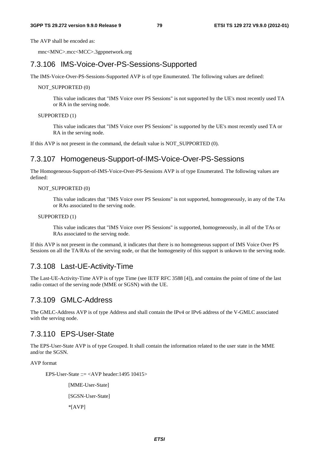The AVP shall be encoded as:

mnc<MNC>.mcc<MCC>.3gppnetwork.org

#### 7.3.106 IMS-Voice-Over-PS-Sessions-Supported

The IMS-Voice-Over-PS-Sessions-Supported AVP is of type Enumerated. The following values are defined:

#### NOT\_SUPPORTED (0)

This value indicates that "IMS Voice over PS Sessions" is not supported by the UE's most recently used TA or RA in the serving node.

#### SUPPORTED (1)

This value indicates that "IMS Voice over PS Sessions" is supported by the UE's most recently used TA or RA in the serving node.

If this AVP is not present in the command, the default value is NOT\_SUPPORTED (0).

#### 7.3.107 Homogeneus-Support-of-IMS-Voice-Over-PS-Sessions

The Homogeneous-Support-of-IMS-Voice-Over-PS-Sessions AVP is of type Enumerated. The following values are defined:

#### NOT\_SUPPORTED (0)

This value indicates that "IMS Voice over PS Sessions" is not supported, homogeneously, in any of the TAs or RAs associated to the serving node.

#### SUPPORTED (1)

This value indicates that "IMS Voice over PS Sessions" is supported, homogeneously, in all of the TAs or RAs associated to the serving node.

If this AVP is not present in the command, it indicates that there is no homogeneous support of IMS Voice Over PS Sessions on all the TA/RAs of the serving node, or that the homogeneity of this support is unkown to the serving node.

#### 7.3.108 Last-UE-Activity-Time

The Last-UE-Activity-Time AVP is of type Time (see IETF RFC 3588 [4]), and contains the point of time of the last radio contact of the serving node (MME or SGSN) with the UE.

#### 7.3.109 GMLC-Address

The GMLC-Address AVP is of type Address and shall contain the IPv4 or IPv6 address of the V-GMLC associated with the serving node.

#### 7.3.110 EPS-User-State

The EPS-User-State AVP is of type Grouped. It shall contain the information related to the user state in the MME and/or the SGSN.

AVP format

EPS-User-State  $::=$  <AVP header:1495 10415>

[MME-User-State] [SGSN-User-State]

\*[AVP]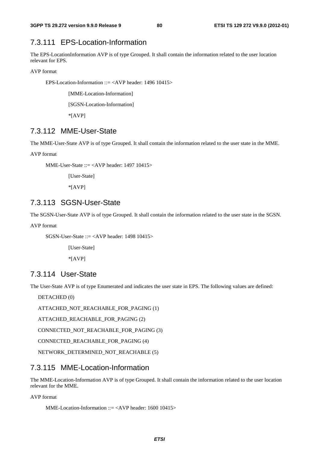## 7.3.111 EPS-Location-Information

The EPS-LocationInformation AVP is of type Grouped. It shall contain the information related to the user location relevant for EPS.

AVP format

EPS-Location-Information ::= <AVP header: 1496 10415>

[MME-Location-Information]

[SGSN-Location-Information]

\*[AVP]

#### 7.3.112 MME-User-State

The MME-User-State AVP is of type Grouped. It shall contain the information related to the user state in the MME.

AVP format

MME-User-State ::= <AVP header: 1497 10415>

[User-State]

\*[AVP]

#### 7.3.113 SGSN-User-State

The SGSN-User-State AVP is of type Grouped. It shall contain the information related to the user state in the SGSN.

AVP format

SGSN-User-State ::= <AVP header: 1498 10415>

[User-State] \*[AVP]

#### 7.3.114 User-State

The User-State AVP is of type Enumerated and indicates the user state in EPS. The following values are defined:

DETACHED (0)

ATTACHED\_NOT\_REACHABLE\_FOR\_PAGING (1)

ATTACHED\_REACHABLE\_FOR\_PAGING (2)

CONNECTED\_NOT\_REACHABLE\_FOR\_PAGING (3)

CONNECTED\_REACHABLE\_FOR\_PAGING (4)

NETWORK\_DETERMINED\_NOT\_REACHABLE (5)

#### 7.3.115 MME-Location-Information

The MME-Location-Information AVP is of type Grouped. It shall contain the information related to the user location relevant for the MME.

AVP format

MME-Location-Information ::= <AVP header: 1600 10415>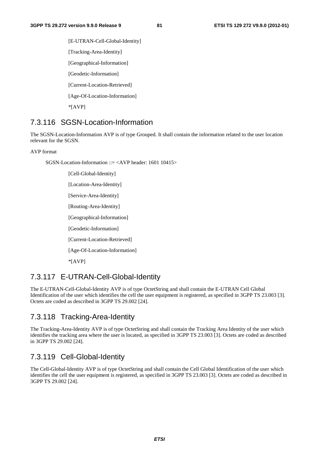[E-UTRAN-Cell-Global-Identity] [Tracking-Area-Identity] [Geographical-Information] [Geodetic-Information] [Current-Location-Retrieved] [Age-Of-Location-Information] \*[AVP]

## 7.3.116 SGSN-Location-Information

The SGSN-Location-Information AVP is of type Grouped. It shall contain the information related to the user location relevant for the SGSN.

AVP format

SGSN-Location-Information  $::=$  <AVP header: 1601 10415>

[Cell-Global-Identity] [Location-Area-Identity] [Service-Area-Identity] [Routing-Area-Identity] [Geographical-Information] [Geodetic-Information] [Current-Location-Retrieved] [Age-Of-Location-Information] \*[AVP]

#### 7.3.117 E-UTRAN-Cell-Global-Identity

The E-UTRAN-Cell-Global-Identity AVP is of type OctetString and shall contain the E-UTRAN Cell Global Identification of the user which identifies the cell the user equipment is registered, as specified in 3GPP TS 23.003 [3]. Octets are coded as described in 3GPP TS 29.002 [24].

## 7.3.118 Tracking-Area-Identity

The Tracking-Area-Identity AVP is of type OctetString and shall contain the Tracking Area Identity of the user which identifies the tracking area where the user is located, as specified in 3GPP TS 23.003 [3]. Octets are coded as described in 3GPP TS 29.002 [24].

## 7.3.119 Cell-Global-Identity

The Cell-Global-Identity AVP is of type OctetString and shall contain the Cell Global Identification of the user which identifies the cell the user equipment is registered, as specified in 3GPP TS 23.003 [3]. Octets are coded as described in 3GPP TS 29.002 [24].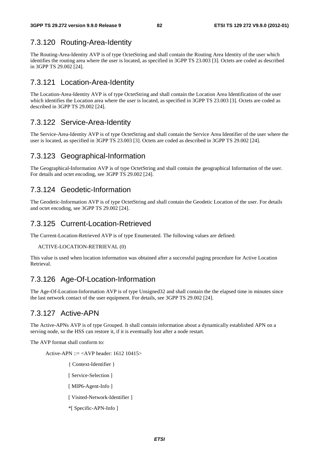## 7.3.120 Routing-Area-Identity

The Routing-Area-Identity AVP is of type OctetString and shall contain the Routing Area Identity of the user which identifies the routing area where the user is located, as specified in 3GPP TS 23.003 [3]. Octets are coded as described in 3GPP TS 29.002 [24].

## 7.3.121 Location-Area-Identity

The Location-Area-Identity AVP is of type OctetString and shall contain the Location Area Identification of the user which identifies the Location area where the user is located, as specified in 3GPP TS 23.003 [3]. Octets are coded as described in 3GPP TS 29.002 [24].

## 7.3.122 Service-Area-Identity

The Service-Area-Identity AVP is of type OctetString and shall contain the Service Area Identifier of the user where the user is located, as specified in 3GPP TS 23.003 [3]. Octets are coded as described in 3GPP TS 29.002 [24].

## 7.3.123 Geographical-Information

The Geographical-Information AVP is of type OctetString and shall contain the geographical Information of the user. For details and octet encoding, see 3GPP TS 29.002 [24].

## 7.3.124 Geodetic-Information

The Geodetic-Information AVP is of type OctetString and shall contain the Geodetic Location of the user. For details and octet encoding, see 3GPP TS 29.002 [24].

## 7.3.125 Current-Location-Retrieved

The Current-Location-Retrieved AVP is of type Enumerated. The following values are defined:

```
ACTIVE-LOCATION-RETRIEVAL (0)
```
This value is used when location information was obtained after a successful paging procedure for Active Location Retrieval.

## 7.3.126 Age-Of-Location-Information

The Age-Of-Location-Information AVP is of type Unsigned32 and shall contain the the elapsed time in minutes since the last network contact of the user equipment. For details, see 3GPP TS 29.002 [24].

## 7.3.127 Active-APN

The Active-APNs AVP is of type Grouped. It shall contain information about a dynamically established APN on a serving node, so the HSS can restore it, if it is eventually lost after a node restart.

The AVP format shall conform to:

Active-APN ::=  $\langle$ AVP header: 1612 10415 $>$ 

{ Context-Identifier }

- [ Service-Selection ]
- [ MIP6-Agent-Info ]
- [ Visited-Network-Identifier ]
- \*[ Specific-APN-Info ]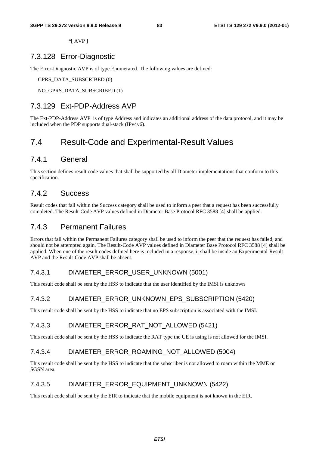\*[ AVP ]

#### 7.3.128 Error-Diagnostic

The Error-Diagnostic AVP is of type Enumerated. The following values are defined:

GPRS\_DATA\_SUBSCRIBED (0)

NO\_GPRS\_DATA\_SUBSCRIBED (1)

#### 7.3.129 Ext-PDP-Address AVP

The Ext-PDP-Address AVP is of type Address and indicates an additional address of the data protocol, and it may be included when the PDP supports dual-stack (IPv4v6).

## 7.4 Result-Code and Experimental-Result Values

### 7.4.1 General

This section defines result code values that shall be supported by all Diameter implementations that conform to this specification.

#### 7.4.2 Success

Result codes that fall within the Success category shall be used to inform a peer that a request has been successfully completed. The Result-Code AVP values defined in Diameter Base Protocol RFC 3588 [4] shall be applied.

#### 7.4.3 Permanent Failures

Errors that fall within the Permanent Failures category shall be used to inform the peer that the request has failed, and should not be attempted again. The Result-Code AVP values defined in Diameter Base Protocol RFC 3588 [4] shall be applied. When one of the result codes defined here is included in a response, it shall be inside an Experimental-Result AVP and the Result-Code AVP shall be absent.

#### 7.4.3.1 DIAMETER\_ERROR\_USER\_UNKNOWN (5001)

This result code shall be sent by the HSS to indicate that the user identified by the IMSI is unknown

#### 7.4.3.2 DIAMETER\_ERROR\_UNKNOWN\_EPS\_SUBSCRIPTION (5420)

This result code shall be sent by the HSS to indicate that no EPS subscription is associated with the IMSI.

#### 7.4.3.3 DIAMETER\_ERROR\_RAT\_NOT\_ALLOWED (5421)

This result code shall be sent by the HSS to indicate the RAT type the UE is using is not allowed for the IMSI.

#### 7.4.3.4 DIAMETER\_ERROR\_ROAMING\_NOT\_ALLOWED (5004)

This result code shall be sent by the HSS to indicate that the subscriber is not allowed to roam within the MME or SGSN area.

#### 7.4.3.5 DIAMETER\_ERROR\_EQUIPMENT\_UNKNOWN (5422)

This result code shall be sent by the EIR to indicate that the mobile equipment is not known in the EIR.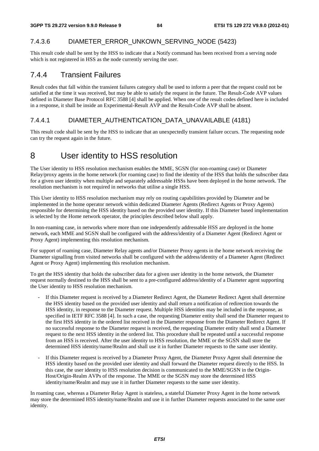#### 7.4.3.6 DIAMETER\_ERROR\_UNKOWN\_SERVING\_NODE (5423)

This result code shall be sent by the HSS to indicate that a Notify command has been received from a serving node which is not registered in HSS as the node currently serving the user.

## 7.4.4 Transient Failures

Result codes that fall within the transient failures category shall be used to inform a peer that the request could not be satisfied at the time it was received, but may be able to satisfy the request in the future. The Result-Code AVP values defined in Diameter Base Protocol RFC 3588 [4] shall be applied. When one of the result codes defined here is included in a response, it shall be inside an Experimental-Result AVP and the Result-Code AVP shall be absent.

#### 7.4.4.1 DIAMETER\_AUTHENTICATION\_DATA\_UNAVAILABLE (4181)

This result code shall be sent by the HSS to indicate that an unexpectedly transient failure occurs. The requesting node can try the request again in the future.

## 8 User identity to HSS resolution

The User identity to HSS resolution mechanism enables the MME, SGSN (for non-roaming case) or Diameter Relay/proxy agents in the home network (for roaming case) to find the identity of the HSS that holds the subscriber data for a given user identity when multiple and separately addressable HSSs have been deployed in the home network. The resolution mechanism is not required in networks that utilise a single HSS.

This User identity to HSS resolution mechanism may rely on routing capabilitites provided by Diameter and be implemented in the home operator network within dedicated Diameter Agents (Redirect Agents or Proxy Agents) responsible for determining the HSS identity based on the provided user identity. If this Diameter based implementation is selected by the Home network operator, the principles described below shall apply.

In non-roaming case, in networks where more than one independently addressable HSS are deployed in the home network, each MME and SGSN shall be configured with the address/identity of a Diameter Agent (Redirect Agent or Proxy Agent) implementing this resolution mechanism.

For support of roaming case, Diameter Relay agents and/or Diameter Proxy agents in the home network receiving the Diameter signalling from visited networks shall be configured with the address/identity of a Diameter Agent (Redirect Agent or Proxy Agent) implementing this resolution mechanism.

To get the HSS identity that holds the subscriber data for a given user identity in the home network, the Diameter request normally destined to the HSS shall be sent to a pre-configured address/identity of a Diameter agent supporting the User identity to HSS resolution mechanism.

- If this Diameter request is received by a Diameter Redirect Agent, the Diameter Redirect Agent shall determine the HSS identity based on the provided user identity and shall return a notification of redirection towards the HSS identity, in response to the Diameter request. Multiple HSS identities may be included in the response, as specified in IETF RFC 3588 [4]. In such a case, the requesting Diameter entity shall send the Diameter request to the first HSS identity in the ordered list received in the Diameter response from the Diameter Redirect Agent. If no successful response to the Diameter request is received, the requesting Diameter entity shall send a Diameter request to the next HSS identity in the ordered list. This procedure shall be repeated until a successful response from an HSS is received. After the user identity to HSS resolution, the MME or the SGSN shall store the determined HSS identity/name/Realm and shall use it in further Diameter requests to the same user identity.
- If this Diameter request is received by a Diameter Proxy Agent, the Diameter Proxy Agent shall determine the HSS identity based on the provided user identity and shall forward the Diameter request directly to the HSS. In this case, the user identity to HSS resolution decision is communicated to the MME/SGSN in the Origin-Host/Origin-Realm AVPs of the response. The MME or the SGSN may store the determined HSS identity/name/Realm and may use it in further Diameter requests to the same user identity.

In roaming case, whereas a Diameter Relay Agent is stateless, a stateful Diameter Proxy Agent in the home network may store the determined HSS identity/name/Realm and use it in further Diameter requests associated to the same user identity.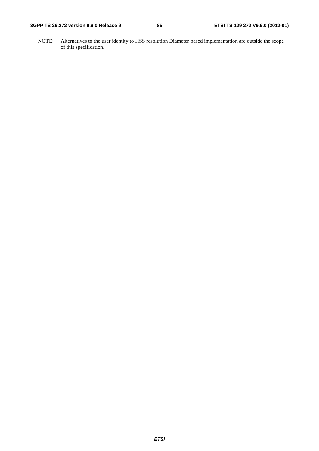#### **3GPP TS 29.272 version 9.9.0 Release 9 85 ETSI TS 129 272 V9.9.0 (2012-01)**

NOTE: Alternatives to the user identity to HSS resolution Diameter based implementation are outside the scope of this specification.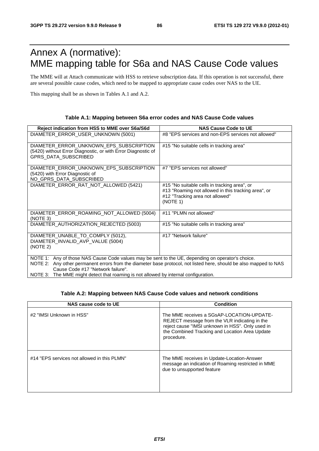# Annex A (normative): MME mapping table for S6a and NAS Cause Code values

The MME will at Attach communicate with HSS to retrieve subscription data. If this operation is not successful, there are several possible cause codes, which need to be mapped to appropriate cause codes over NAS to the UE.

This mapping shall be as shown in Tables A.1 and A.2.

#### **Table A.1: Mapping between S6a error codes and NAS Cause Code values**

| Reject indication from HSS to MME over S6a/S6d                                                                                                                                                                                                                                                                                                     | <b>NAS Cause Code to UE</b>                                                                                                                        |
|----------------------------------------------------------------------------------------------------------------------------------------------------------------------------------------------------------------------------------------------------------------------------------------------------------------------------------------------------|----------------------------------------------------------------------------------------------------------------------------------------------------|
| DIAMETER_ERROR_USER_UNKNOWN (5001)                                                                                                                                                                                                                                                                                                                 | #8 "EPS services and non-EPS services not allowed"                                                                                                 |
| DIAMETER_ERROR_UNKNOWN_EPS_SUBSCRIPTION<br>(5420) without Error Diagnostic, or with Error Diagnostic of<br>GPRS_DATA_SUBSCRIBED                                                                                                                                                                                                                    | #15 "No suitable cells in tracking area"                                                                                                           |
| DIAMETER_ERROR_UNKNOWN_EPS_SUBSCRIPTION<br>(5420) with Error Diagnostic of<br>NO_GPRS_DATA_SUBSCRIBED                                                                                                                                                                                                                                              | #7 "EPS services not allowed"                                                                                                                      |
| DIAMETER_ERROR_RAT_NOT_ALLOWED (5421)                                                                                                                                                                                                                                                                                                              | #15 "No suitable cells in tracking area", or<br>#13 "Roaming not allowed in this tracking area", or<br>#12 "Tracking area not allowed"<br>(NOTE 1) |
| DIAMETER ERROR ROAMING NOT ALLOWED (5004)<br>(NOTE 3)                                                                                                                                                                                                                                                                                              | #11 "PLMN not allowed"                                                                                                                             |
| DIAMETER_AUTHORIZATION_REJECTED (5003)                                                                                                                                                                                                                                                                                                             | #15 "No suitable cells in tracking area"                                                                                                           |
| DIAMETER_UNABLE_TO_COMPLY (5012),<br>DIAMETER_INVALID_AVP_VALUE (5004)<br>(NOTE 2)                                                                                                                                                                                                                                                                 | #17 "Network failure"                                                                                                                              |
| NOTE 1: Any of those NAS Cause Code values may be sent to the UE, depending on operator's choice.<br>NOTE 2: Any other permanent errors from the diameter base protocol, not listed here, should be also mapped to NAS<br>Cause Code #17 "Network failure".<br>NOTE 3: The MME might detect that roaming is not allowed by internal configuration. |                                                                                                                                                    |

#### **Table A.2: Mapping between NAS Cause Code values and network conditions**

| NAS cause code to UE                        | <b>Condition</b>                                                                                                                                                                                               |
|---------------------------------------------|----------------------------------------------------------------------------------------------------------------------------------------------------------------------------------------------------------------|
| #2 "IMSI Unknown in HSS"                    | The MME receives a SGsAP-LOCATION-UPDATE-<br>REJECT message from the VLR indicating in the<br>reject cause "IMSI unknown in HSS". Only used in<br>the Combined Tracking and Location Area Update<br>procedure. |
| #14 "EPS services not allowed in this PLMN" | The MME receives in Update-Location-Answer<br>message an indication of Roaming restricted in MME<br>due to unsupported feature                                                                                 |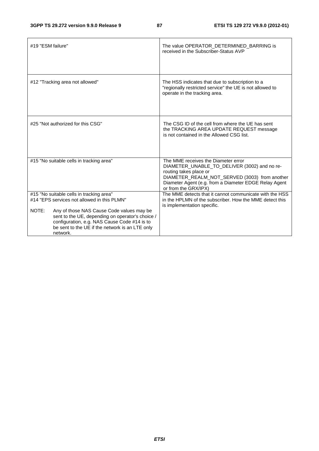| #19 "ESM failure" |                                                                                                  | The value OPERATOR_DETERMINED_BARRING is<br>received in the Subscriber-Status AVP                                                                                                                                                               |
|-------------------|--------------------------------------------------------------------------------------------------|-------------------------------------------------------------------------------------------------------------------------------------------------------------------------------------------------------------------------------------------------|
|                   | #12 "Tracking area not allowed"                                                                  | The HSS indicates that due to subscription to a<br>"regionally restricted service" the UE is not allowed to<br>operate in the tracking area.                                                                                                    |
|                   | #25 "Not authorized for this CSG"                                                                | The CSG ID of the cell from where the UE has sent<br>the TRACKING AREA UPDATE REQUEST message<br>is not contained in the Allowed CSG list.                                                                                                      |
|                   | #15 "No suitable cells in tracking area"                                                         | The MME receives the Diameter error<br>DIAMETER_UNABLE_TO_DELIVER (3002) and no re-<br>routing takes place or<br>DIAMETER_REALM_NOT_SERVED (3003) from another<br>Diameter Agent (e.g. from a Diameter EDGE Relay Agent<br>or from the GRX/IPX) |
|                   | #15 "No suitable cells in tracking area"<br>#14 "EPS services not allowed in this PLMN"          | The MME detects that it cannot communicate with the HSS<br>in the HPLMN of the subscriber. How the MME detect this                                                                                                                              |
|                   |                                                                                                  | is implementation specific.                                                                                                                                                                                                                     |
| NOTE:             | Any of those NAS Cause Code values may be                                                        |                                                                                                                                                                                                                                                 |
|                   | sent to the UE, depending on operator's choice /<br>configuration, e.g. NAS Cause Code #14 is to |                                                                                                                                                                                                                                                 |
|                   | be sent to the UE if the network is an LTE only                                                  |                                                                                                                                                                                                                                                 |
|                   | network.                                                                                         |                                                                                                                                                                                                                                                 |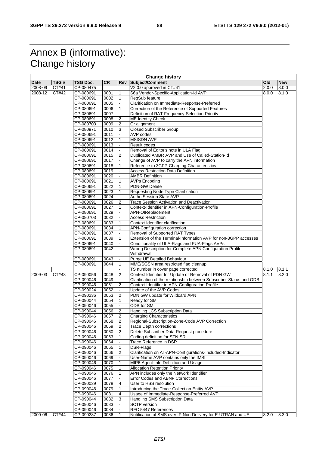# Annex B (informative): Change history

|             | <b>Change history</b> |           |                   |                |                                                                        |       |            |  |
|-------------|-----------------------|-----------|-------------------|----------------|------------------------------------------------------------------------|-------|------------|--|
| <b>Date</b> | TSG#                  | TSG Doc.  | <b>CR</b>         |                | Rev Subject/Comment                                                    | Old   | <b>New</b> |  |
| 2008-09     | CT#41                 | CP-080475 |                   |                | V2.0.0 approved in CT#41                                               | 2.0.0 | 8.0.0      |  |
| 2008-12     | CT#42                 | CP-080691 | 0001              | 1              | S6a Vendor-Specific-Application-Id AVP                                 | 8.0.0 | 8.1.0      |  |
|             |                       | CP-080691 | 0002              | $\mathbf{1}$   | RegSub feature                                                         |       |            |  |
|             |                       | CP-080691 | 0005              |                | Clarification on Immediate-Response-Preferred                          |       |            |  |
|             |                       | CP-080691 | 0006              | 1              | Correction of the Reference of Supported Features                      |       |            |  |
|             |                       |           |                   |                |                                                                        |       |            |  |
|             |                       | CP-080691 | 0007              |                | Definition of RAT-Frequency-Selection-Priority                         |       |            |  |
|             |                       | CP-080691 | 0008              | $\overline{2}$ | ME Identity Check                                                      |       |            |  |
|             |                       | CP-080703 | 0009              | $\overline{2}$ | Gr alignment                                                           |       |            |  |
|             |                       | CP-080971 | 0010              | 3              | <b>Closed Subscriber Group</b>                                         |       |            |  |
|             |                       | CP-080691 | 0011              |                | AVP codes                                                              |       |            |  |
|             |                       | CP-080691 | 0012              | 1              | <b>MSISDN AVP</b>                                                      |       |            |  |
|             |                       | CP-080691 | 0013              |                | <b>Result codes</b>                                                    |       |            |  |
|             |                       | CP-080691 | $\overline{0014}$ |                | Removal of Editor's note in ULA Flag                                   |       |            |  |
|             |                       | CP-080691 | 0015              | 2              | Duplicated AMBR AVP and Use of Called-Station-Id                       |       |            |  |
|             |                       | CP-080691 | 0017              |                | Change of AVP to carry the APN information                             |       |            |  |
|             |                       | CP-080691 | 0018              | 1              | Reference to 3GPP-Charging-Characteristics                             |       |            |  |
|             |                       | CP-080691 | 0019              |                | <b>Access Restriction Data Definition</b>                              |       |            |  |
|             |                       | CP-080691 | 0020              |                | <b>AMBR Definition</b>                                                 |       |            |  |
|             |                       | CP-080691 | 0021              | 1              | <b>AVPs Encoding</b>                                                   |       |            |  |
|             |                       | CP-080691 | 0022              | $\mathbf{1}$   | <b>PDN-GW Delete</b>                                                   |       |            |  |
|             |                       | CP-080691 | 0023              | $\mathbf{1}$   | Requesting Node Type Clarification                                     |       |            |  |
|             |                       | CP-080691 | 0024              |                | Authn Session State AVP                                                |       |            |  |
|             |                       |           |                   |                |                                                                        |       |            |  |
|             |                       | CP-080691 | 0026              | $\overline{2}$ | <b>Trace Session Activation and Deactivation</b>                       |       |            |  |
|             |                       | CP-080691 | 0027              | 1              | Context-Identifier in APN-Configuration-Profile                        |       |            |  |
|             |                       | CP-080691 | 0029              |                | APN-OIReplacement                                                      |       |            |  |
|             |                       | CP-080703 | 0032              |                | <b>Access Restriction</b>                                              |       |            |  |
|             |                       | CP-080691 | 0033              | 1              | Context Identifier clarification                                       |       |            |  |
|             |                       | CP-080691 | 0034              | 1              | APN-Configuration correction                                           |       |            |  |
|             |                       | CP-080691 | 0037              |                | Removal of Supported RAT Types                                         |       |            |  |
|             |                       | CP-080691 | 0039              | $\mathbf{1}$   | Extension of the Terminal-Information AVP for non-3GPP accesses        |       |            |  |
|             |                       | CP-080691 | 0040              |                | Conditionality of ULA-Flags and PUA-Flags AVPs                         |       |            |  |
|             |                       | CP-080691 | 0042              |                | Wrong Description for Complete APN Configuration Profile<br>Withdrawal |       |            |  |
|             |                       |           |                   |                |                                                                        |       |            |  |
|             |                       | CP-080691 | 0043              |                | Purge UE Detailed Behaviour                                            |       |            |  |
|             |                       | CP-080691 | 0044              | $\mathbf{1}$   | MME/SGSN area restricted flag cleanup                                  |       |            |  |
|             |                       |           |                   |                | TS number in cover page corrected                                      | 8.1.0 | 8.1.1      |  |
| 2009-03     | CT#43                 | CP-090056 | 0048              | 2              | Context Identifier for Update or Removal of PDN GW                     | 8.1.1 | 8.2.0      |  |
|             |                       | CP-090046 | 0049              |                | Clarification of the relationship between Subscriber-Status and ODB    |       |            |  |
|             |                       | CP-090046 | 0051              | 2              | Context-Identifier in APN-Configuration-Profile                        |       |            |  |
|             |                       | CP-090024 | 0052              |                | Update of the AVP Codes                                                |       |            |  |
|             |                       | CP-090236 | 0053              | $\overline{2}$ | PDN GW update for Wildcard APN                                         |       |            |  |
|             |                       | CP-090044 | 0054              | 1              | Ready for SM                                                           |       |            |  |
|             |                       | CP-090046 | 0055              |                | <b>ODB</b> for SM                                                      |       |            |  |
|             |                       | CP-090044 | 0056              | $\overline{2}$ | Handling LCS Subscription Data                                         |       |            |  |
|             |                       | CP-090046 | 0057              |                | Charging Characteristics                                               |       |            |  |
|             |                       | CP-090046 | 0058              | $\overline{2}$ | Regional-Subscription-Zone-Code AVP Correction                         |       |            |  |
|             |                       | CP-090046 | 0059              | 2              | <b>Trace Depth corrections</b>                                         |       |            |  |
|             |                       | CP-090046 | 0060              | $\overline{2}$ | Delete Subscriber Data Request procedure                               |       |            |  |
|             |                       | CP-090046 | 0063              | 1              | Coding definition for STN-SR                                           |       |            |  |
|             |                       | CP-090046 | 0064              |                | Trace Reference in DSR                                                 |       |            |  |
|             |                       | CP-090046 | 0065              | 1              | DSR-Flags                                                              |       |            |  |
|             |                       | CP-090046 | 0066              | 2              | Clarification on All-APN-Configurations-Included-Indicator             |       |            |  |
|             |                       |           |                   |                |                                                                        |       |            |  |
|             |                       | CP-090046 | 0069              |                | User-Name AVP contains only the IMSI                                   |       |            |  |
|             |                       | CP-090046 | 0070              |                | MIP6-Agent-Info Definition and Usage                                   |       |            |  |
|             |                       | CP-090046 | 0075              | 1              | <b>Allocation Retention Priority</b>                                   |       |            |  |
|             |                       | CP-090046 | 0076              |                | APN includes only the Network Identifier                               |       |            |  |
|             |                       | CP-090046 | 0077              |                | Error Codes and ABNF Corrections                                       |       |            |  |
|             |                       | CP-090039 | 0078              | 4              | User to HSS resolution                                                 |       |            |  |
|             |                       | CP-090046 | 0079              | 1              | Introducing the Trace-Collection-Entity AVP                            |       |            |  |
|             |                       | CP-090046 | 0081              | 4              | Usage of Immediate-Response-Preferred AVP                              |       |            |  |
|             |                       | CP-090044 | 0082              | 3              | Handling SMS Subscription Data                                         |       |            |  |
|             |                       | CP-090046 | 0083              |                | <b>SCTP</b> version                                                    |       |            |  |
|             |                       | CP-090046 | 0084              |                | RFC 5447 References                                                    |       |            |  |
| 2009-06     | CT#44                 | CP-090287 | 0086              | 1              | Notification of SMS over IP Non-Delivery for E-UTRAN and UE            | 8.2.0 | 8.3.0      |  |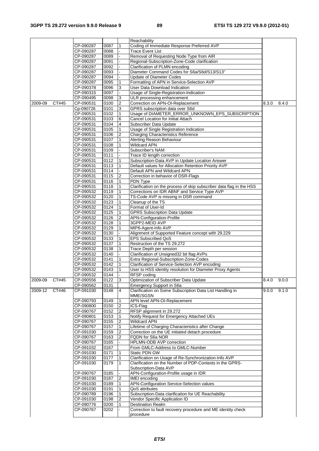|         |       |                        |                   |                | Reachability                                                                      |       |       |
|---------|-------|------------------------|-------------------|----------------|-----------------------------------------------------------------------------------|-------|-------|
|         |       | CP-090287              | 0087              | 1              | Coding of Immediate Response Preferred AVP                                        |       |       |
|         |       | CP-090287              | 0088              |                | <b>Trace Event List</b>                                                           |       |       |
|         |       | CP-090287              | 0089              |                | Removal of Requesting Node Type from AIR                                          |       |       |
|         |       | CP-090287              | 0091              |                | Regional-Subscription-Zone-Code clarification                                     |       |       |
|         |       | CP-090287              | 0092              |                | Clarification of PLMN encoding                                                    |       |       |
|         |       | CP-090287              | 0093              |                | Diameter Command Codes for S6a/S6d/S13/S13"                                       |       |       |
|         |       | CP-090287              | 0094              |                | Update of Diameter Codes                                                          |       |       |
|         |       | CP-090287<br>CP-090378 | 0095<br>0096      | 1<br>3         | Formatting of APN in Service-Selection AVP<br>User Data Download Indication       |       |       |
|         |       | CP-090315              | 0097              |                | Usage of Single-Registration-Indication                                           |       |       |
|         |       | CP-090495              | 0098              | 3              | ULR processing enhancement                                                        |       |       |
| 2009-09 | CT#45 | CP-090531              | 0100              | $\overline{2}$ | Correction on APN-OI-Replacement                                                  | 8.3.0 | 8.4.0 |
|         |       | Cp-090726              | 0101              | 3              | GPRS subscription data over S6d                                                   |       |       |
|         |       | CP-090531              | 0102              | 1              | Usage of DIAMETER_ERROR_UNKNOWN_EPS_SUBSCRIPTION                                  |       |       |
|         |       | CP-090531              | 0103              | 6              | Cancel Location for Initial Attach                                                |       |       |
|         |       | CP-090531              | 0104              | 4              | Subscriber Data Update                                                            |       |       |
|         |       | CP-090531              | 0105              | 1              | Usage of Single Registration Indication                                           |       |       |
|         |       | CP-090531              | 0106              | 2              | <b>Charging Characteristics Reference</b>                                         |       |       |
|         |       | CP-090531              | 0107              | 1              | Alerting Reason Behaviour                                                         |       |       |
|         |       | CP-090531              | 0108              | 1              | Wildcard APN                                                                      |       |       |
|         |       | CP-090531              | 0109              |                | Subscriber's NAM                                                                  |       |       |
|         |       | CP-090531              | 0111              |                | Trace ID length correction                                                        |       |       |
|         |       | CP-090531              | 0112              | 1              | Subscription-Data AVP in Update Location Answer                                   |       |       |
|         |       | CP-090531              | 0113              | 1              | Default values for Allocation Retention Priority AVP                              |       |       |
|         |       | CP-090531              | 0114              |                | Default APN and Wildcard APN                                                      |       |       |
|         |       | CP-090531              | 0115              | 2              | Correction in behavior of DSR-Flags                                               |       |       |
|         |       | CP-090531              | 0116              | $\mathbf{1}$   | PDN Type                                                                          |       |       |
|         |       | CP-090531              | 0118              | 1              | Clarification on the process of skip subscriber data flag in the HSS              |       |       |
|         |       | CP-090532              | 0119              | 1              | Corrections on IDR ABNF and Service Type AVP                                      |       |       |
|         |       | CP-090532              | 0120              | $\mathbf{1}$   | TS-Code AVP is missing in DSR command                                             |       |       |
|         |       | CP-090532              | 0123              | 1              | Cleanup of the TS                                                                 |       |       |
|         |       | CP-090532              | 0124              | 1              | Format of User-Id                                                                 |       |       |
|         |       | CP-090532              | 0125              | 1              | <b>GPRS Subscription Data Update</b>                                              |       |       |
|         |       | CP-090532              | 0126              | 2              | APN-Configuration-Profile                                                         |       |       |
|         |       | CP-090532              | $01\overline{28}$ | $\mathbf{1}$   | 3GPP2-MEID AVP                                                                    |       |       |
|         |       | CP-090532              | 0129              | 1              | MIP6-Agent-Info AVP                                                               |       |       |
|         |       | CP-090532              | 0130              |                | Alignment of Supported Feature concept with 29.229                                |       |       |
|         |       | CP-090532              | 0133              | 1              | <b>EPS Subscribed QoS</b><br>Restruction of the TS 29.272                         |       |       |
|         |       | CP-090532<br>CP-090532 | 0137<br>0138      | 1<br>1         | Trace Depth per session                                                           |       |       |
|         |       | CP-090532              | 0140              |                | Clarification of Unsigned32 bit flag AVPs                                         |       |       |
|         |       | CP-090532              | 0141              | 1              | Extra Regional-Subscription-Zone-Codes                                            |       |       |
|         |       | CP-090532              | 0142              | $\mathbf{1}$   | Clarification of Service-Selection AVP encoding                                   |       |       |
|         |       | CP-090532              | 0143              |                | User to HSS identity resolution for Diameter Proxy Agents                         |       |       |
|         |       | CP-090532              | 0144              |                | RFSP coding                                                                       |       |       |
| 2009-09 | CT#45 | CP-090556              | 0122              | 3              | Optimization of Subscriber Data Update                                            | 8.4.0 | 9.0.0 |
|         |       | CP-090562              | 0131              |                | <b>Emergency Support in S6a</b>                                                   |       |       |
| 2009-12 | CT#46 | CP-091030              | 0148              | 4              | Clarification on Some Subscription Data List Handling in                          | 9.0.0 | 9.1.0 |
|         |       |                        |                   |                | MME/SGSN                                                                          |       |       |
|         |       | CP-090793              | 0149              | 1              | APN level APN-OI-Replacement                                                      |       |       |
|         |       | CP-090800              | 0150              | 2              | ICS-Flag                                                                          |       |       |
|         |       | CP-090767              | 0152              | 2              | RFSP alignment in 29.272                                                          |       |       |
|         |       | CP-090801              | 0153              | 1              | Notify Request for Emergency Attached UEs                                         |       |       |
|         |       | CP-090767              | 0155              | 2              | <b>Wildcard APN</b>                                                               |       |       |
|         |       | CP-090767              | 0157              | 1              | Lifetime of Charging Characteristics after Change                                 |       |       |
|         |       | CP-091030              | 0159              | 2              | Correction on the UE initiated detach procedure                                   |       |       |
|         |       | CP-090767              | 0163              | 2              | FQDN for S6a NOR                                                                  |       |       |
|         |       | CP-090767              | 0165              |                | HPLMN-ODB AVP correction                                                          |       |       |
|         |       | CP-091032              | 0167              |                | From GMLC-Address to GMLC-Number                                                  |       |       |
|         |       | CP-091030              | 0171              | 1              | Static PDN GW                                                                     |       |       |
|         |       | CP-091030              | 0177              | $\mathbf{1}$   | Clarification on Usage of Re-Synchronization-Info AVP                             |       |       |
|         |       | CP-091030              | 0179              | 1              | Clarification on the Number of PDP-Contexts in the GPRS-<br>Subscription-Data AVP |       |       |
|         |       | CP-090767              | 0185              |                | APN-Configuration-Profile usage in IDR                                            |       |       |
|         |       | CP-091030              | 0187              | 2              | <b>IMEI</b> encoding                                                              |       |       |
|         |       | CP-091030              | 0189              | 1              | APN-Configuration Service-Selection values                                        |       |       |
|         |       | CP-091030              | 0191              | 1              | QoS attributes                                                                    |       |       |
|         |       | CP-090789              | 0196              | 1              | Subscription-Data clarification for UE Reachability                               |       |       |
|         |       | CP-091030              | 0198              | $\overline{2}$ | Vendor Specific Application ID                                                    |       |       |
|         |       | CP-090776              | 0200              | 1              | <b>Destination Realm</b>                                                          |       |       |
|         |       | CP-090767              | 0202              |                | Correction to fault recovery procedure and ME identity check                      |       |       |
|         |       |                        |                   |                | procedure                                                                         |       |       |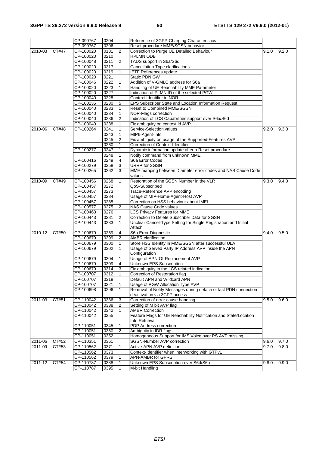|             |       | CP-090767 | 0204 |                | Reference of 3GPP-Charging-Characteristics                            |       |       |
|-------------|-------|-----------|------|----------------|-----------------------------------------------------------------------|-------|-------|
|             |       | CP-090767 | 0206 |                | Reset procedure MME/SGSN behavior                                     |       |       |
| $2010 - 03$ | CT#47 | CP-100020 | 0181 | 2              | Correction to Purge UE Detailed Behaviour                             | 9.1.0 | 9.2.0 |
|             |       | CP-100020 | 0210 |                | <b>HPLMN ODB</b>                                                      |       |       |
|             |       | CP-100048 | 0211 | 2              | TADS support in S6a/S6d                                               |       |       |
|             |       | CP-100020 | 0217 |                | Cancellation-Type clarifications                                      |       |       |
|             |       | CP-100020 | 0219 | 1              | <b>IETF References update</b>                                         |       |       |
|             |       | CP-100020 | 0221 |                | Static PDN GW                                                         |       |       |
|             |       | CP-100046 | 0222 |                | Addition of V-GMLC address for S6a                                    |       |       |
|             |       | CP-100020 | 0223 |                | Handling of UE Reachability MME Parameter                             |       |       |
|             |       | CP-100020 | 0227 |                | Indication of PLMN ID of the selected PGW                             |       |       |
|             |       | CP-100040 | 0228 |                | Context-Identifier in NOR                                             |       |       |
|             |       | CP-100235 | 0230 | 5              | EPS Subscriber State and Location Information Request                 |       |       |
|             |       | CP-100040 | 0233 |                | Reset to Combined MME/SGSN                                            |       |       |
|             |       | CP-100040 |      |                |                                                                       |       |       |
|             |       |           | 0234 | 1              | NOR-Flags correction                                                  |       |       |
|             |       | CP-100040 | 0236 | $\overline{2}$ | Indication of LCS Capabilities support over S6a/S6d                   |       |       |
|             |       | CP-100040 | 0238 |                | Fix ambiguity on context id AVP                                       |       |       |
| 2010-06     | CT#48 | CP-100264 | 0241 |                | Service-Selection values                                              | 9.2.0 | 9.3.0 |
|             |       |           | 0243 | 1              | MIP6-Agent-Info                                                       |       |       |
|             |       |           | 0245 | 2              | Fix ambiguity on usage of the Supported-Features AVP                  |       |       |
|             |       |           | 0260 | $\mathbf{1}$   | Correction of Context-Identifier                                      |       |       |
|             |       | CP-100277 | 0247 |                | Dynamic information update after a Reset procedure                    |       |       |
|             |       |           | 0248 | 1              | Notify command from unknown MME                                       |       |       |
|             |       | CP-100416 | 0249 | 4              | S6a Error Codes                                                       |       |       |
|             |       | CP-100279 | 0258 | 3              | <b>URRP for SGSN</b>                                                  |       |       |
|             |       | CP-100265 | 0262 | 3              | MME mapping between Diameter error codes and NAS Cause Code<br>values |       |       |
| 2010-09     | CT#49 | CP-100456 | 0268 | 1              | Restoration of the SGSN Number in the VLR                             | 9.3.0 | 9.4.0 |
|             |       | CP-100457 | 0272 |                | QoS-Subscribed                                                        |       |       |
|             |       | CP-100457 | 0273 |                | Trace-Reference AVP encoding                                          |       |       |
|             |       | CP-100457 | 0284 |                | Usage of MIP-Home-Agent-Host AVP                                      |       |       |
|             |       | CP-100457 | 0285 |                | Correction on HSS behaviour about IMEI                                |       |       |
|             |       | CP-100577 | 0275 | 2              | NAS Cause Code values                                                 |       |       |
|             |       | CP-100463 | 0276 |                | LCS Privacy Features for MME                                          |       |       |
|             |       | CP-100443 | 0281 | 2              | Correction to Delete Subscriber Data for SGSN                         |       |       |
|             |       | CP-100443 | 0283 | 1              | Unclear Cancel-Type Setting for Single Registration and Initial       |       |       |
|             |       |           |      |                | Attach                                                                |       |       |
| $2010 - 12$ | CT#50 | CP-100679 | 0269 | 4              | S6a Error Diagnostic                                                  | 9.4.0 | 9.5.0 |
|             |       | CP-100679 | 0299 | $\overline{2}$ | <b>AMBR</b> clarification                                             |       |       |
|             |       | CP-100679 | 0300 |                | Store HSS Identity in MME/SGSN after successful ULA                   |       |       |
|             |       | CP-100679 | 0302 |                | Usage of Served Party IP Address AVP inside the APN<br>Configuration  |       |       |
|             |       | CP-100679 | 0304 |                | Usage of APN-OI-Replacement AVP                                       |       |       |
|             |       | CP-100679 | 0309 | 4              | Unknown EPS Subscription                                              |       |       |
|             |       | CP-100679 | 0314 | 3              | Fix ambiguity in the LCS related indication                           |       |       |
|             |       | CP-100707 | 0312 | $\vert$ 1      | Correction of Restoration flag                                        |       |       |
|             |       | CP-100707 | 0318 |                | Default APN and Wildcard APN                                          |       |       |
|             |       | CP-100707 | 0321 | 1              | Usage of PGW Allocation Type AVP                                      |       |       |
|             |       | CP-100698 | 0296 | 1              | Removal of Notify Messages during detach or last PDN connection       |       |       |
|             |       |           |      |                | deactivation via 3GPP access                                          |       |       |
| $2011 - 03$ | CT#51 | CP-110042 | 0336 | 3              | Correction of error cause handling                                    | 9.5.0 | 9.6.0 |
|             |       | CP-110042 | 0338 | $\overline{2}$ | Setting of M bit AVP flag                                             |       |       |
|             |       | CP-110042 | 0342 |                | <b>AMBR Correction</b>                                                |       |       |
|             |       | CP-110042 | 0355 |                | Feature Flags for UE Reachability Notification and State/Location     |       |       |
|             |       |           |      |                | Info Retrieval                                                        |       |       |
|             |       | CP-110051 | 0345 |                | PDP Address correction                                                |       |       |
|             |       | CP-110051 | 0350 | 2              | Ambiguity in IDR flags                                                |       |       |
|             |       | CP-110051 | 0352 |                | Homogeneous Support for IMS Voice over PS AVP missing                 |       |       |
| 2011-06     | CT#52 | CP-110351 | 0361 |                | SGSN-Number AVP correction                                            | 9.6.0 | 9.7.0 |
| 2011-09     | CT#53 | CP-110562 | 0371 | $\mathbf{1}$   | Active-APN AVP definition                                             | 9.7.0 | 9.8.0 |
|             |       | CP-110562 | 0373 |                | Context-Identifier when interworking with GTPv1                       |       |       |
|             |       | CP-110562 | 0379 |                | <b>APN-AMBR for GPRS</b>                                              |       |       |
| 2011-12     | CT#54 | CP-110787 | 0388 | $\mathbf{1}$   | Unknown EPS Subscription over S6d/S6a                                 | 9.8.0 | 9.9.0 |
|             |       | CP-110787 | 0395 | 1              | M-bit Handling                                                        |       |       |
|             |       |           |      |                |                                                                       |       |       |